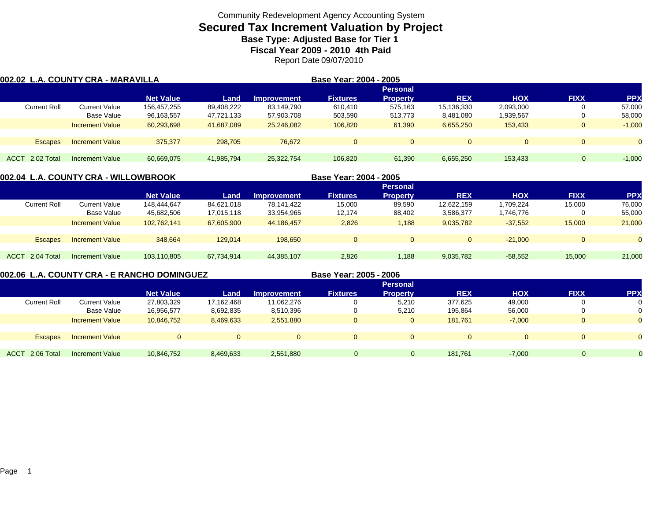## **Secured Tax Increment Valuation by Project Base Type: Adjusted Base for Tier 1**

**Fiscal Year 2009 - 2010 4th Paid**

Report Date 09/07/2010

| 002.02 L.A. COUNTY CRA - MARAVILLA |                        |                  |            |                    | Base Year: 2004 - 2005 |                 |            |            |             |            |
|------------------------------------|------------------------|------------------|------------|--------------------|------------------------|-----------------|------------|------------|-------------|------------|
|                                    |                        |                  |            |                    |                        | <b>Personal</b> |            |            |             |            |
|                                    |                        | <b>Net Value</b> | Land       | <b>Improvement</b> | <b>Fixtures</b>        | <b>Property</b> | <b>REX</b> | <b>HOX</b> | <b>FIXX</b> | <b>PPX</b> |
| <b>Current Roll</b>                | Current Value          | 156.457.255      | 89.408.222 | 83.149.790         | 610.410                | 575.163         | 15,136,330 | 2,093,000  |             | 57,000     |
|                                    | Base Value             | 96,163,557       | 47,721,133 | 57,903,708         | 503,590                | 513,773         | 8,481,080  | 1,939,567  | 0           | 58,000     |
|                                    | <b>Increment Value</b> | 60,293,698       | 41,687,089 | 25,246,082         | 106,820                | 61,390          | 6,655,250  | 153,433    | $\Omega$    | $-1,000$   |
|                                    |                        |                  |            |                    |                        |                 |            |            |             |            |
| <b>Escapes</b>                     | <b>Increment Value</b> | 375,377          | 298,705    | 76.672             | $\Omega$               |                 | $\Omega$   | $\Omega$   |             |            |
|                                    |                        |                  |            |                    |                        |                 |            |            |             |            |
| ACCT 2.02 Total                    | Increment Value        | 60,669,075       | 41,985,794 | 25,322,754         | 106.820                | 61.390          | 6,655,250  | 153.433    | $\Omega$    | $-1,000$   |

| 002.04  L.A. COUNTY CRA - WILLOWBROOK |                        |                  |            | Base Year: 2004 - 2005 |                 |                 |            |            |             |            |  |
|---------------------------------------|------------------------|------------------|------------|------------------------|-----------------|-----------------|------------|------------|-------------|------------|--|
|                                       |                        |                  |            |                        |                 | <b>Personal</b> |            |            |             |            |  |
|                                       |                        | <b>Net Value</b> | Land       | <b>Improvement</b>     | <b>Fixtures</b> | <b>Property</b> | <b>REX</b> | <b>HOX</b> | <b>FIXX</b> | <b>PPX</b> |  |
| <b>Current Roll</b>                   | <b>Current Value</b>   | 148,444,647      | 84,621,018 | 78,141,422             | 15,000          | 89,590          | 12,622,159 | ,709,224   | 15,000      | 76,000     |  |
|                                       | Base Value             | 45,682,506       | 17,015,118 | 33,954,965             | 12,174          | 88,402          | 3,586,377  | .746,776   |             | 55,000     |  |
|                                       | <b>Increment Value</b> | 102,762,141      | 67,605,900 | 44.186.457             | 2,826           | 1,188           | 9,035,782  | $-37,552$  | 15,000      | 21,000     |  |
|                                       |                        |                  |            |                        |                 |                 |            |            |             |            |  |
| <b>Escapes</b>                        | <b>Increment Value</b> | 348.664          | 129.014    | 198.650                | $\Omega$        |                 |            | $-21.000$  |             |            |  |
|                                       |                        |                  |            |                        |                 |                 |            |            |             |            |  |
| ACCT 2.04 Total                       | Increment Value        | 103,110,805      | 67,734,914 | 44,385,107             | 2,826           | 1,188           | 9,035,782  | $-58,552$  | 15,000      | 21,000     |  |
|                                       |                        |                  |            |                        |                 |                 |            |            |             |            |  |

**002.06 L.A. COUNTY CRA - E RANCHO DOMINGUEZ**

**Base Year: 2005 - 2006**

|                     |                        | <b>Personal</b>  |            |             |                 |                 |            |            |                |                |  |
|---------------------|------------------------|------------------|------------|-------------|-----------------|-----------------|------------|------------|----------------|----------------|--|
|                     |                        | <b>Net Value</b> | Land       | Improvement | <b>Fixtures</b> | <b>Property</b> | <b>REX</b> | <b>HOX</b> | <b>FIXX</b>    | <b>PPX</b>     |  |
| <b>Current Roll</b> | Current Value          | 27,803,329       | 17,162,468 | 11,062,276  |                 | 5,210           | 377,625    | 49,000     | 0              | 0              |  |
|                     | <b>Base Value</b>      | 16,956,577       | 8,692,835  | 8,510,396   | O               | 5,210           | 195,864    | 56,000     | 0              | 0              |  |
|                     | <b>Increment Value</b> | 10,846,752       | 8,469,633  | 2,551,880   | 0               | $\overline{0}$  | 181,761    | $-7,000$   | $\overline{0}$ | $\overline{0}$ |  |
|                     |                        |                  |            |             |                 |                 |            |            |                |                |  |
| <b>Escapes</b>      | <b>Increment Value</b> | $\Omega$         |            |             | $\overline{0}$  | 0               | $\Omega$   |            |                | $\Omega$       |  |
|                     |                        |                  |            |             |                 |                 |            |            |                |                |  |
| ACCT 2.06 Total     | <b>Increment Value</b> | 10,846,752       | 8,469,633  | 2,551,880   | $\Omega$        | 0               | 181,761    | $-7,000$   | 0              |                |  |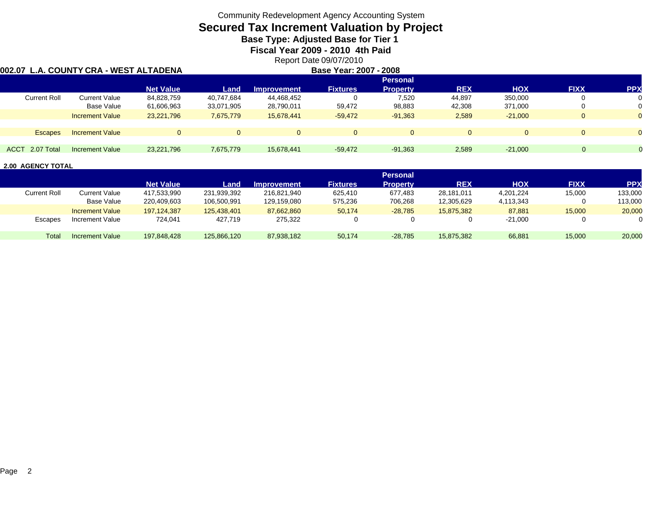# **Secured Tax Increment Valuation by Project**

**Base Type: Adjusted Base for Tier 1** 

**Fiscal Year 2009 - 2010 4th Paid**

Report Date 09/07/2010

#### **002.07 L.A. COUNTY CRA - WEST ALTADENA**

| Base Year: 2007 - 2008 |
|------------------------|
|                        |

|                        | <b>Net Value</b> | Land       | <b>Improvement</b> | <b>Fixtures</b> | <b>Property</b> | <b>REX</b>      | <b>HOX</b> | <b>FIXX</b> | <b>PPX</b> |  |
|------------------------|------------------|------------|--------------------|-----------------|-----------------|-----------------|------------|-------------|------------|--|
| Current Value          | 84,828,759       | 40,747,684 | 44,468,452         |                 | 7,520           | 44,897          | 350,000    |             |            |  |
| <b>Base Value</b>      | 61,606,963       | 33,071,905 | 28,790,011         | 59,472          | 98,883          | 42,308          | 371,000    |             |            |  |
| <b>Increment Value</b> | 23,221,796       | 7,675,779  | 15,678,441         | $-59,472$       | $-91,363$       | 2,589           | $-21,000$  | 0           |            |  |
|                        |                  |            |                    |                 |                 |                 |            |             |            |  |
| <b>Increment Value</b> |                  |            | 0                  |                 | $\Omega$        |                 |            | 0           |            |  |
|                        |                  |            |                    |                 |                 |                 |            |             |            |  |
| Increment Value        | 23,221,796       | 7,675,779  | 15,678,441         | $-59,472$       | $-91,363$       | 2,589           | $-21.000$  |             |            |  |
|                        |                  |            |                    |                 |                 | <b>Personal</b> |            |             |            |  |

|                     |                        | <b>Personal</b>  |             |                    |                 |           |            |           |             |            |  |
|---------------------|------------------------|------------------|-------------|--------------------|-----------------|-----------|------------|-----------|-------------|------------|--|
|                     |                        | <b>Net Value</b> | Land        | <b>Improvement</b> | <b>Fixtures</b> | Propertv  | <b>REX</b> | нох       | <b>FIXX</b> | <b>PPX</b> |  |
| <b>Current Roll</b> | Current Value          | 417,533,990      | 231,939,392 | 216,821,940        | 625.410         | 677.483   | 28.181.011 | 4,201,224 | 15,000      | 133,000    |  |
|                     | Base Value             | 220,409,603      | 106,500,991 | 129,159,080        | 575,236         | 706.268   | 12,305,629 | 4,113,343 |             | 113,000    |  |
|                     | <b>Increment Value</b> | 197.124.387      | 125.438.401 | 87.662.860         | 50.174          | $-28.785$ | 15.875.382 | 87.881    | 15,000      | 20,000     |  |
| Escapes             | Increment Value        | 724.041          | 427.719     | 275,322            |                 |           |            | $-21,000$ |             |            |  |
| Total               | Increment Value        | 197.848.428      | 125,866,120 | 87,938,182         | 50.174          | $-28.785$ | 15,875,382 | 66,881    | 15.000      | 20,000     |  |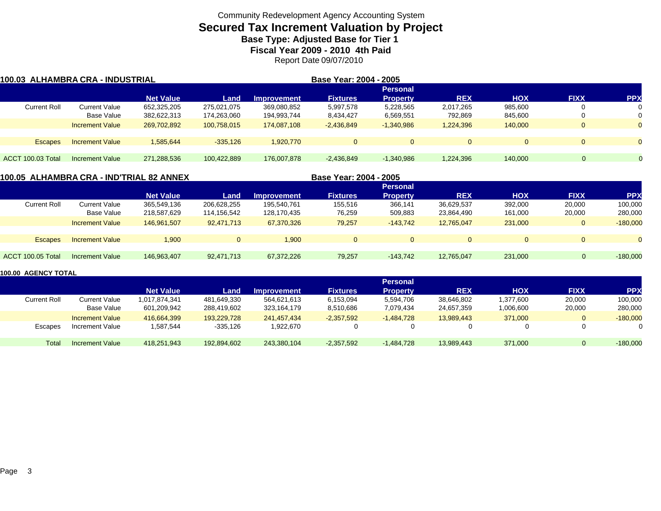### **Secured Tax Increment Valuation by Project Base Type: Adjusted Base for Tier 1**

**Fiscal Year 2009 - 2010 4th Paid**

Report Date 09/07/2010

| 100.03 ALHAMBRA CRA - INDUSTRIAL |                        |                  |             | Base Year: 2004 - 2005 |                 |                 |              |            |             |                |
|----------------------------------|------------------------|------------------|-------------|------------------------|-----------------|-----------------|--------------|------------|-------------|----------------|
|                                  |                        |                  |             |                        |                 | <b>Personal</b> |              |            |             |                |
|                                  |                        | <b>Net Value</b> | Land        | <b>Improvement</b>     | <b>Fixtures</b> | <b>Property</b> | <b>REX</b>   | <b>HOX</b> | <b>FIXX</b> | <b>PPX</b>     |
| <b>Current Roll</b>              | Current Value          | 652,325,205      | 275,021,075 | 369,080,852            | 5,997,578       | 5,228,565       | 2,017,265    | 985,600    |             | 0              |
|                                  | Base Value             | 382,622,313      | 174,263,060 | 194,993,744            | 8,434,427       | 6,569,551       | 792,869      | 845,600    |             | 0              |
|                                  | <b>Increment Value</b> | 269,702,892      | 100.758.015 | 174,087,108            | $-2,436,849$    | $-1,340,986$    | 1,224,396    | 140,000    |             | $\Omega$       |
|                                  |                        |                  |             |                        |                 |                 |              |            |             |                |
| <b>Escapes</b>                   | <b>Increment Value</b> | 1.585.644        | $-335.126$  | 1,920,770              | $\Omega$        | $\Omega$        | $\mathbf{0}$ | $\Omega$   |             | $\Omega$       |
|                                  |                        |                  |             |                        |                 |                 |              |            |             |                |
| ACCT 100.03 Total                | Increment Value        | 271,288,536      | 100,422,889 | 176,007,878            | $-2,436,849$    | $-1,340,986$    | 1,224,396    | 140,000    | $\Omega$    | $\overline{0}$ |

#### **100.05 ALHAMBRA CRA - IND'TRIAL 82 ANNEX Base Year: 2004 - 2005 Personal Net Value Land Improvement Fixtures Property REX HOX FIXX PPX** Current Roll Current Value 365,549,136 206,628,255 195,540,761 155,516 366,141 36,629,537 392,000 20,000 100,000 Base Value 218,587,629 114,156,542 128,170,435 76,259 509,883 23,864,490 161,000 20,000 280,000 Increment Value 146,961,507 92,471,713 67,370,326 79,257 -143,742 12,765,047 231,000 0 -180,000 Escapes Increment Value 1,900 0 1,900 0 0 0 0 0 0 ACCT 100.05 TotalIncrement Value 146,963,407 92,471,713 67,372,226 79,257 -143,742 12,765,047 231,000 0 -180,000

|              |                        |                  |             |                    |                 | <b>Personal</b> |            |            |             |            |
|--------------|------------------------|------------------|-------------|--------------------|-----------------|-----------------|------------|------------|-------------|------------|
|              |                        | <b>Net Value</b> | Land        | <b>Improvement</b> | <b>Fixtures</b> | <b>Property</b> | <b>REX</b> | <b>HOX</b> | <b>FIXX</b> | <b>PPX</b> |
| Current Roll | <b>Current Value</b>   | 1,017,874,341    | 481,649,330 | 564.621.613        | 6,153,094       | 5,594,706       | 38,646,802 | 1,377,600  | 20,000      | 100,000    |
|              | Base Value             | 601,209,942      | 288,419,602 | 323,164,179        | 8,510,686       | 7.079.434       | 24,657,359 | 1,006,600  | 20,000      | 280,000    |
|              | <b>Increment Value</b> | 416.664.399      | 193,229,728 | 241.457.434        | $-2,357,592$    | $-1.484.728$    | 13.989.443 | 371,000    | 0           | $-180,000$ |
| Escapes      | Increment Value        | 1,587,544        | $-335,126$  | 1,922,670          |                 |                 |            |            | 0           |            |
| Total        | Increment Value        | 418,251,943      | 192.894.602 | 243,380,104        | $-2,357,592$    | $-1.484.728$    | 13.989.443 | 371,000    | 0           | $-180,000$ |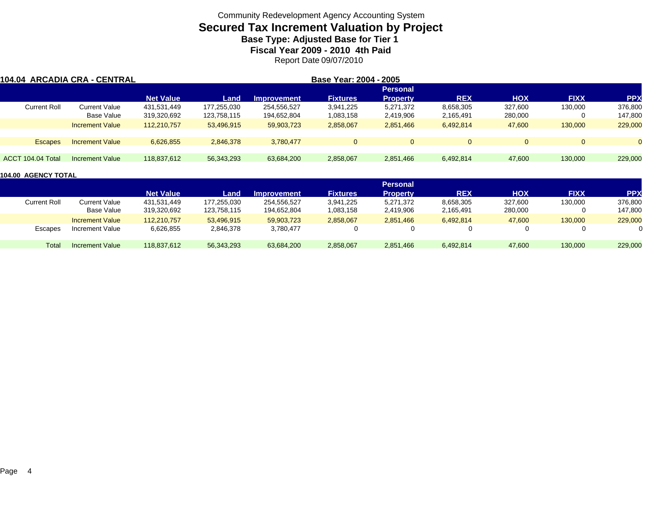## **Secured Tax Increment Valuation by Project Base Type: Adjusted Base for Tier 1**

**Fiscal Year 2009 - 2010 4th Paid**

Report Date 09/07/2010

| 104.04 ARCADIA CRA - CENTRAL |                        | Base Year: 2004 - 2005 |             |                    |                 |                 |                |            |             |          |  |  |
|------------------------------|------------------------|------------------------|-------------|--------------------|-----------------|-----------------|----------------|------------|-------------|----------|--|--|
|                              |                        |                        |             |                    |                 | <b>Personal</b> |                |            |             |          |  |  |
|                              |                        | <b>Net Value</b>       | Land        | <b>Improvement</b> | <b>Fixtures</b> | <b>Property</b> | <b>REX</b>     | <b>HOX</b> | <b>FIXX</b> | (PP      |  |  |
| <b>Current Roll</b>          | <b>Current Value</b>   | 431.531.449            | 177,255,030 | 254,556,527        | 3,941,225       | 5,271,372       | 8,658,305      | 327.600    | 130,000     | 376,800  |  |  |
|                              | Base Value             | 319,320,692            | 123,758,115 | 194,652,804        | 1,083,158       | 2,419,906       | 2,165,491      | 280,000    |             | 147,800  |  |  |
|                              | <b>Increment Value</b> | 112,210,757            | 53,496,915  | 59,903,723         | 2,858,067       | 2,851,466       | 6,492,814      | 47,600     | 130,000     | 229,000  |  |  |
| <b>Escapes</b>               | <b>Increment Value</b> | 6,626,855              | 2,846,378   | 3,780,477          | $\Omega$        | $\Omega$        | $\overline{0}$ | $\Omega$   |             | $\Omega$ |  |  |
| ACCT 104.04 Total            | Increment Value        | 118.837.612            | 56,343,293  | 63,684,200         | 2,858,067       | 2,851,466       | 6,492,814      | 47,600     | 130,000     | 229,000  |  |  |

|              |                        | <b>Personal</b>  |             |                    |                 |           |            |            |             |            |  |
|--------------|------------------------|------------------|-------------|--------------------|-----------------|-----------|------------|------------|-------------|------------|--|
|              |                        | <b>Net Value</b> | Land        | <b>Improvement</b> | <b>Fixtures</b> | Property  | <b>REX</b> | <b>HOX</b> | <b>FIXX</b> | <b>PPX</b> |  |
| Current Roll | Current Value          | 431,531,449      | 177,255,030 | 254,556,527        | 3,941,225       | 5,271,372 | 8,658,305  | 327,600    | 130,000     | 376,800    |  |
|              | Base Value             | 319,320,692      | 123.758.115 | 194,652,804        | 1,083,158       | 2,419,906 | 2,165,491  | 280,000    |             | 147,800    |  |
|              | <b>Increment Value</b> | 112.210.757      | 53,496,915  | 59,903,723         | 2,858,067       | 2,851,466 | 6,492,814  | 47,600     | 130,000     | 229,000    |  |
| Escapes      | Increment Value        | 6,626,855        | 2,846,378   | 3,780,477          |                 |           |            |            |             |            |  |
| Total        | Increment Value        | 118.837.612      | 56,343,293  | 63,684,200         | 2,858,067       | 2,851,466 | 6,492,814  | 47,600     | 130,000     | 229,000    |  |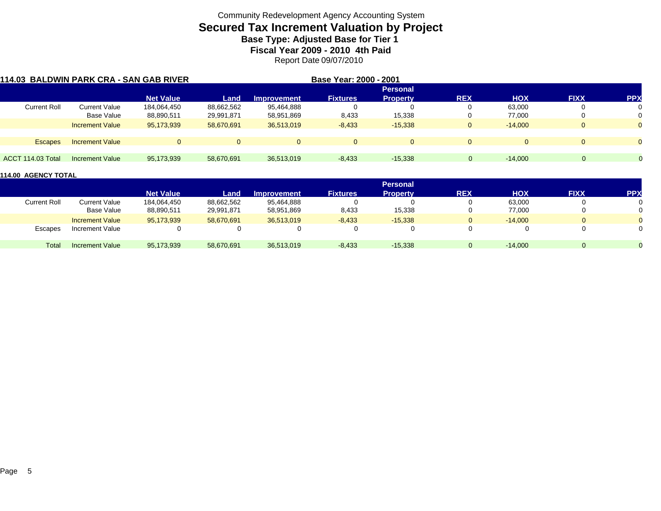# **Secured Tax Increment Valuation by Project**

**Base Type: Adjusted Base for Tier 1** 

**Fiscal Year 2009 - 2010 4th Paid**

Report Date 09/07/2010

| 114.03 BALDWIN PARK CRA - SAN GAB RIVER |                        |                  | Base Year: 2000 - 2001 |                    |                 |                 |                |            |             |            |
|-----------------------------------------|------------------------|------------------|------------------------|--------------------|-----------------|-----------------|----------------|------------|-------------|------------|
|                                         |                        |                  |                        |                    |                 | <b>Personal</b> |                |            |             |            |
|                                         |                        | <b>Net Value</b> | Land                   | <b>Improvement</b> | <b>Fixtures</b> | <b>Property</b> | <b>REX</b>     | <b>HOX</b> | <b>FIXX</b> | <b>PPX</b> |
| <b>Current Roll</b>                     | <b>Current Value</b>   | 184,064,450      | 88,662,562             | 95,464,888         |                 |                 | υ              | 63,000     | 0           | 0          |
|                                         | Base Value             | 88,890,511       | 29,991,871             | 58,951,869         | 8,433           | 15,338          | υ              | 77.000     | 0           | 0          |
|                                         | <b>Increment Value</b> | 95,173,939       | 58,670,691             | 36,513,019         | $-8,433$        | $-15.338$       | $\overline{0}$ | $-14.000$  | $\Omega$    | $\Omega$   |
| <b>Escapes</b>                          | <b>Increment Value</b> | $\Omega$         | $\Omega$               | $\Omega$           | $\Omega$        | $\Omega$        | $\Omega$       |            | $\Omega$    | $\Omega$   |
| ACCT 114.03 Total                       | <b>Increment Value</b> | 95,173,939       | 58,670,691             | 36.513.019         | $-8,433$        | $-15,338$       | $\Omega$       | $-14.000$  | $\Omega$    | $\Omega$   |

|                     |                        | <b>Personal</b>  |            |                    |                 |                 |            |            |             |            |  |
|---------------------|------------------------|------------------|------------|--------------------|-----------------|-----------------|------------|------------|-------------|------------|--|
|                     |                        | <b>Net Value</b> | Land       | <b>Improvement</b> | <b>Fixtures</b> | <b>Property</b> | <b>REX</b> | <b>HOX</b> | <b>FIXX</b> | <b>PPX</b> |  |
| <b>Current Roll</b> | Current Value          | 184,064,450      | 88,662,562 | 95,464,888         |                 |                 |            | 63.000     |             |            |  |
|                     | Base Value             | 88,890,511       | 29,991,871 | 58,951,869         | 8,433           | 15,338          |            | 77,000     |             |            |  |
|                     | <b>Increment Value</b> | 95,173,939       | 58.670.691 | 36.513.019         | $-8,433$        | $-15,338$       |            | $-14,000$  |             |            |  |
| Escapes             | Increment Value        |                  |            | 0                  |                 |                 |            |            |             |            |  |
| Total               | <b>Increment Value</b> | 95,173,939       | 58,670,691 | 36,513,019         | $-8,433$        | $-15,338$       |            | $-14,000$  |             |            |  |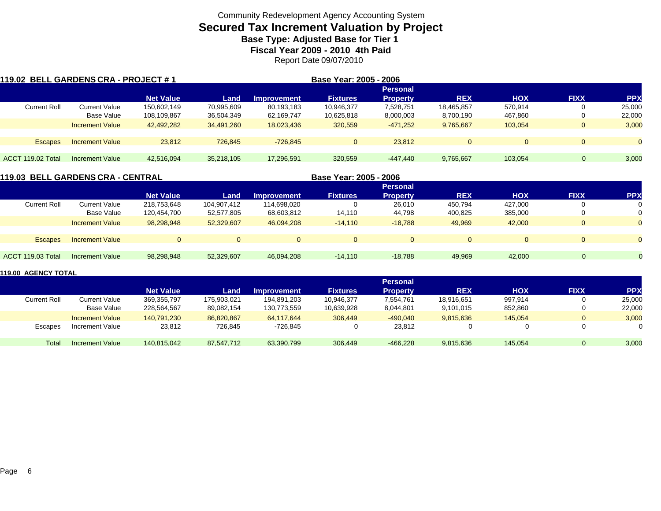## **Secured Tax Increment Valuation by Project Base Type: Adjusted Base for Tier 1**

**Fiscal Year 2009 - 2010 4th Paid**

Report Date 09/07/2010

| 119.02 BELL GARDENS CRA - PROJECT # 1 |                        |                  |            |                    | Base Year: 2005 - 2006 |                 |              |            |              |            |
|---------------------------------------|------------------------|------------------|------------|--------------------|------------------------|-----------------|--------------|------------|--------------|------------|
|                                       |                        |                  |            |                    |                        | <b>Personal</b> |              |            |              |            |
|                                       |                        | <b>Net Value</b> | Land       | <b>Improvement</b> | <b>Fixtures</b>        | <b>Property</b> | <b>REX</b>   | <b>HOX</b> | <b>FIXX</b>  | <b>PPX</b> |
| <b>Current Roll</b>                   | <b>Current Value</b>   | 150,602,149      | 70,995,609 | 80,193,183         | 10,946,377             | 7,528,751       | 18,465,857   | 570,914    | 0            | 25,000     |
|                                       | Base Value             | 108,109,867      | 36,504,349 | 62,169,747         | 10,625,818             | 8,000,003       | 8,700,190    | 467,860    | 0            | 22,000     |
|                                       | <b>Increment Value</b> | 42,492,282       | 34,491,260 | 18,023,436         | 320,559                | $-471.252$      | 9,765,667    | 103.054    | $\mathbf{0}$ | 3,000      |
| <b>Escapes</b>                        | <b>Increment Value</b> | 23.812           | 726.845    | $-726.845$         | $\Omega$               | 23.812          | $\mathbf{0}$ |            | $\Omega$     | $\Omega$   |
|                                       |                        |                  |            |                    |                        |                 |              |            |              |            |
| ACCT 119.02 Total                     | Increment Value        | 42,516,094       | 35,218,105 | 17,296,591         | 320,559                | -447.440        | 9,765,667    | 103.054    |              | 3,000      |

|                     | 119.03  BELL GARDENS CRA - CENTRAL |                  |             |                    | Base Year: 2005 - 2006 |                 |            |            |              |            |
|---------------------|------------------------------------|------------------|-------------|--------------------|------------------------|-----------------|------------|------------|--------------|------------|
|                     |                                    |                  |             |                    |                        | <b>Personal</b> |            |            |              |            |
|                     |                                    | <b>Net Value</b> | Land        | <b>Improvement</b> | <b>Fixtures</b>        | <b>Property</b> | <b>REX</b> | <b>HOX</b> | <b>FIXX</b>  | <b>PPX</b> |
| <b>Current Roll</b> | <b>Current Value</b>               | 218,753,648      | 104,907,412 | 114,698,020        |                        | 26,010          | 450,794    | 427.000    | 0            |            |
|                     | Base Value                         | 120,454,700      | 52,577,805  | 68,603,812         | 14,110                 | 44,798          | 400,825    | 385,000    | $\mathbf{0}$ |            |
|                     | <b>Increment Value</b>             | 98,298,948       | 52,329,607  | 46.094.208         | $-14,110$              | $-18.788$       | 49,969     | 42,000     | $\mathbf{0}$ |            |
|                     |                                    |                  |             |                    |                        |                 |            |            |              |            |
| <b>Escapes</b>      | <b>Increment Value</b>             | $\Omega$         |             |                    | $\Omega$               | $\Omega$        | $\Omega$   | $\Omega$   | $\Omega$     |            |
|                     |                                    |                  |             |                    |                        |                 |            |            |              |            |
| ACCT 119.03 Total   | Increment Value                    | 98,298,948       | 52,329,607  | 46,094,208         | $-14.110$              | $-18.788$       | 49,969     | 42,000     | $\Omega$     |            |
|                     |                                    |                  |             |                    |                        |                 |            |            |              |            |

|                     |                        |                  |             |                    |                 | <b>Personal</b> |            |            |                |            |
|---------------------|------------------------|------------------|-------------|--------------------|-----------------|-----------------|------------|------------|----------------|------------|
|                     |                        | <b>Net Value</b> | Land        | <b>Improvement</b> | <b>Fixtures</b> | <b>Property</b> | <b>REX</b> | <b>HOX</b> | <b>FIXX</b>    | <b>PPX</b> |
| <b>Current Roll</b> | <b>Current Value</b>   | 369,355,797      | 175,903,021 | 194,891,203        | 10.946.377      | 7,554,761       | 18,916,651 | 997,914    |                | 25,000     |
|                     | Base Value             | 228,564,567      | 89.082.154  | 130,773,559        | 10.639.928      | 8.044.801       | 9,101,015  | 852,860    | 0              | 22,000     |
|                     | <b>Increment Value</b> | 140.791.230      | 86.820.867  | 64.117.644         | 306.449         | $-490.040$      | 9,815,636  | 145.054    | $\overline{0}$ | 3,000      |
| Escapes             | Increment Value        | 23,812           | 726,845     | $-726.845$         |                 | 23,812          |            |            |                | 0          |
| Tota <sub>i</sub>   | Increment Value        | 140,815,042      | 87.547.712  | 63,390,799         | 306,449         | $-466.228$      | 9,815,636  | 145.054    | $\Omega$       | 3,000      |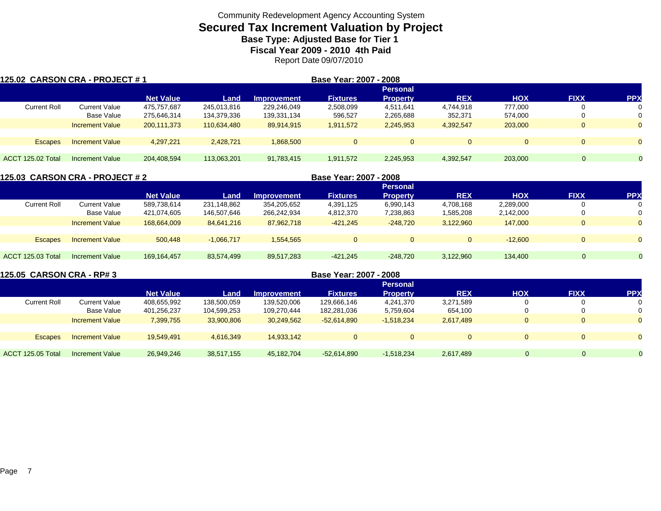## **Secured Tax Increment Valuation by Project Base Type: Adjusted Base for Tier 1**

**Fiscal Year 2009 - 2010 4th Paid**

Report Date 09/07/2010

| 125.02 CARSON CRA - PROJECT # 1 |                        |                  |             | Base Year: 2007 - 2008 |                 |                 |              |            |                |           |
|---------------------------------|------------------------|------------------|-------------|------------------------|-----------------|-----------------|--------------|------------|----------------|-----------|
|                                 |                        |                  |             |                        |                 | <b>Personal</b> |              |            |                |           |
|                                 |                        | <b>Net Value</b> | Land        | <b>Improvement</b>     | <b>Fixtures</b> | <b>Property</b> | <b>REX</b>   | <b>HOX</b> | <b>FIXX</b>    | <b>PP</b> |
| <b>Current Roll</b>             | Current Value          | 475,757,687      | 245,013,816 | 229,246,049            | 2,508,099       | 4,511,641       | 4.744.918    | 777,000    |                | 0         |
|                                 | Base Value             | 275,646,314      | 134,379,336 | 139,331,134            | 596,527         | 2,265,688       | 352,371      | 574,000    |                | 0         |
|                                 | <b>Increment Value</b> | 200,111,373      | 110,634,480 | 89,914,915             | 1,911,572       | 2,245,953       | 4,392,547    | 203,000    | $\Omega$       | $\Omega$  |
|                                 |                        |                  |             |                        |                 |                 |              |            |                |           |
| <b>Escapes</b>                  | <b>Increment Value</b> | 4,297,221        | 2,428,721   | 1,868,500              | $\Omega$        | $\Omega$        | $\mathbf{0}$ |            | $\Omega$       | $\Omega$  |
|                                 |                        |                  |             |                        |                 |                 |              |            |                |           |
| ACCT 125.02 Total               | Increment Value        | 204,408,594      | 113.063.201 | 91,783,415             | 1,911,572       | 2,245,953       | 4,392,547    | 203.000    | $\overline{0}$ |           |

|                          | <b>125.03 CARSON CRA - PROJECT # 2</b> |                  |              |                    | Base Year: 2007 - 2008 |                 |              |            |                |            |  |
|--------------------------|----------------------------------------|------------------|--------------|--------------------|------------------------|-----------------|--------------|------------|----------------|------------|--|
|                          |                                        |                  |              |                    |                        | <b>Personal</b> |              |            |                |            |  |
|                          |                                        | <b>Net Value</b> | Land         | <b>Improvement</b> | <b>Fixtures</b>        | <b>Property</b> | <b>REX</b>   | <b>HOX</b> | <b>FIXX</b>    | <b>PPX</b> |  |
| <b>Current Roll</b>      | <b>Current Value</b>                   | 589,738,614      | 231,148,862  | 354,205,652        | 4,391,125              | 6,990,143       | 4,708,168    | 2,289,000  |                |            |  |
|                          | Base Value                             | 421,074,605      | 146,507,646  | 266,242,934        | 4,812,370              | 7,238,863       | 1,585,208    | 2,142,000  |                |            |  |
|                          | <b>Increment Value</b>                 | 168.664.009      | 84,641,216   | 87,962,718         | $-421.245$             | $-248.720$      | 3,122,960    | 147,000    | $\overline{0}$ | $\Omega$   |  |
|                          |                                        |                  |              |                    |                        |                 |              |            |                |            |  |
| <b>Escapes</b>           | <b>Increment Value</b>                 | 500.448          | $-1.066.717$ | 1.554.565          | $\mathbf{0}$           | $\Omega$        | $\mathbf{0}$ | $-12,600$  |                | $\Omega$   |  |
|                          |                                        |                  |              |                    |                        |                 |              |            |                |            |  |
| <b>ACCT 125.03 Total</b> | Increment Value                        | 169, 164, 457    | 83,574,499   | 89,517,283         | $-421,245$             | $-248.720$      | 3,122,960    | 134.400    | 0              |            |  |
|                          |                                        |                  |              |                    |                        |                 |              |            |                |            |  |

| 125.05 CARSON CRA - RP# 3 |                        |                  |             |                    | Base Year: 2007 - 2008 |                 |            |            |             |            |
|---------------------------|------------------------|------------------|-------------|--------------------|------------------------|-----------------|------------|------------|-------------|------------|
|                           |                        |                  |             |                    |                        | <b>Personal</b> |            |            |             |            |
|                           |                        | <b>Net Value</b> | Land        | <b>Improvement</b> | <b>Fixtures</b>        | <b>Property</b> | <b>REX</b> | <b>HOX</b> | <b>FIXX</b> | <b>PPX</b> |
| <b>Current Roll</b>       | Current Value          | 408,655,992      | 138,500,059 | 139,520,006        | 129,666,146            | 4,241,370       | 3,271,589  |            |             |            |
|                           | Base Value             | 401,256,237      | 104,599,253 | 109,270,444        | 182,281,036            | 5,759,604       | 654.100    |            |             |            |
|                           | <b>Increment Value</b> | 7,399,755        | 33,900,806  | 30,249,562         | $-52,614,890$          | $-1,518,234$    | 2,617,489  |            |             |            |
| <b>Escapes</b>            | <b>Increment Value</b> | 19.549.491       | 4.616.349   | 14.933.142         |                        |                 |            |            |             |            |
|                           |                        |                  |             |                    |                        |                 |            |            |             |            |
| <b>ACCT 125.05 Total</b>  | Increment Value        | 26.949.246       | 38,517,155  | 45.182.704         | $-52.614.890$          | $-1,518,234$    | 2,617,489  |            | 0           |            |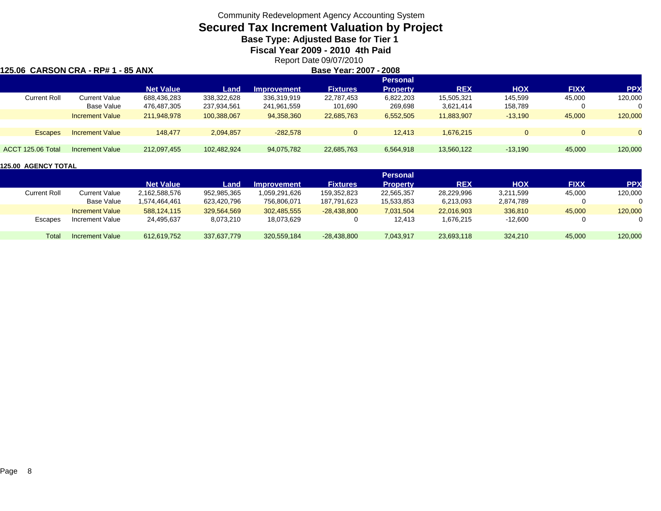# **Secured Tax Increment Valuation by Project**

**Base Type: Adjusted Base for Tier 1** 

**Fiscal Year 2009 - 2010 4th Paid**

Report Date 09/07/2010

#### **125.06 CARSON CRA - RP# 1 - 85 ANX**

**Base Year: 2007 - 2008**

|                     |                        |                  |             |                    |                 | <b>Personal</b> |            |            |             |            |
|---------------------|------------------------|------------------|-------------|--------------------|-----------------|-----------------|------------|------------|-------------|------------|
|                     |                        | <b>Net Value</b> | Land        | <b>Improvement</b> | <b>Fixtures</b> | <b>Property</b> | <b>REX</b> | <b>HOX</b> | <b>FIXX</b> | <b>PPX</b> |
| <b>Current Roll</b> | Current Value          | 688,436,283      | 338,322,628 | 336,319,919        | 22,787,453      | 6,822,203       | 15,505,321 | 145,599    | 45,000      | 120,000    |
|                     | Base Value             | 476,487,305      | 237,934,561 | 241,961,559        | 101,690         | 269,698         | 3,621,414  | 158,789    |             |            |
|                     | <b>Increment Value</b> | 211.948.978      | 100,388,067 | 94.358.360         | 22,685,763      | 6,552,505       | 11,883,907 | $-13,190$  | 45,000      | 120,000    |
|                     |                        |                  |             |                    |                 |                 |            |            |             |            |
| <b>Escapes</b>      | <b>Increment Value</b> | 148.477          | 2,094,857   | $-282,578$         |                 | 12,413          | 1,676,215  |            | 0           |            |
|                     |                        |                  |             |                    |                 |                 |            |            |             |            |
| ACCT 125.06 Total   | Increment Value        | 212,097,455      | 102,482,924 | 94,075,782         | 22,685,763      | 6,564,918       | 13,560,122 | $-13,190$  | 45,000      | 120,000    |

|                     |                        |                  |             |                    |                 | <b>Personal</b> |            |            |             |            |
|---------------------|------------------------|------------------|-------------|--------------------|-----------------|-----------------|------------|------------|-------------|------------|
|                     |                        | <b>Net Value</b> | Land        | <b>Improvement</b> | <b>Fixtures</b> | Property        | <b>REX</b> | <b>HOX</b> | <b>FIXX</b> | <b>PPX</b> |
| <b>Current Roll</b> | Current Value          | 2,162,588,576    | 952,985,365 | 059,291,626,       | 159,352,823     | 22,565,357      | 28,229,996 | 3,211,599  | 45,000      | 120,000    |
|                     | Base Value             | 1.574.464.461    | 623.420.796 | 756.806.071        | 187.791.623     | 15,533,853      | 6,213,093  | 2.874.789  |             | 0          |
|                     | <b>Increment Value</b> | 588.124.115      | 329,564,569 | 302,485,555        | $-28.438.800$   | 7,031,504       | 22.016.903 | 336,810    | 45,000      | 120,000    |
| <b>Escapes</b>      | Increment Value        | 24,495,637       | 8,073,210   | 18,073,629         |                 | 12,413          | 1,676,215  | $-12,600$  |             |            |
| Total               | Increment Value        | 612,619,752      | 337.637.779 | 320.559.184        | $-28.438.800$   | 7,043,917       | 23,693,118 | 324.210    | 45,000      | 120,000    |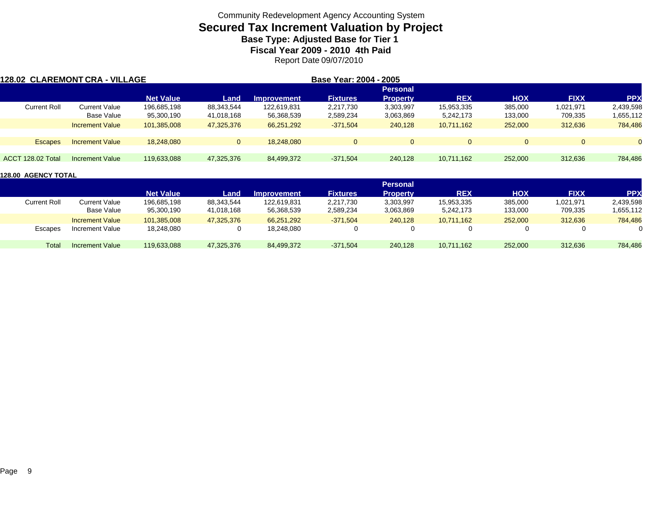## **Secured Tax Increment Valuation by Project Base Type: Adjusted Base for Tier 1**

**Fiscal Year 2009 - 2010 4th Paid**

Report Date 09/07/2010

| 128.02 CLAREMONT CRA - VILLAGE |                        |                  |            |             | Base Year: 2004 - 2005 |                 |            |            |             |           |
|--------------------------------|------------------------|------------------|------------|-------------|------------------------|-----------------|------------|------------|-------------|-----------|
|                                |                        |                  |            |             |                        | <b>Personal</b> |            |            |             |           |
|                                |                        | <b>Net Value</b> | Land       | Improvement | <b>Fixtures</b>        | <b>Property</b> | <b>REX</b> | <b>HOX</b> | <b>FIXX</b> | <b>PP</b> |
| <b>Current Roll</b>            | <b>Current Value</b>   | 196,685,198      | 88,343,544 | 122.619.831 | 2,217,730              | 3,303,997       | 15,953,335 | 385,000    | 1,021,971   | 2,439,598 |
|                                | Base Value             | 95,300,190       | 41,018,168 | 56,368,539  | 2,589,234              | 3,063,869       | 5,242,173  | 133,000    | 709,335     | 1,655,112 |
|                                | <b>Increment Value</b> | 101.385.008      | 47,325,376 | 66,251,292  | $-371,504$             | 240,128         | 10,711,162 | 252,000    | 312,636     | 784,486   |
| <b>Escapes</b>                 | <b>Increment Value</b> | 18.248.080       | $\Omega$   | 18.248.080  | $\Omega$               | $\Omega$        |            | $\Omega$   | $\Omega$    |           |
| <b>ACCT 128.02 Total</b>       | Increment Value        | 119,633,088      | 47,325,376 | 84,499,372  | $-371,504$             | 240,128         | 10.711.162 | 252,000    | 312,636     | 784,486   |

|                     |                        |                  |            |                    |                 | <b>Personal</b> |            |            |             |            |
|---------------------|------------------------|------------------|------------|--------------------|-----------------|-----------------|------------|------------|-------------|------------|
|                     |                        | <b>Net Value</b> | Land       | <b>Improvement</b> | <b>Fixtures</b> | Propertv        | <b>REX</b> | <b>HOX</b> | <b>FIXX</b> | <b>PPX</b> |
| <b>Current Roll</b> | Current Value          | 196,685,198      | 88,343,544 | 122,619,831        | 2,217,730       | 3,303,997       | 15,953,335 | 385,000    | 1,021,971   | 2,439,598  |
|                     | Base Value             | 95,300,190       | 41,018,168 | 56,368,539         | 2,589,234       | 3,063,869       | 5,242,173  | 133,000    | 709,335     | 1,655,112  |
|                     | <b>Increment Value</b> | 101.385.008      | 47,325,376 | 66.251.292         | $-371,504$      | 240.128         | 10.711.162 | 252,000    | 312,636     | 784,486    |
| Escapes             | Increment Value        | 18,248,080       |            | 18,248,080         | 0               |                 |            |            | 0           |            |
| Total               | <b>Increment Value</b> | 119.633.088      | 47,325,376 | 84,499,372         | $-371.504$      | 240.128         | 10,711,162 | 252,000    | 312,636     | 784,486    |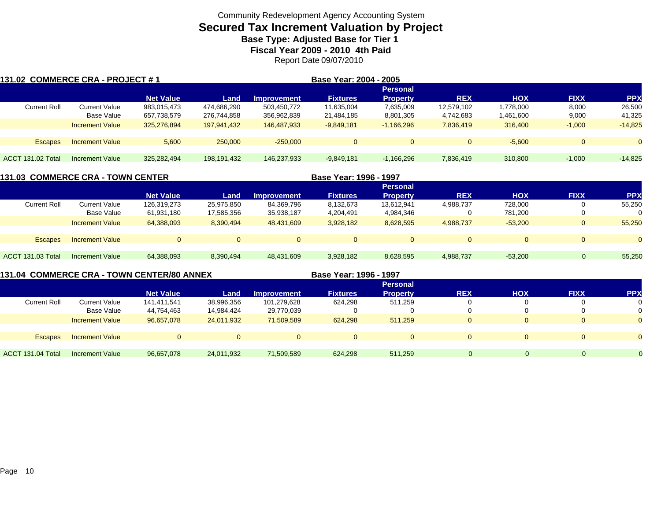## **Secured Tax Increment Valuation by Project Base Type: Adjusted Base for Tier 1**

**Fiscal Year 2009 - 2010 4th Paid**

Report Date 09/07/2010

| 131.02 COMMERCE CRA - PROJECT # 1 |                        |                  |             |                    | Base Year: 2004 - 2005 |                 |            |            |              |            |
|-----------------------------------|------------------------|------------------|-------------|--------------------|------------------------|-----------------|------------|------------|--------------|------------|
|                                   |                        |                  |             |                    |                        | <b>Personal</b> |            |            |              |            |
|                                   |                        | <b>Net Value</b> | Land        | <b>Improvement</b> | <b>Fixtures</b>        | <b>Property</b> | <b>REX</b> | <b>HOX</b> | <b>FIXX</b>  | <b>PPX</b> |
| <b>Current Roll</b>               | Current Value          | 983,015,473      | 474.686.290 | 503,450,772        | 11,635,004             | 7,635,009       | 12,579,102 | 1,778,000  | 8,000        | 26,500     |
|                                   | Base Value             | 657,738,579      | 276,744,858 | 356,962,839        | 21,484,185             | 8,801,305       | 4,742,683  | 1,461,600  | 9,000        | 41,325     |
|                                   | <b>Increment Value</b> | 325,276,894      | 197.941.432 | 146.487.933        | $-9,849,181$           | $-1,166,296$    | 7.836.419  | 316,400    | $-1,000$     | $-14,825$  |
|                                   |                        |                  |             |                    |                        |                 |            |            |              |            |
| <b>Escapes</b>                    | <b>Increment Value</b> | 5.600            | 250,000     | $-250.000$         | $\Omega$               | $\Omega$        | $\Omega$   | $-5.600$   | $\mathbf{0}$ | $\Omega$   |
|                                   |                        |                  |             |                    |                        |                 |            |            |              |            |
| ACCT 131.02 Total                 | Increment Value        | 325,282,494      | 198,191,432 | 146,237,933        | $-9.849.181$           | $-1,166,296$    | 7,836,419  | 310,800    | $-1.000$     | $-14.825$  |

|                     | <b>131.03  COMMERCE CRA - TOWN CENTER</b> |                  |            |                    | Base Year: 1996 - 1997 |                 |            |            |             |            |
|---------------------|-------------------------------------------|------------------|------------|--------------------|------------------------|-----------------|------------|------------|-------------|------------|
|                     |                                           |                  |            |                    |                        | <b>Personal</b> |            |            |             |            |
|                     |                                           | <b>Net Value</b> | Land       | <b>Improvement</b> | <b>Fixtures</b>        | <b>Property</b> | <b>REX</b> | <b>HOX</b> | <b>FIXX</b> | <b>PPX</b> |
| <b>Current Roll</b> | <b>Current Value</b>                      | 126,319,273      | 25,975,850 | 84,369,796         | 8,132,673              | 13,612,941      | 4,988,737  | 728.000    |             | 55,250     |
|                     | Base Value                                | 61,931,180       | 17,585,356 | 35,938,187         | 4,204,491              | 4,984,346       |            | 781,200    |             |            |
|                     | <b>Increment Value</b>                    | 64.388.093       | 8,390,494  | 48,431,609         | 3,928,182              | 8,628,595       | 4,988,737  | $-53.200$  |             | 55,250     |
| <b>Escapes</b>      | <b>Increment Value</b>                    | $\Omega$         |            |                    | $\Omega$               |                 |            | $\Omega$   |             |            |
| ACCT 131.03 Total   | Increment Value                           | 64,388,093       | 8,390,494  | 48.431.609         | 3,928,182              | 8,628,595       | 4,988,737  | $-53.200$  | $\mathbf 0$ | 55,250     |

**131.04 COMMERCE CRA - TOWN CENTER/80 ANNEX**

**Base Year: 1996 - 1997**

|                     |                        |                  |            |                    |                 | <b>Personal</b> |             |            |             |            |
|---------------------|------------------------|------------------|------------|--------------------|-----------------|-----------------|-------------|------------|-------------|------------|
|                     |                        | <b>Net Value</b> | Land       | <b>Improvement</b> | <b>Fixtures</b> | <b>Property</b> | <b>REX</b>  | <b>HOX</b> | <b>FIXX</b> | <b>PPX</b> |
| <b>Current Roll</b> | Current Value          | 141,411,541      | 38,996,356 | 101,279,628        | 624,298         | 511,259         | 0           |            |             |            |
|                     | <b>Base Value</b>      | 44,754,463       | 14,984,424 | 29,770,039         |                 |                 | 0           |            |             |            |
|                     | <b>Increment Value</b> | 96,657,078       | 24,011,932 | 71,509,589         | 624.298         | 511.259         | $\mathbf 0$ |            |             |            |
|                     |                        |                  |            |                    |                 |                 |             |            |             |            |
| <b>Escapes</b>      | <b>Increment Value</b> | $\Omega$         |            |                    | $\Omega$        |                 | $\mathbf 0$ |            |             |            |
|                     |                        |                  |            |                    |                 |                 |             |            |             |            |
| ACCT 131.04 Total   | <b>Increment Value</b> | 96,657,078       | 24,011,932 | 71,509,589         | 624,298         | 511.259         |             | O          | $\Omega$    |            |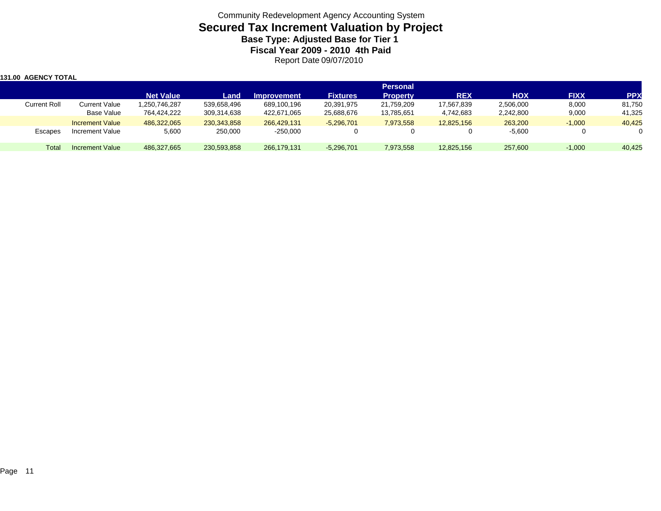| 1131.00 AGENCY TOTAL |                        |                  |               |                    |                 |                                    |            |            |             |            |
|----------------------|------------------------|------------------|---------------|--------------------|-----------------|------------------------------------|------------|------------|-------------|------------|
|                      |                        | <b>Net Value</b> | Land          | <b>Improvement</b> | <b>Fixtures</b> | <b>Personal</b><br><b>Property</b> | <b>REX</b> | <b>HOX</b> | <b>FIXX</b> | <b>PPX</b> |
| <b>Current Roll</b>  | <b>Current Value</b>   | 250,746,287      | 539,658,496   | 689,100,196        | 20,391,975      | 21,759,209                         | 17,567,839 | 2,506,000  | 8,000       | 81,750     |
|                      | Base Value             | 764,424,222      | 309,314,638   | 422,671,065        | 25,688,676      | 13,785,651                         | 4,742,683  | 2,242,800  | 9,000       | 41,325     |
|                      | <b>Increment Value</b> | 486,322,065      | 230, 343, 858 | 266.429.131        | $-5,296,701$    | 7,973,558                          | 12.825.156 | 263,200    | $-1,000$    | 40,425     |
| Escapes              | Increment Value        | 5,600            | 250,000       | $-250,000$         |                 |                                    |            | $-5,600$   | 0           | $\Omega$   |
| <b>Total</b>         | Increment Value        | 486,327,665      | 230,593,858   | 266,179,131        | $-5,296,701$    | 7,973,558                          | 12,825,156 | 257,600    | $-1,000$    | 40,425     |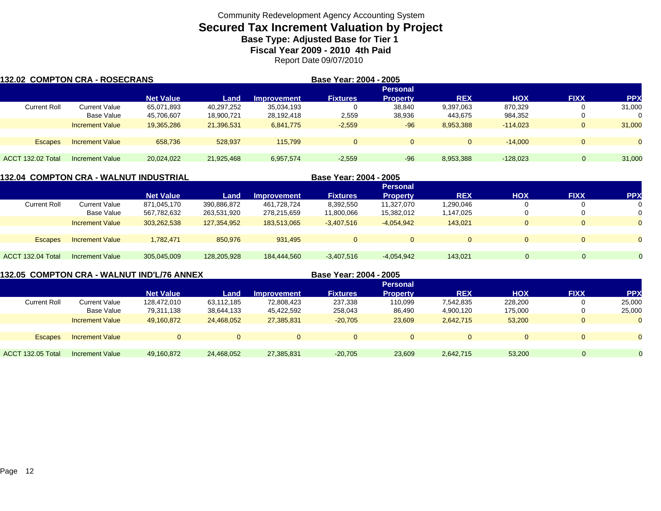## **Secured Tax Increment Valuation by Project Base Type: Adjusted Base for Tier 1**

**Fiscal Year 2009 - 2010 4th Paid**

Report Date 09/07/2010

| 132.02 COMPTON CRA - ROSECRANS |                        |                  |            |                    | Base Year: 2004 - 2005 |                 |              |            |             |            |
|--------------------------------|------------------------|------------------|------------|--------------------|------------------------|-----------------|--------------|------------|-------------|------------|
|                                |                        |                  |            |                    |                        | <b>Personal</b> |              |            |             |            |
|                                |                        | <b>Net Value</b> | Land       | <b>Improvement</b> | <b>Fixtures</b>        | <b>Property</b> | <b>REX</b>   | <b>HOX</b> | <b>FIXX</b> | <b>PPX</b> |
| <b>Current Roll</b>            | <b>Current Value</b>   | 65,071,893       | 40,297,252 | 35,034,193         | 0                      | 38,840          | 9,397,063    | 870,329    | U           | 31,000     |
|                                | Base Value             | 45,706,607       | 18,900,721 | 28,192,418         | 2,559                  | 38,936          | 443,675      | 984,352    | 0           | 0          |
|                                | <b>Increment Value</b> | 19.365.286       | 21,396,531 | 6,841,775          | $-2,559$               | $-96$           | 8,953,388    | $-114.023$ | $\Omega$    | 31,000     |
| <b>Escapes</b>                 | <b>Increment Value</b> | 658.736          | 528.937    | 115.799            | $\overline{0}$         | $\mathbf{0}$    | $\mathbf{0}$ | $-14.000$  | $\Omega$    | $\Omega$   |
|                                |                        |                  |            |                    |                        |                 |              |            |             |            |
| ACCT 132.02 Total              | Increment Value        | 20,024,022       | 21,925,468 | 6,957,574          | $-2,559$               | $-96$           | 8,953,388    | $-128.023$ |             | 31,000     |

#### **132.04 COMPTON CRA - WALNUT INDUSTRIAL**

| 132.04  COMPTON CRA - WALNUT INDUSTRIAL |                        |                  |             |                    | Base Year: 2004 - 2005 |                 |            |            |             |            |
|-----------------------------------------|------------------------|------------------|-------------|--------------------|------------------------|-----------------|------------|------------|-------------|------------|
|                                         |                        |                  |             |                    |                        | <b>Personal</b> |            |            |             |            |
|                                         |                        | <b>Net Value</b> | Land        | <b>Improvement</b> | <b>Fixtures</b>        | <b>Property</b> | <b>REX</b> | <b>HOX</b> | <b>FIXX</b> | <b>PPX</b> |
| <b>Current Roll</b>                     | Current Value          | 871,045,170      | 390.886.872 | 461.728.724        | 8,392,550              | 11.327.070      | 1,290,046  |            |             | 0          |
|                                         | Base Value             | 567,782,632      | 263,531,920 | 278,215,659        | 11,800,066             | 15,382,012      | 1,147,025  |            |             | 0          |
|                                         | <b>Increment Value</b> | 303,262,538      | 127,354,952 | 183,513,065        | $-3,407,516$           | $-4,054,942$    | 143.021    | 0          |             | $\Omega$   |
|                                         |                        |                  |             |                    |                        |                 |            |            |             |            |
| <b>Escapes</b>                          | <b>Increment Value</b> | 1,782,471        | 850.976     | 931.495            | $\Omega$               | $\Omega$        | $\Omega$   |            |             | $\Omega$   |
|                                         |                        |                  |             |                    |                        |                 |            |            |             |            |
| ACCT 132.04 Total                       | Increment Value        | 305,045,009      | 128,205,928 | 184,444,560        | $-3,407,516$           | $-4,054,942$    | 143,021    | $\Omega$   | $\Omega$    | $\Omega$   |

#### **132.05 COMPTON CRA - WALNUT IND'L/76 ANNEX**

**Base Year: 2004 - 2005**

|                     |                        | <b>Personal</b>  |            |                    |                 |          |             |            |              |            |  |
|---------------------|------------------------|------------------|------------|--------------------|-----------------|----------|-------------|------------|--------------|------------|--|
|                     |                        | <b>Net Value</b> | Land       | <b>Improvement</b> | <b>Fixtures</b> | Propertv | <b>REX</b>  | <b>HOX</b> | <b>FIXX</b>  | <b>PPX</b> |  |
| <b>Current Roll</b> | Current Value          | 128,472,010      | 63,112,185 | 72,808,423         | 237,338         | 110,099  | 7,542,835   | 228,200    |              | 25,000     |  |
|                     | Base Value             | 79,311,138       | 38,644,133 | 45,422,592         | 258,043         | 86,490   | 4,900,120   | 175,000    |              | 25,000     |  |
|                     | <b>Increment Value</b> | 49,160,872       | 24,468,052 | 27,385,831         | $-20,705$       | 23,609   | 2,642,715   | 53,200     | $\mathbf{0}$ |            |  |
|                     |                        |                  |            |                    |                 |          |             |            |              |            |  |
| <b>Escapes</b>      | <b>Increment Value</b> |                  | $\Omega$   | $\Omega$           | $\Omega$        |          | $\mathbf 0$ | $\Omega$   |              |            |  |
|                     |                        |                  |            |                    |                 |          |             |            |              |            |  |
| ACCT 132.05 Total   | <b>Increment Value</b> | 49,160,872       | 24,468,052 | 27,385,831         | $-20,705$       | 23,609   | 2,642,715   | 53,200     | $\Omega$     |            |  |
|                     |                        |                  |            |                    |                 |          |             |            |              |            |  |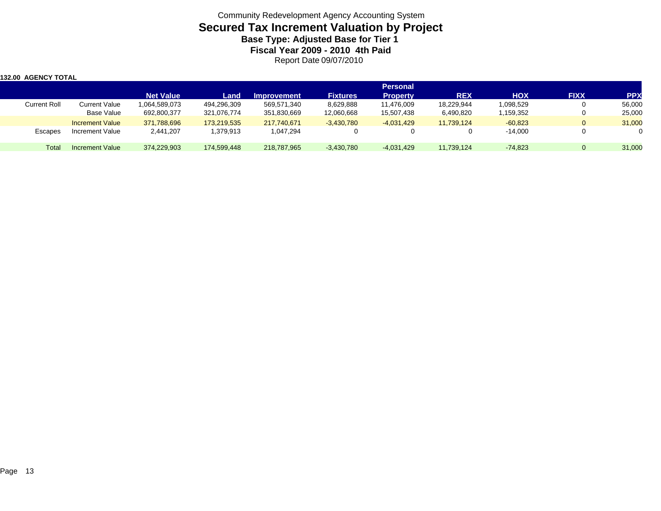| 132.00 AGENCY TOTAL |                        |                  |             |                    |                 |                                    |            |            |             |            |
|---------------------|------------------------|------------------|-------------|--------------------|-----------------|------------------------------------|------------|------------|-------------|------------|
|                     |                        | <b>Net Value</b> | Land        | <b>Improvement</b> | <b>Fixtures</b> | <b>Personal</b><br><b>Property</b> | <b>REX</b> | <b>HOX</b> | <b>FIXX</b> | <b>PPX</b> |
| <b>Current Roll</b> | Current Value          | 1,064,589,073    | 494,296,309 | 569,571,340        | 8,629,888       | 11,476,009                         | 18,229,944 | 1,098,529  |             | 56,000     |
|                     | Base Value             | 692,800,377      | 321,076,774 | 351,830,669        | 12,060,668      | 15,507,438                         | 6,490,820  | 1,159,352  |             | 25,000     |
|                     | <b>Increment Value</b> | 371,788,696      | 173,219,535 | 217.740.671        | $-3,430,780$    | $-4,031,429$                       | 11,739,124 | $-60,823$  | 0           | 31,000     |
| <b>Escapes</b>      | Increment Value        | 2,441,207        | 379,913. ا  | 1,047,294          |                 |                                    | 0          | $-14,000$  |             |            |
| Total               | Increment Value        | 374,229,903      | 174,599,448 | 218,787,965        | $-3,430,780$    | $-4,031,429$                       | 11,739,124 | $-74.823$  | 0           | 31,000     |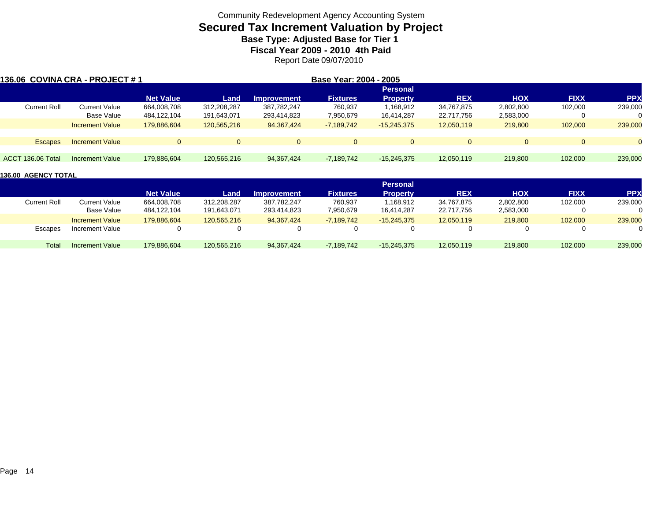# **Secured Tax Increment Valuation by Project**

**Base Type: Adjusted Base for Tier 1 Fiscal Year 2009 - 2010 4th Paid**

Report Date 09/07/2010

| l136.06 COVINA CRA - PROJECT # 1 |                        |                  |             |              | Base Year: 2004 - 2005 |                 |            |            |             |           |
|----------------------------------|------------------------|------------------|-------------|--------------|------------------------|-----------------|------------|------------|-------------|-----------|
|                                  |                        |                  |             |              |                        | <b>Personal</b> |            |            |             |           |
|                                  |                        | <b>Net Value</b> | Land        | Improvement  | <b>Fixtures</b>        | <b>Property</b> | <b>REX</b> | <b>HOX</b> | <b>FIXX</b> | <b>PP</b> |
| <b>Current Roll</b>              | <b>Current Value</b>   | 664,008,708      | 312,208,287 | 387,782,247  | 760,937                | 1,168,912       | 34,767,875 | 2,802,800  | 102,000     | 239,000   |
|                                  | Base Value             | 484,122,104      | 191,643,071 | 293,414,823  | 7,950,679              | 16,414,287      | 22,717,756 | 2,583,000  |             | $\Omega$  |
|                                  | <b>Increment Value</b> | 179,886,604      | 120,565,216 | 94, 367, 424 | $-7,189,742$           | $-15,245,375$   | 12,050,119 | 219,800    | 102,000     | 239,000   |
| <b>Escapes</b>                   | <b>Increment Value</b> |                  | $\Omega$    | $\Omega$     | $\Omega$               | $\Omega$        | $\Omega$   | $\Omega$   |             | $\Omega$  |
|                                  |                        |                  |             |              |                        |                 |            |            |             |           |
| ACCT 136.06 Total                | Increment Value        | 179.886.604      | 120,565,216 | 94.367.424   | $-7,189,742$           | $-15,245,375$   | 12,050,119 | 219,800    | 102,000     | 239,000   |

|                     |                        |                  |             |                    |                 | <b>Personal</b> |            |            |             |            |
|---------------------|------------------------|------------------|-------------|--------------------|-----------------|-----------------|------------|------------|-------------|------------|
|                     |                        | <b>Net Value</b> | Land        | <b>Improvement</b> | <b>Fixtures</b> | Propertv        | <b>REX</b> | <b>HOX</b> | <b>FIXX</b> | <b>PPX</b> |
| <b>Current Roll</b> | Current Value          | 664,008,708      | 312,208,287 | 387,782,247        | 760,937         | 1,168,912       | 34,767,875 | 2,802,800  | 102,000     | 239,000    |
|                     | Base Value             | 484,122,104      | 191.643.071 | 293,414,823        | 7,950,679       | 16.414.287      | 22,717,756 | 2,583,000  |             |            |
|                     | <b>Increment Value</b> | 179.886.604      | 120.565.216 | 94.367.424         | $-7.189.742$    | $-15.245.375$   | 12,050,119 | 219,800    | 102,000     | 239,000    |
| Escapes             | Increment Value        |                  |             |                    |                 |                 |            |            | 0           |            |
| Total               | <b>Increment Value</b> | 179,886,604      | 120,565,216 | 94, 367, 424       | $-7,189,742$    | $-15,245,375$   | 12,050,119 | 219,800    | 102,000     | 239,000    |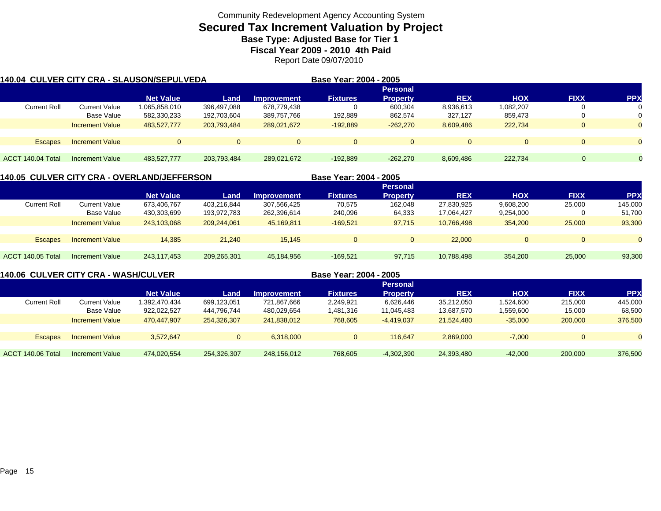### **Secured Tax Increment Valuation by Project Base Type: Adjusted Base for Tier 1**

**Fiscal Year 2009 - 2010 4th Paid**

Report Date 09/07/2010

| 140.04 CULVER CITY CRA - SLAUSON/SEPULVEDA |                        |                  |             |                    | Base Year: 2004 - 2005 |                 |            |            |             |            |
|--------------------------------------------|------------------------|------------------|-------------|--------------------|------------------------|-----------------|------------|------------|-------------|------------|
|                                            |                        |                  |             |                    |                        | <b>Personal</b> |            |            |             |            |
|                                            |                        | <b>Net Value</b> | Land        | <b>Improvement</b> | <b>Fixtures</b>        | <b>Property</b> | <b>REX</b> | <b>HOX</b> | <b>FIXX</b> | <b>PPX</b> |
| <b>Current Roll</b>                        | Current Value          | 1,065,858,010    | 396,497,088 | 678,779,438        |                        | 600.304         | 8,936,613  | 1,082,207  |             |            |
|                                            | Base Value             | 582,330,233      | 192,703,604 | 389,757,766        | 192,889                | 862,574         | 327,127    | 859,473    |             |            |
|                                            | <b>Increment Value</b> | 483,527,777      | 203,793,484 | 289,021,672        | $-192,889$             | $-262.270$      | 8,609,486  | 222.734    |             | $\Omega$   |
|                                            |                        |                  |             |                    |                        |                 |            |            |             |            |
| <b>Escapes</b>                             | <b>Increment Value</b> | $\Omega$         |             |                    |                        | $\Omega$        | $\Omega$   |            |             |            |
|                                            |                        |                  |             |                    |                        |                 |            |            |             |            |
| ACCT 140.04 Total                          | Increment Value        | 483.527.777      | 203.793.484 | 289.021.672        | $-192.889$             | $-262.270$      | 8,609,486  | 222.734    | $\Omega$    |            |

#### **140.05 CULVER CITY CRA - OVERLAND/JEFFERSON Base Year: 2004 - 2005 PersonalNet Value Land Improvement Fixtures Property REX HOX FIXX PPX** Current Roll Current Value 673,406,767 403,216,844 307,566,425 70,575 162,048 27,830,925 9,608,200 25,000 145,000 Base Value 430,303,699 193,972,783 262,396,614 240,096 64,333 17,064,427 9,254,000 0 51,700 Increment Value 243,103,068 209,244,061 45,169,811 -169,521 97,715 10,766,498 354,200 25,000 93,300 Escapes Increment Value 14,385 21,240 15,145 0 0 22,000 0 0 0 ACCT 140.05 TotalIncrement Value 243,117,453 209,265,301 45,184,956 -169,521 97,715 10,788,498 354,200 25,000 93,300

**140.06 CULVER CITY CRA - WASH/CULVER Base Year: 2004 - 2005 Personal Net Value Land Improvement Fixtures Property REX HOX FIXX PPX** Current Roll Current Value 1,392,470,434 699,123,051 721,867,666 2,249,921 6,626,446 35,212,050 1,524,600 215,000 445,000 Base Value 922,022,527 444,796,744 480,029,654 1,481,316 11,045,483 13,687,570 1,559,600 15,000 68,500 Increment Value 470,447,907 254,326,307 241,838,012 768,605 -4,419,037 21,524,480 -35,000 200,000 376,500 Escapes Increment Value 3,572,647 0 6,318,000 0 116,647 2,869,000 -7,000 0 ACCT 140.06 TotalIncrement Value 474,020,554 254,326,307 248,156,012 768,605 -4,302,390 24,393,480 -42,000 200,000 376,500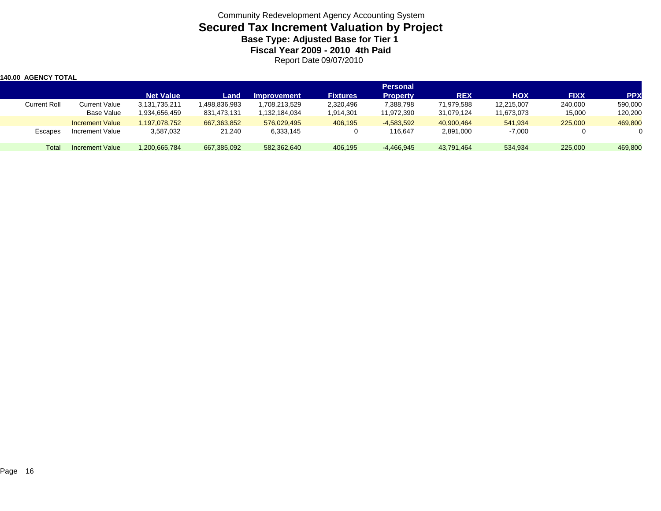| 140.00 AGENCY TOTAL |                        |                  |              |                    |                 |                 |            |            |             |            |
|---------------------|------------------------|------------------|--------------|--------------------|-----------------|-----------------|------------|------------|-------------|------------|
|                     |                        |                  |              |                    |                 | <b>Personal</b> |            |            |             |            |
|                     |                        | <b>Net Value</b> | Land         | <b>Improvement</b> | <b>Fixtures</b> | <b>Property</b> | <b>REX</b> | <b>HOX</b> | <b>FIXX</b> | <b>PPX</b> |
| <b>Current Roll</b> | <b>Current Value</b>   | 3,131,735,211    | .498,836,983 | ,708,213,529       | 2,320,496       | 7,388,798       | 71,979,588 | 12,215,007 | 240,000     | 590,000    |
|                     | Base Value             | 1,934,656,459    | 831,473,131  | 1,132,184,034      | 1,914,301       | 11,972,390      | 31,079,124 | 11,673,073 | 15,000      | 120,200    |
|                     | <b>Increment Value</b> | 197,078,752      | 667,363,852  | 576,029,495        | 406,195         | $-4,583,592$    | 40,900,464 | 541,934    | 225,000     | 469,800    |
| Escapes             | Increment Value        | 3,587,032        | 21,240       | 6,333,145          |                 | 116.647         | 2,891,000  | $-7,000$   |             |            |
| Total               | <b>Increment Value</b> | 1,200,665,784    | 667,385,092  | 582,362,640        | 406,195         | $-4,466,945$    | 43,791,464 | 534,934    | 225,000     | 469,800    |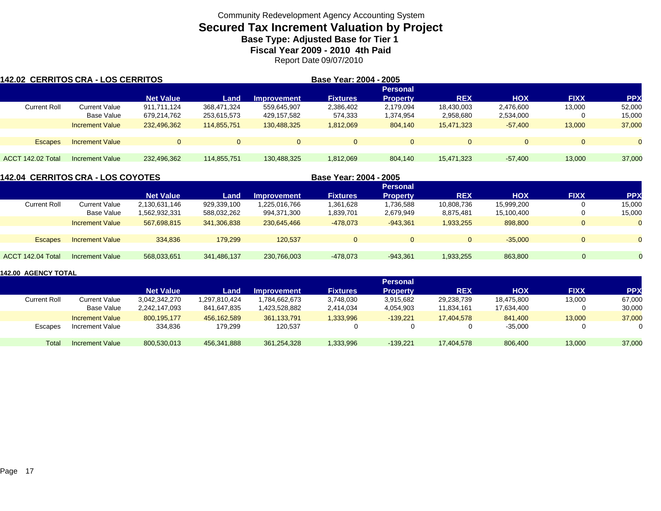# **Secured Tax Increment Valuation by Project**

**Base Type: Adjusted Base for Tier 1 Fiscal Year 2009 - 2010 4th Paid**

Report Date 09/07/2010

| 142.02 CERRITOS CRA - LOS CERRITOS |                        |                  |                |                    | Base Year: 2004 - 2005 |                 |            |            |                |            |
|------------------------------------|------------------------|------------------|----------------|--------------------|------------------------|-----------------|------------|------------|----------------|------------|
|                                    |                        |                  |                |                    |                        | <b>Personal</b> |            |            |                |            |
|                                    |                        | <b>Net Value</b> | Land           | <b>Improvement</b> | <b>Fixtures</b>        | <b>Property</b> | <b>REX</b> | <b>HOX</b> | <b>FIXX</b>    | <b>PPX</b> |
| <b>Current Roll</b>                | Current Value          | 911.711.124      | 368.471.324    | 559,645,907        | 2,386,402              | 2,179,094       | 18,430,003 | 2,476,600  | 13,000         | 52,000     |
|                                    | Base Value             | 679,214,762      | 253,615,573    | 429,157,582        | 574,333                | 1,374,954       | 2,958,680  | 2,534,000  | 0              | 15,000     |
|                                    | <b>Increment Value</b> | 232,496,362      | 114,855,751    | 130,488,325        | 1,812,069              | 804.140         | 15.471.323 | $-57,400$  | 13,000         | 37,000     |
|                                    |                        |                  |                |                    |                        |                 |            |            |                |            |
| <b>Escapes</b>                     | <b>Increment Value</b> | $\Omega$         | $\overline{0}$ | $\overline{0}$     | $\Omega$               |                 | $\Omega$   | $\Omega$   | $\overline{0}$ | $\Omega$   |
|                                    |                        |                  |                |                    |                        |                 |            |            |                |            |
| ACCT 142.02 Total                  | Increment Value        | 232,496,362      | 114.855.751    | 130,488,325        | 1,812,069              | 804.140         | 15.471.323 | $-57.400$  | 13.000         | 37,000     |

| <b>142.04 CERRITOS CRA - LOS COYOTES</b> |                        |                  |             |                    | Base Year: 2004 - 2005 |                 |              |            |                |            |
|------------------------------------------|------------------------|------------------|-------------|--------------------|------------------------|-----------------|--------------|------------|----------------|------------|
|                                          |                        |                  |             |                    |                        |                 |              |            |                |            |
|                                          |                        | <b>Net Value</b> | Land        | <b>Improvement</b> | <b>Fixtures</b>        | <b>Property</b> | <b>REX</b>   | <b>HOX</b> | <b>FIXX</b>    | <b>PPX</b> |
| <b>Current Roll</b>                      | <b>Current Value</b>   | 2,130,631,146    | 929,339,100 | 1,225,016,766      | .361,628               | 1,736,588       | 10,808,736   | 15,999,200 |                | 15,000     |
|                                          | <b>Base Value</b>      | 1,562,932,331    | 588,032,262 | 994,371,300        | 1,839,701              | 2,679,949       | 8,875,481    | 15,100,400 |                | 15,000     |
|                                          | <b>Increment Value</b> | 567,698,815      | 341,306,838 | 230,645,466        | $-478,073$             | $-943.361$      | 1,933,255    | 898,800    | $\overline{0}$ | $\Omega$   |
|                                          |                        |                  |             |                    |                        |                 |              |            |                |            |
| <b>Escapes</b>                           | <b>Increment Value</b> | 334.836          | 179.299     | 120.537            | $\overline{0}$         | $\Omega$        | $\mathbf{0}$ | $-35.000$  | 0              | $\Omega$   |
|                                          |                        |                  |             |                    |                        |                 |              |            |                |            |
| ACCT 142.04 Total                        | Increment Value        | 568,033,651      | 341,486,137 | 230,766,003        | -478,073               | $-943,361$      | 1,933,255    | 863.800    | 0              | $\Omega$   |

|              |                        |                  |               |                    |                 | <b>Personal</b> |            |            |             |            |
|--------------|------------------------|------------------|---------------|--------------------|-----------------|-----------------|------------|------------|-------------|------------|
|              |                        | <b>Net Value</b> | Land          | <b>Improvement</b> | <b>Fixtures</b> | <b>Property</b> | <b>REX</b> | <b>HOX</b> | <b>FIXX</b> | <b>PPX</b> |
| Current Roll | <b>Current Value</b>   | 3,042,342,270    | 1,297,810,424 | .784,662,673       | 3,748,030       | 3,915,682       | 29,238,739 | 18,475,800 | 13,000      | 67,000     |
|              | Base Value             | 2,242,147,093    | 841.647.835   | 1,423,528,882      | 2,414,034       | 4,054,903       | 11,834,161 | 17,634,400 |             | 30,000     |
|              | <b>Increment Value</b> | 800.195.177      | 456.162.589   | 361,133,791        | 1,333,996       | $-139.221$      | 17.404.578 | 841.400    | 13,000      | 37,000     |
| Escapes      | Increment Value        | 334,836          | 179,299       | 120,537            |                 | $\Omega$        |            | $-35.000$  |             |            |
| Total        | Increment Value        | 800,530,013      | 456,341,888   | 361,254,328        | 1,333,996       | $-139.221$      | 17,404,578 | 806,400    | 13,000      | 37,000     |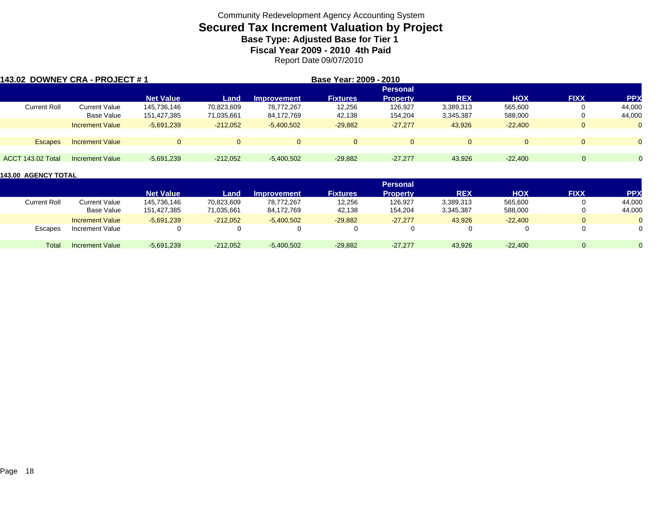## **Secured Tax Increment Valuation by Project Base Type: Adjusted Base for Tier 1**

**Fiscal Year 2009 - 2010 4th Paid**

Report Date 09/07/2010

| 143.02 DOWNEY CRA - PROJECT # 1 |                        |                  |            |                    | Base Year: 2009 - 2010 |                 |            |            |              |            |
|---------------------------------|------------------------|------------------|------------|--------------------|------------------------|-----------------|------------|------------|--------------|------------|
|                                 |                        |                  |            |                    |                        | <b>Personal</b> |            |            |              |            |
|                                 |                        | <b>Net Value</b> | Land       | <b>Improvement</b> | <b>Fixtures</b>        | <b>Property</b> | <b>REX</b> | <b>HOX</b> | <b>FIXX</b>  | <b>PPX</b> |
| <b>Current Roll</b>             | <b>Current Value</b>   | 145.736.146      | 70,823,609 | 78.772.267         | 12,256                 | 126.927         | 3,389,313  | 565.600    | 0            | 44,000     |
|                                 | Base Value             | 151,427,385      | 71,035,661 | 84,172,769         | 42,138                 | 154.204         | 3,345,387  | 588,000    | 0            | 44,000     |
|                                 | <b>Increment Value</b> | $-5.691.239$     | $-212,052$ | $-5,400,502$       | $-29,882$              | $-27,277$       | 43,926     | $-22.400$  | $\mathbf{0}$ |            |
| <b>Escapes</b>                  | <b>Increment Value</b> |                  | $\Omega$   | $\Omega$           | $\Omega$               | $\Omega$        |            | $\Omega$   | $\Omega$     |            |
|                                 |                        |                  |            |                    |                        |                 |            |            |              |            |
| ACCT 143.02 Total               | Increment Value        | $-5,691,239$     | $-212,052$ | $-5,400,502$       | $-29,882$              | $-27.277$       | 43,926     | $-22,400$  | $\Omega$     | $\Omega$   |

|                     |                        |                  |            |                    |                 | <b>Personal</b> |            |            |             |            |
|---------------------|------------------------|------------------|------------|--------------------|-----------------|-----------------|------------|------------|-------------|------------|
|                     |                        | <b>Net Value</b> | Land       | <b>Improvement</b> | <b>Fixtures</b> | <b>Property</b> | <b>REX</b> | <b>HOX</b> | <b>FIXX</b> | <b>PPX</b> |
| <b>Current Roll</b> | Current Value          | 145.736.146      | 70,823,609 | 78.772.267         | 12,256          | 126,927         | 3,389,313  | 565,600    |             | 44,000     |
|                     | Base Value             | 151,427,385      | 71,035,661 | 84,172,769         | 42,138          | 154,204         | 3,345,387  | 588,000    |             | 44,000     |
|                     | <b>Increment Value</b> | $-5.691.239$     | $-212,052$ | $-5,400,502$       | $-29,882$       | $-27.277$       | 43,926     | $-22.400$  |             |            |
| Escapes             | Increment Value        |                  |            |                    |                 |                 |            |            |             |            |
| Total               | Increment Value        | $-5,691,239$     | $-212.052$ | $-5,400,502$       | $-29,882$       | $-27.277$       | 43,926     | $-22.400$  |             |            |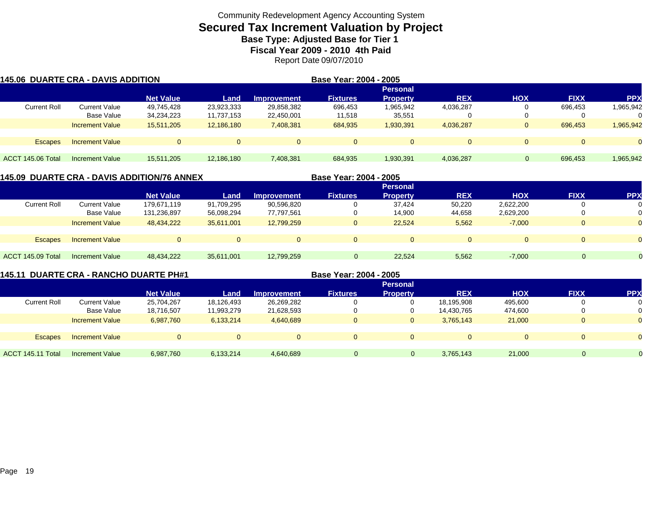## **Secured Tax Increment Valuation by Project Base Type: Adjusted Base for Tier 1**

**Fiscal Year 2009 - 2010 4th Paid**

Report Date 09/07/2010

|                     | <b>145.06 DUARTE CRA - DAVIS ADDITION</b> |                  |            |                    | Base Year: 2004 - 2005 |                 |              |            |                |            |
|---------------------|-------------------------------------------|------------------|------------|--------------------|------------------------|-----------------|--------------|------------|----------------|------------|
|                     |                                           |                  |            |                    |                        | <b>Personal</b> |              |            |                |            |
|                     |                                           | <b>Net Value</b> | Land       | <b>Improvement</b> | <b>Fixtures</b>        | <b>Property</b> | <b>REX</b>   | <b>HOX</b> | <b>FIXX</b>    | <b>PPX</b> |
| <b>Current Roll</b> | <b>Current Value</b>                      | 49,745,428       | 23,923,333 | 29,858,382         | 696,453                | 1,965,942       | 4,036,287    |            | 696.453        | 1,965,942  |
|                     | Base Value                                | 34,234,223       | 11,737,153 | 22,450,001         | 11,518                 | 35,551          |              |            | $\Omega$       | 0          |
|                     | <b>Increment Value</b>                    | 15,511,205       | 12,186,180 | 7,408,381          | 684,935                | 1,930,391       | 4,036,287    | $\Omega$   | 696.453        | 1,965,942  |
| <b>Escapes</b>      | <b>Increment Value</b>                    | $\overline{0}$   |            | $\Omega$           | $\Omega$               | $\Omega$        | $\mathbf{0}$ | $\Omega$   | $\overline{0}$ | $\Omega$   |
|                     |                                           |                  |            |                    |                        |                 |              |            |                |            |
| ACCT 145.06 Total   | Increment Value                           | 15.511.205       | 12,186,180 | 7,408,381          | 684,935                | 1,930,391       | 4,036,287    |            | 696.453        | 1,965,942  |

|                     |                        | 145.09  DUARTE CRA - DAVIS ADDITION/76 ANNEX |            |                    | Base Year: 2004 - 2005 |                 |                |            |             |            |
|---------------------|------------------------|----------------------------------------------|------------|--------------------|------------------------|-----------------|----------------|------------|-------------|------------|
|                     |                        |                                              |            |                    |                        | <b>Personal</b> |                |            |             |            |
|                     |                        | <b>Net Value</b>                             | Land       | <b>Improvement</b> | <b>Fixtures</b>        | <b>Property</b> | <b>REX</b>     | <b>HOX</b> | <b>FIXX</b> | <b>PPX</b> |
| <b>Current Roll</b> | <b>Current Value</b>   | 179,671,119                                  | 91,709,295 | 90,596,820         | 0                      | 37.424          | 50,220         | 2,622,200  |             |            |
|                     | <b>Base Value</b>      | 131,236,897                                  | 56,098,294 | 77,797,561         | 0                      | 14,900          | 44,658         | 2,629,200  |             |            |
|                     | <b>Increment Value</b> | 48,434,222                                   | 35,611,001 | 12,799,259         | $\mathbf{0}$           | 22,524          | 5,562          | $-7,000$   |             |            |
|                     |                        |                                              |            |                    |                        |                 |                |            |             |            |
| <b>Escapes</b>      | <b>Increment Value</b> | $\Omega$                                     |            | $\Omega$           | $\Omega$               | $\Omega$        | $\overline{0}$ | $\Omega$   | 0           |            |
|                     |                        |                                              |            |                    |                        |                 |                |            |             |            |
| ACCT 145.09 Total   | Increment Value        | 48,434,222                                   | 35.611.001 | 12,799,259         | $\Omega$               | 22.524          | 5,562          | $-7,000$   | 0           |            |
|                     |                        |                                              |            |                    |                        |                 |                |            |             |            |

**145.11 DUARTE CRA - RANCHO DUARTE PH#1 Base Year: 2004 - 2005**

|                     |                        |                  |            |                    |                 | <b>Personal</b> |              |            |             |                |
|---------------------|------------------------|------------------|------------|--------------------|-----------------|-----------------|--------------|------------|-------------|----------------|
|                     |                        | <b>Net Value</b> | Land       | <b>Improvement</b> | <b>Fixtures</b> | <b>Property</b> | <b>REX</b>   | <b>HOX</b> | <b>FIXX</b> | <b>PPX</b>     |
| <b>Current Roll</b> | Current Value          | 25,704,267       | 18,126,493 | 26,269,282         |                 |                 | 18,195,908   | 495,600    | 0           | 0              |
|                     | <b>Base Value</b>      | 18,716,507       | 11,993,279 | 21,628,593         |                 | 0               | 14,430,765   | 474,600    | 0           | 0              |
|                     | <b>Increment Value</b> | 6,987,760        | 6,133,214  | 4,640,689          |                 | 0               | 3,765,143    | 21,000     | $\Omega$    | $\overline{0}$ |
|                     |                        |                  |            |                    |                 |                 |              |            |             |                |
| <b>Escapes</b>      | <b>Increment Value</b> | $\overline{0}$   |            |                    | $\Omega$        | $\Omega$        | $\mathbf{0}$ |            | $\Omega$    | $\Omega$       |
|                     |                        |                  |            |                    |                 |                 |              |            |             |                |
| ACCT 145.11 Total   | <b>Increment Value</b> | 6,987,760        | 6,133,214  | 4,640,689          | n               |                 | 3,765,143    | 21,000     |             |                |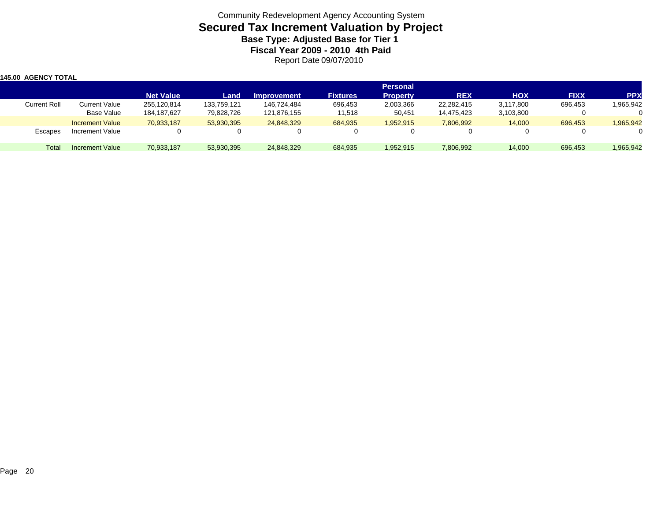| 145.00 AGENCY TOTAL |                             |                            |                           |                            |                   |                                    |                          |                        |             |            |
|---------------------|-----------------------------|----------------------------|---------------------------|----------------------------|-------------------|------------------------------------|--------------------------|------------------------|-------------|------------|
|                     |                             | <b>Net Value</b>           | Land                      | <b>Improvement</b>         | <b>Fixtures</b>   | <b>Personal</b><br><b>Property</b> | <b>REX</b>               | <b>HOX</b>             | <b>FIXX</b> | <b>PPX</b> |
| <b>Current Roll</b> | Current Value<br>Base Value | 255,120,814<br>184,187,627 | 133,759,121<br>79,828,726 | 146,724,484<br>121,876,155 | 696,453<br>11,518 | 2,003,366<br>50,451                | 22,282,415<br>14.475.423 | 3,117,800<br>3,103,800 | 696,453     | 1,965,942  |
|                     | <b>Increment Value</b>      | 70,933,187                 | 53,930,395                | 24,848,329                 | 684,935           | 1,952,915                          | 7,806,992                | 14,000                 | 696,453     | 1,965,942  |
| <b>Escapes</b>      | Increment Value             |                            |                           | 0                          |                   |                                    |                          |                        |             |            |
| Total               | Increment Value             | 70,933,187                 | 53,930,395                | 24,848,329                 | 684,935           | 1,952,915                          | 7,806,992                | 14,000                 | 696,453     | 1,965,942  |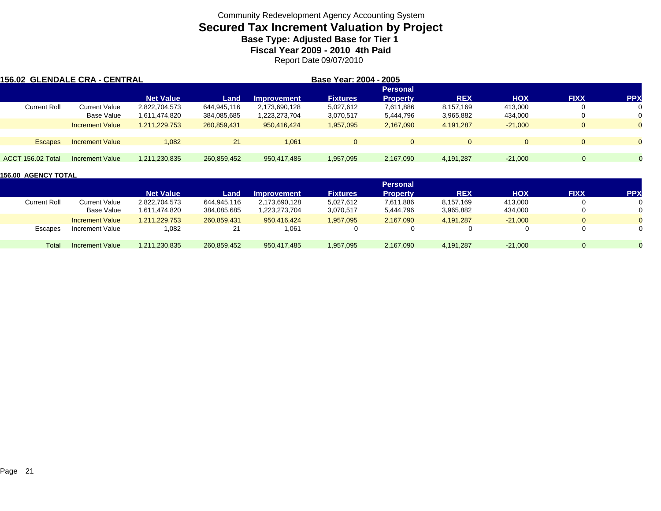## **Secured Tax Increment Valuation by Project Base Type: Adjusted Base for Tier 1**

**Fiscal Year 2009 - 2010 4th Paid**

Report Date 09/07/2010

| 156.02 GLENDALE CRA - CENTRAL |                        |                  |             |                    | Base Year: 2004 - 2005 |                 |              |            |                |            |
|-------------------------------|------------------------|------------------|-------------|--------------------|------------------------|-----------------|--------------|------------|----------------|------------|
|                               |                        |                  |             |                    |                        | <b>Personal</b> |              |            |                |            |
|                               |                        | <b>Net Value</b> | Land        | <b>Improvement</b> | <b>Fixtures</b>        | <b>Property</b> | <b>REX</b>   | <b>HOX</b> | <b>FIXX</b>    | <b>PPX</b> |
| <b>Current Roll</b>           | <b>Current Value</b>   | 2,822,704,573    | 644,945,116 | 2,173,690,128      | 5,027,612              | 7,611,886       | 8,157,169    | 413,000    | $\mathbf{0}$   | 0          |
|                               | Base Value             | 1,611,474,820    | 384,085,685 | 1,223,273,704      | 3,070,517              | 5,444,796       | 3,965,882    | 434,000    | $\overline{0}$ | 0          |
|                               | <b>Increment Value</b> | 1,211,229,753    | 260,859,431 | 950.416.424        | 1,957,095              | 2,167,090       | 4,191,287    | $-21.000$  | $\mathbf{0}$   | $\Omega$   |
| <b>Escapes</b>                | <b>Increment Value</b> | 1,082            | 21          | 1,061              | $\overline{0}$         | $\Omega$        | $\mathbf{0}$ |            | $\Omega$       | $\Omega$   |
|                               |                        |                  |             |                    |                        |                 |              |            |                |            |
| <b>ACCT 156.02 Total</b>      | Increment Value        | 1,211,230,835    | 260.859.452 | 950,417,485        | 1,957,095              | 2,167,090       | 4,191,287    | $-21.000$  | $\Omega$       | $\Omega$   |

|                     |                        |                  |             |                    |                 | <b>Personal</b> |            |            |             |            |
|---------------------|------------------------|------------------|-------------|--------------------|-----------------|-----------------|------------|------------|-------------|------------|
|                     |                        | <b>Net Value</b> | Land        | <b>Improvement</b> | <b>Fixtures</b> | Propertv        | <b>REX</b> | <b>HOX</b> | <b>FIXX</b> | <b>PPX</b> |
| <b>Current Roll</b> | Current Value          | 2,822,704,573    | 644,945,116 | 2,173,690,128      | 5,027,612       | 7,611,886       | 8,157,169  | 413,000    |             |            |
|                     | Base Value             | 1,611,474,820    | 384,085,685 | 223,273,704        | 3,070,517       | 5,444,796       | 3,965,882  | 434,000    | 0           |            |
|                     | <b>Increment Value</b> | 1,211,229,753    | 260,859,431 | 950.416.424        | 1,957,095       | 2,167,090       | 4.191.287  | $-21.000$  | $\Omega$    |            |
| Escapes             | Increment Value        | 0.082            | 21          | 1,061              | 0               |                 |            |            | 0           |            |
| Total               | <b>Increment Value</b> | 1,211,230,835    | 260,859,452 | 950,417,485        | 1,957,095       | 2,167,090       | 4,191,287  | $-21,000$  | 0           |            |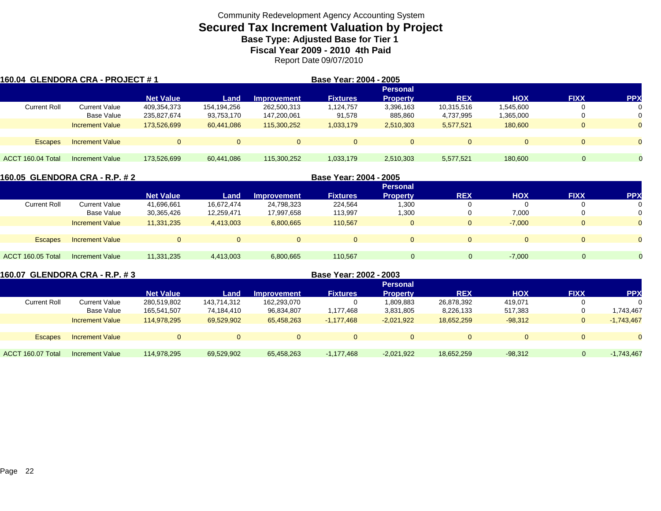# **Secured Tax Increment Valuation by Project**

**Base Type: Adjusted Base for Tier 1 Fiscal Year 2009 - 2010 4th Paid**

Report Date 09/07/2010

| 160.04  GLENDORA CRA - PROJECT # 1 |                        |                  |             |                    | Base Year: 2004 - 2005 |                 |            |            |              |            |
|------------------------------------|------------------------|------------------|-------------|--------------------|------------------------|-----------------|------------|------------|--------------|------------|
|                                    |                        |                  |             |                    |                        | <b>Personal</b> |            |            |              |            |
|                                    |                        | <b>Net Value</b> | Land        | <b>Improvement</b> | <b>Fixtures</b>        | <b>Property</b> | <b>REX</b> | <b>HOX</b> | <b>FIXX</b>  | <b>PPX</b> |
| <b>Current Roll</b>                | Current Value          | 409,354,373      | 154,194,256 | 262,500,313        | ,124,757               | 3,396,163       | 10,315,516 | 1,545,600  |              |            |
|                                    | Base Value             | 235,827,674      | 93,753,170  | 147,200,061        | 91,578                 | 885,860         | 4,737,995  | 1,365,000  | υ            |            |
|                                    | <b>Increment Value</b> | 173,526,699      | 60,441,086  | 115,300,252        | 1,033,179              | 2,510,303       | 5,577,521  | 180,600    | $\mathbf{0}$ | $\Omega$   |
|                                    |                        |                  |             |                    |                        |                 |            |            |              |            |
| <b>Escapes</b>                     | <b>Increment Value</b> | $\Omega$         | $\Omega$    | $\Omega$           |                        | $\Omega$        | $\Omega$   |            | 0            |            |
|                                    |                        |                  |             |                    |                        |                 |            |            |              |            |
| ACCT 160.04 Total                  | Increment Value        | 173,526,699      | 60.441.086  | 115,300,252        | 1,033,179              | 2,510,303       | 5.577.521  | 180,600    | $\Omega$     | $\Omega$   |

|                     | 160.05 GLENDORA CRA - R.P. # 2 |                  |            |                    | Base Year: 2004 - 2005 |                 |              |            |             |            |
|---------------------|--------------------------------|------------------|------------|--------------------|------------------------|-----------------|--------------|------------|-------------|------------|
|                     |                                |                  |            |                    |                        | <b>Personal</b> |              |            |             |            |
|                     |                                | <b>Net Value</b> | Land       | <b>Improvement</b> | <b>Fixtures</b>        | <b>Property</b> | <b>REX</b>   | <b>HOX</b> | <b>FIXX</b> | <b>PPX</b> |
| <b>Current Roll</b> | <b>Current Value</b>           | 41,696,661       | 16.672.474 | 24,798,323         | 224,564                | 1,300           | υ            |            |             |            |
|                     | Base Value                     | 30,365,426       | 12,259,471 | 17,997,658         | 113,997                | 1,300           | υ            | 7,000      |             |            |
|                     | <b>Increment Value</b>         | 11,331,235       | 4,413,003  | 6,800,665          | 110,567                | $\Omega$        | $\mathbf{0}$ | $-7,000$   |             | $\Omega$   |
|                     |                                |                  |            |                    |                        |                 |              |            |             |            |
| <b>Escapes</b>      | <b>Increment Value</b>         |                  |            |                    | $\Omega$               | $\Omega$        | $\Omega$     |            |             | $\Omega$   |
|                     |                                |                  |            |                    |                        |                 |              |            |             |            |
| ACCT 160.05 Total   | Increment Value                | 11,331,235       | 4,413,003  | 6,800,665          | 110.567                | $\Omega$        | $\Omega$     | $-7,000$   | $\Omega$    | $\Omega$   |
|                     |                                |                  |            |                    |                        |                 |              |            |             |            |

| 160.07 GLENDORA CRA - R.P. # 3 |                        |                  |             |                    | Base Year: 2002 - 2003 |                 |            |            |             |              |
|--------------------------------|------------------------|------------------|-------------|--------------------|------------------------|-----------------|------------|------------|-------------|--------------|
|                                |                        |                  |             |                    |                        | <b>Personal</b> |            |            |             |              |
|                                |                        | <b>Net Value</b> | Land        | <b>Improvement</b> | <b>Fixtures</b>        | <b>Property</b> | <b>REX</b> | <b>HOX</b> | <b>FIXX</b> | <b>PPX</b>   |
| <b>Current Roll</b>            | Current Value          | 280,519,802      | 143,714,312 | 162,293,070        |                        | 1,809,883       | 26,878,392 | 419.071    |             |              |
|                                | Base Value             | 165,541,507      | 74.184.410  | 96,834,807         | 1,177,468              | 3,831,805       | 8,226,133  | 517.383    |             | .743.467     |
|                                | <b>Increment Value</b> | 114.978.295      | 69,529,902  | 65,458,263         | $-1,177,468$           | $-2,021,922$    | 18.652.259 | $-98,312$  | 0           | $-1,743,467$ |
| <b>Escapes</b>                 | <b>Increment Value</b> | $\Omega$         |             | $\Omega$           |                        | $\Omega$        |            |            |             |              |
|                                |                        |                  |             |                    |                        |                 |            |            |             |              |
| ACCT 160.07 Total              | Increment Value        | 114.978.295      | 69,529,902  | 65.458.263         | -1.177.468             | $-2,021,922$    | 18,652,259 | $-98.312$  | 0           | $-1,743,467$ |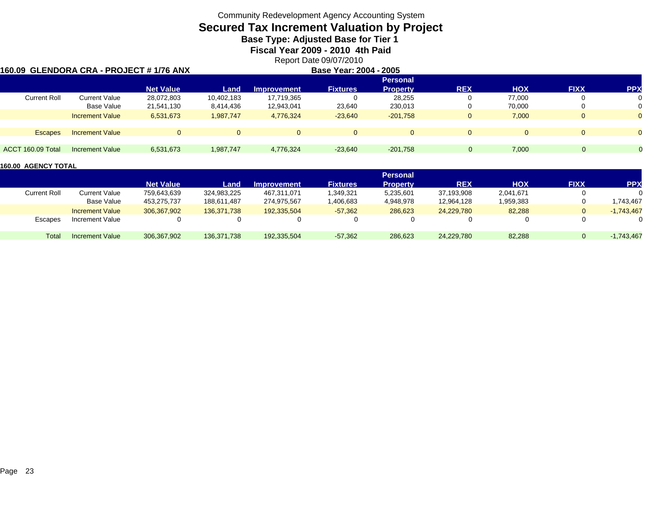## **Secured Tax Increment Valuation by Project**

**Base Type: Adjusted Base for Tier 1** 

**Fiscal Year 2009 - 2010 4th Paid**

Report Date 09/07/2010

| l160.09  GLENDORA CRA - PROJECT # 1/76 ANX |                        |                  |            |                    | Base Year: 2004 - 2005 |                 |            |            |             |                |
|--------------------------------------------|------------------------|------------------|------------|--------------------|------------------------|-----------------|------------|------------|-------------|----------------|
|                                            |                        |                  |            |                    |                        | <b>Personal</b> |            |            |             |                |
|                                            |                        | <b>Net Value</b> | Land       | <b>Improvement</b> | <b>Fixtures</b>        | <b>Property</b> | <b>REX</b> | <b>HOX</b> | <b>FIXX</b> | <b>PPX</b>     |
| <b>Current Roll</b>                        | Current Value          | 28,072,803       | 10,402,183 | 17,719,365         |                        | 28,255          | υ          | 77.000     |             | 0              |
|                                            | Base Value             | 21,541,130       | 8,414,436  | 12,943,041         | 23,640                 | 230,013         | 0          | 70.000     |             | 0              |
|                                            | <b>Increment Value</b> | 6,531,673        | 1,987,747  | 4,776,324          | $-23,640$              | $-201,758$      | 0          | 7,000      |             | $\overline{0}$ |
|                                            |                        |                  |            |                    |                        |                 |            |            |             |                |
| <b>Escapes</b>                             | <b>Increment Value</b> | $\Omega$         |            | $\Omega$           | $\Omega$               |                 | 0          |            |             | $\Omega$       |
|                                            |                        |                  |            |                    |                        |                 |            |            |             |                |
| ACCT 160.09 Total                          | Increment Value        | 6,531,673        | 1,987,747  | 4.776.324          | $-23.640$              | $-201.758$      |            | 7.000      | 0           |                |

|                     |                        |                  |             |                    |                 | <b>Personal</b> |            |            |             |              |
|---------------------|------------------------|------------------|-------------|--------------------|-----------------|-----------------|------------|------------|-------------|--------------|
|                     |                        | <b>Net Value</b> | Land        | <b>Improvement</b> | <b>Fixtures</b> | <b>Property</b> | <b>REX</b> | <b>HOX</b> | <b>FIXX</b> | <b>PPX</b>   |
| <b>Current Roll</b> | <b>Current Value</b>   | 759,643,639      | 324,983,225 | 467,311,071        | ,349,321        | 5,235,601       | 37,193,908 | 2,041,671  |             |              |
|                     | Base Value             | 453,275,737      | 188.611.487 | 274,975,567        | ,406,683        | 4,948,978       | 12,964,128 | 1,959,383  |             | .743.467     |
|                     | <b>Increment Value</b> | 306.367.902      | 136.371.738 | 192.335.504        | $-57,362$       | 286.623         | 24.229.780 | 82,288     |             | $-1,743,467$ |
| <b>Escapes</b>      | Increment Value        |                  |             |                    |                 |                 |            |            |             |              |
| Total               | <b>Increment Value</b> | 306,367,902      | 136,371,738 | 192,335,504        | $-57,362$       | 286,623         | 24,229,780 | 82,288     |             | $-1,743,467$ |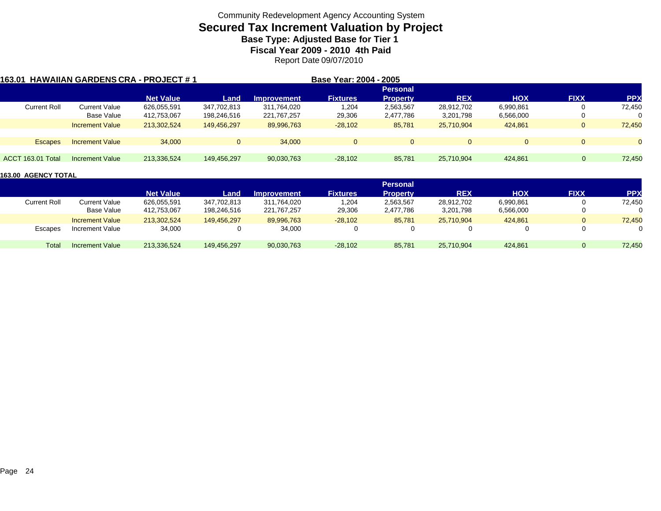# **Secured Tax Increment Valuation by Project**

**Base Type: Adjusted Base for Tier 1 Fiscal Year 2009 - 2010 4th Paid**

Report Date 09/07/2010

| 163.01            |                     |                        | <b>HAWAIIAN GARDENS CRA - PROJECT #1</b> |             |                    | Base Year: 2004 - 2005 |                 |            |            |             |            |
|-------------------|---------------------|------------------------|------------------------------------------|-------------|--------------------|------------------------|-----------------|------------|------------|-------------|------------|
|                   |                     |                        |                                          |             |                    |                        | <b>Personal</b> |            |            |             |            |
|                   |                     |                        | <b>Net Value</b>                         | Land        | <b>Improvement</b> | <b>Fixtures</b>        | <b>Property</b> | <b>REX</b> | <b>HOX</b> | <b>FIXX</b> | <b>PPX</b> |
|                   | <b>Current Roll</b> | <b>Current Value</b>   | 626,055,591                              | 347,702,813 | 311,764,020        | 1,204                  | 2,563,567       | 28,912,702 | 6,990,861  | U           | 72,450     |
|                   |                     | Base Value             | 412,753,067                              | 198,246,516 | 221,767,257        | 29,306                 | 2,477,786       | 3,201,798  | 6,566,000  | U           | $\Omega$   |
|                   |                     | <b>Increment Value</b> | 213,302,524                              | 149.456.297 | 89,996,763         | $-28,102$              | 85,781          | 25,710,904 | 424.861    | 0           | 72,450     |
|                   |                     |                        |                                          |             |                    |                        |                 |            |            |             |            |
|                   | <b>Escapes</b>      | <b>Increment Value</b> | 34,000                                   | $\Omega$    | 34,000             | $\Omega$               |                 | $\Omega$   |            | $\Omega$    | $\Omega$   |
|                   |                     |                        |                                          |             |                    |                        |                 |            |            |             |            |
| ACCT 163.01 Total |                     | Increment Value        | 213.336.524                              | 149,456,297 | 90.030.763         | $-28,102$              | 85,781          | 25.710.904 | 424,861    | $\Omega$    | 72,450     |

|                     |                        |                  |             |                    |                 | <b>Personal</b> |            |            |             |            |
|---------------------|------------------------|------------------|-------------|--------------------|-----------------|-----------------|------------|------------|-------------|------------|
|                     |                        | <b>Net Value</b> | Land        | <b>Improvement</b> | <b>Fixtures</b> | <b>Property</b> | <b>REX</b> | <b>HOX</b> | <b>FIXX</b> | <b>PPX</b> |
| <b>Current Roll</b> | <b>Current Value</b>   | 626,055,591      | 347,702,813 | 311,764,020        | 1,204           | 2,563,567       | 28.912.702 | 6,990,861  |             | 72,450     |
|                     | <b>Base Value</b>      | 412,753,067      | 198,246,516 | 221,767,257        | 29,306          | 2,477,786       | 3,201,798  | 6,566,000  |             |            |
|                     | <b>Increment Value</b> | 213,302,524      | 149,456,297 | 89,996,763         | $-28,102$       | 85,781          | 25.710.904 | 424,861    |             | 72,450     |
| Escapes             | <b>Increment Value</b> | 34,000           |             | 34,000             |                 |                 |            |            |             |            |
| Total               | <b>Increment Value</b> | 213.336.524      | 149,456,297 | 90,030,763         | $-28,102$       | 85,781          | 25,710,904 | 424,861    |             | 72,450     |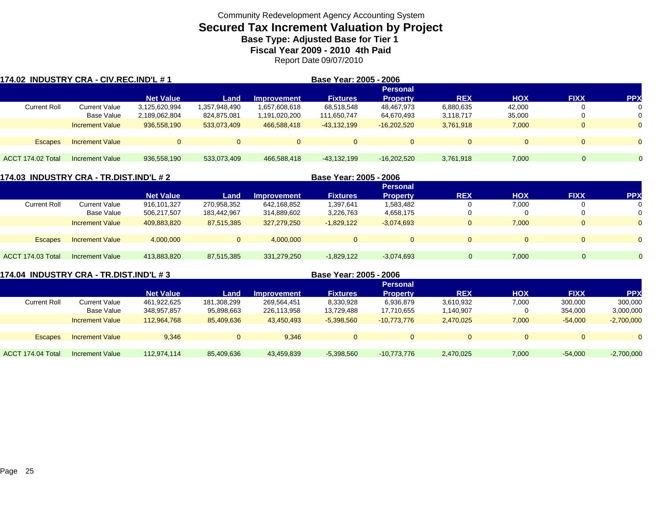# **Secured Tax Increment Valuation by Project**

**Base Type: Adjusted Base for Tier 1** 

**Fiscal Year 2009 - 2010 4th Paid**

Report Date 09/07/2010

| 174.02 INDUSTRY CRA - CIV.REC.IND'L # 1 |                        |                  |               | Base Year: 2005 - 2006 |                 |                 |            |            |             |            |
|-----------------------------------------|------------------------|------------------|---------------|------------------------|-----------------|-----------------|------------|------------|-------------|------------|
|                                         |                        |                  |               |                        |                 | <b>Personal</b> |            |            |             |            |
|                                         |                        | <b>Net Value</b> | Land          | <b>Improvement</b>     | <b>Fixtures</b> | <b>Property</b> | <b>REX</b> | <b>HOX</b> | <b>FIXX</b> | <b>PPX</b> |
| <b>Current Roll</b>                     | <b>Current Value</b>   | 3,125,620,994    | 1,357,948,490 | 1,657,608,618          | 68,518,548      | 48,467,973      | 6,880,635  | 42.000     |             | 0          |
|                                         | Base Value             | 2,189,062,804    | 824,875,081   | .191,020,200           | 111,650,747     | 64,670,493      | 3,118,717  | 35,000     |             | 0          |
|                                         | <b>Increment Value</b> | 936,558,190      | 533,073,409   | 466,588,418            | $-43,132,199$   | $-16,202,520$   | 3,761,918  | 7,000      |             | $\Omega$   |
|                                         |                        |                  |               |                        |                 |                 |            |            |             |            |
| <b>Escapes</b>                          | <b>Increment Value</b> |                  | $\Omega$      | $\Omega$               |                 | $\Omega$        | $\Omega$   | $\Omega$   |             | $\Omega$   |
|                                         |                        |                  |               |                        |                 |                 |            |            |             |            |
| ACCT 174.02 Total                       | <b>Increment Value</b> | 936,558,190      | 533,073,409   | 466,588,418            | $-43.132.199$   | $-16,202,520$   | 3,761,918  | 7,000      | $\Omega$    | $\Omega$   |

|                     | 174.03 INDUSTRY CRA - TR.DIST.IND'L # 2 |                  |             | Base Year: 2005 - 2006 |                 |                 |            |            |              |           |
|---------------------|-----------------------------------------|------------------|-------------|------------------------|-----------------|-----------------|------------|------------|--------------|-----------|
|                     |                                         |                  |             |                        |                 | <b>Personal</b> |            |            |              |           |
|                     |                                         | <b>Net Value</b> | Land        | <b>Improvement</b>     | <b>Fixtures</b> | <b>Property</b> | <b>REX</b> | <b>HOX</b> | <b>FIXX</b>  | <b>PP</b> |
| <b>Current Roll</b> | <b>Current Value</b>                    | 916,101,327      | 270,958,352 | 642,168,852            | 1,397,641       | 1,583,482       | 0          | 7,000      | 0            |           |
|                     | Base Value                              | 506,217,507      | 183,442,967 | 314,889,602            | 3,226,763       | 4,658,175       | 0          |            | 0            | $\Omega$  |
|                     | <b>Increment Value</b>                  | 409,883,820      | 87,515,385  | 327,279,250            | $-1,829,122$    | $-3,074,693$    | 0          | 7,000      | $\mathbf{0}$ | $\Omega$  |
|                     |                                         |                  |             |                        |                 |                 |            |            |              |           |
| <b>Escapes</b>      | <b>Increment Value</b>                  | 4,000,000        | $\Omega$    | 4.000.000              | $\Omega$        | $\Omega$        | $\Omega$   | $\Omega$   | $\Omega$     |           |
|                     |                                         |                  |             |                        |                 |                 |            |            |              |           |
| ACCT 174.03 Total   | Increment Value                         | 413,883,820      | 87,515,385  | 331,279,250            | $-1,829,122$    | $-3,074,693$    |            | 7,000      | $\Omega$     |           |
|                     |                                         |                  |             |                        |                 |                 |            |            |              |           |

**174.04 INDUSTRY CRA - TR.DIST.IND'L # 3 Base Year: 2005 - 2006**

|                     |                        |                  |             |                    |                 | <b>Personal</b> |            |            |             |              |
|---------------------|------------------------|------------------|-------------|--------------------|-----------------|-----------------|------------|------------|-------------|--------------|
|                     |                        | <b>Net Value</b> | Land        | <b>Improvement</b> | <b>Fixtures</b> | Property        | <b>REX</b> | <b>HOX</b> | <b>FIXX</b> | PP)          |
| <b>Current Roll</b> | Current Value          | 461,922,625      | 181,308,299 | 269,564,451        | 8,330,928       | 6,936,879       | 3,610,932  | 7,000      | 300,000     | 300,000      |
|                     | Base Value             | 348,957,857      | 95,898,663  | 226,113,958        | 13,729,488      | 17,710,655      | 1,140,907  |            | 354,000     | 3,000,000    |
|                     | <b>Increment Value</b> | 112.964.768      | 85,409,636  | 43,450,493         | $-5,398,560$    | $-10,773,776$   | 2,470,025  | 7,000      | $-54,000$   | $-2,700,000$ |
|                     |                        |                  |             |                    |                 |                 |            |            |             |              |
| <b>Escapes</b>      | <b>Increment Value</b> | 9.346            | $\Omega$    | 9.346              | $\Omega$        |                 |            | $\Omega$   | $\Omega$    |              |
|                     |                        |                  |             |                    |                 |                 |            |            |             |              |
| ACCT 174.04 Total   | <b>Increment Value</b> | 112,974,114      | 85,409,636  | 43,459,839         | $-5,398,560$    | $-10,773,776$   | 2,470,025  | 7,000      | $-54,000$   | $-2,700,000$ |
|                     |                        |                  |             |                    |                 |                 |            |            |             |              |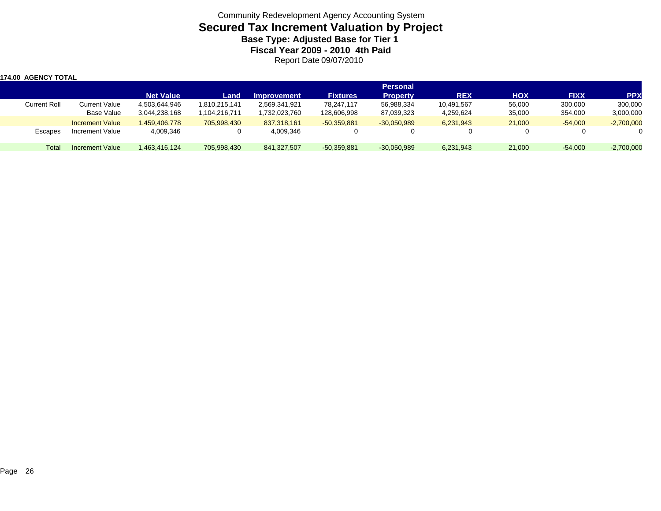| 174.00 AGENCY TOTAL |                        |                  |               |                    |                 |                 |            |            |             |              |
|---------------------|------------------------|------------------|---------------|--------------------|-----------------|-----------------|------------|------------|-------------|--------------|
|                     |                        |                  |               |                    |                 | <b>Personal</b> |            |            |             |              |
|                     |                        | <b>Net Value</b> | Land          | <b>Improvement</b> | <b>Fixtures</b> | <b>Property</b> | <b>REX</b> | <b>HOX</b> | <b>FIXX</b> | <b>PPX</b>   |
| <b>Current Roll</b> | Current Value          | 4,503,644,946    | 1,810,215,141 | 2,569,341,921      | 78,247,117      | 56,988,334      | 10,491,567 | 56,000     | 300,000     | 300,000      |
|                     | Base Value             | 3,044,238,168    | 1,104,216,711 | 1,732,023,760      | 128,606,998     | 87,039,323      | 4,259,624  | 35,000     | 354,000     | 3,000,000    |
|                     | <b>Increment Value</b> | 1.459.406.778    | 705.998.430   | 837,318,161        | $-50,359,881$   | $-30.050.989$   | 6,231,943  | 21,000     | $-54,000$   | $-2,700,000$ |
| Escapes             | Increment Value        | 4,009,346        |               | 4,009,346          |                 |                 |            |            | 0           |              |
| Total               | Increment Value        | 1.463.416.124    | 705.998.430   | 841,327,507        | $-50,359,881$   | $-30,050,989$   | 6,231,943  | 21,000     | $-54,000$   | $-2,700,000$ |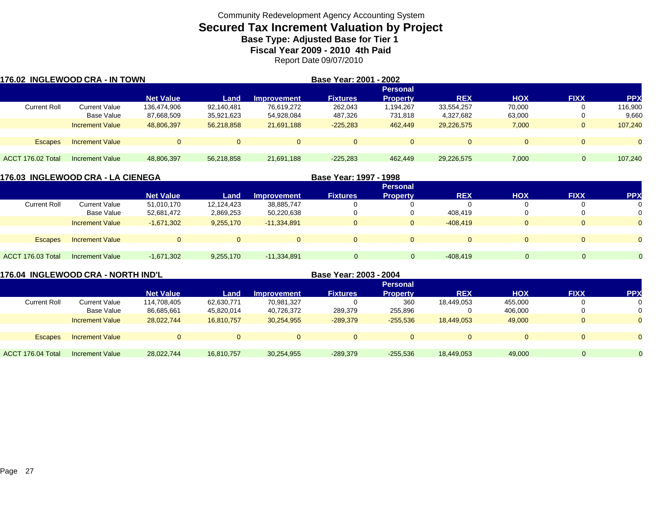## **Secured Tax Increment Valuation by Project Base Type: Adjusted Base for Tier 1**

**Fiscal Year 2009 - 2010 4th Paid**

Report Date 09/07/2010

| 176.02 INGLEWOOD CRA - IN TOWN |                        |                  |            |                    | Base Year: 2001 - 2002 |                 |             |            |              |            |
|--------------------------------|------------------------|------------------|------------|--------------------|------------------------|-----------------|-------------|------------|--------------|------------|
|                                |                        |                  |            |                    |                        | <b>Personal</b> |             |            |              |            |
|                                |                        | <b>Net Value</b> | Land       | <b>Improvement</b> | <b>Fixtures</b>        | <b>Property</b> | <b>REX</b>  | <b>HOX</b> | <b>FIXX</b>  | <b>PPX</b> |
| <b>Current Roll</b>            | Current Value          | 136,474,906      | 92,140,481 | 76.619.272         | 262,043                | 1,194,267       | 33,554,257  | 70,000     |              | 116,900    |
|                                | Base Value             | 87,668,509       | 35,921,623 | 54,928,084         | 487,326                | 731,818         | 4,327,682   | 63,000     |              | 9,660      |
|                                | <b>Increment Value</b> | 48,806,397       | 56,218,858 | 21.691.188         | $-225,283$             | 462,449         | 29,226,575  | 7,000      | $\mathbf{0}$ | 107,240    |
|                                |                        |                  |            |                    |                        |                 |             |            |              |            |
| <b>Escapes</b>                 | <b>Increment Value</b> | $\Omega$         |            |                    | $\Omega$               |                 | $\mathbf 0$ | $\Omega$   |              | $\Omega$   |
|                                |                        |                  |            |                    |                        |                 |             |            |              |            |
| ACCT 176.02 Total              | Increment Value        | 48,806,397       | 56,218,858 | 21.691.188         | $-225.283$             | 462,449         | 29,226,575  | 7.000      | $\Omega$     | 107.240    |

|                          | 176.03 INGLEWOOD CRA - LA CIENEGA |                  |            |                    | Base Year: 1997 - 1998 |                 |            |            |             |            |
|--------------------------|-----------------------------------|------------------|------------|--------------------|------------------------|-----------------|------------|------------|-------------|------------|
|                          |                                   |                  |            |                    |                        | <b>Personal</b> |            |            |             |            |
|                          |                                   | <b>Net Value</b> | Land       | <b>Improvement</b> | <b>Fixtures</b>        | <b>Property</b> | <b>REX</b> | <b>HOX</b> | <b>FIXX</b> | <b>PPX</b> |
| <b>Current Roll</b>      | <b>Current Value</b>              | 51,010,170       | 12,124,423 | 38,885,747         |                        |                 | 0          |            |             |            |
|                          | Base Value                        | 52,681,472       | 2,869,253  | 50,220,638         |                        |                 | 408.419    |            |             |            |
|                          | <b>Increment Value</b>            | $-1.671.302$     | 9,255,170  | $-11.334.891$      | $\Omega$               | $\Omega$        | $-408.419$ |            |             |            |
| <b>Escapes</b>           | <b>Increment Value</b>            | $\Omega$         |            |                    | $\Omega$               | $\Omega$        | $\Omega$   |            |             | $\Omega$   |
| <b>ACCT 176.03 Total</b> | Increment Value                   | $-1,671,302$     | 9,255,170  | $-11,334,891$      | $\Omega$               | $\Omega$        | $-408,419$ | $\Omega$   | $\Omega$    | $\Omega$   |

| 176.04 INGLEWOOD CRA - NORTH IND'L |                        |                  |            |                    | Base Year: 2003 - 2004 |                 |            |            |             |            |
|------------------------------------|------------------------|------------------|------------|--------------------|------------------------|-----------------|------------|------------|-------------|------------|
|                                    |                        |                  |            |                    |                        | <b>Personal</b> |            |            |             |            |
|                                    |                        | <b>Net Value</b> | Land       | <b>Improvement</b> | <b>Fixtures</b>        | <b>Property</b> | <b>REX</b> | <b>HOX</b> | <b>FIXX</b> | <b>PPX</b> |
| <b>Current Roll</b>                | Current Value          | 114,708,405      | 62,630,771 | 70,981,327         |                        | 360             | 18,449,053 | 455,000    |             |            |
|                                    | Base Value             | 86,685,661       | 45,820,014 | 40,726,372         | 289,379                | 255,896         |            | 406,000    |             |            |
|                                    | <b>Increment Value</b> | 28.022.744       | 16,810,757 | 30,254,955         | $-289,379$             | $-255,536$      | 18.449.053 | 49,000     | 0           |            |
| <b>Escapes</b>                     | <b>Increment Value</b> | $\mathbf{0}$     | $\Omega$   | $\Omega$           |                        | 0               | $\Omega$   | $\Omega$   |             |            |
|                                    |                        |                  |            |                    |                        |                 |            |            |             |            |
| ACCT 176.04 Total                  | Increment Value        | 28.022.744       | 16.810.757 | 30.254.955         | $-289.379$             | $-255.536$      | 18.449.053 | 49,000     | $\Omega$    |            |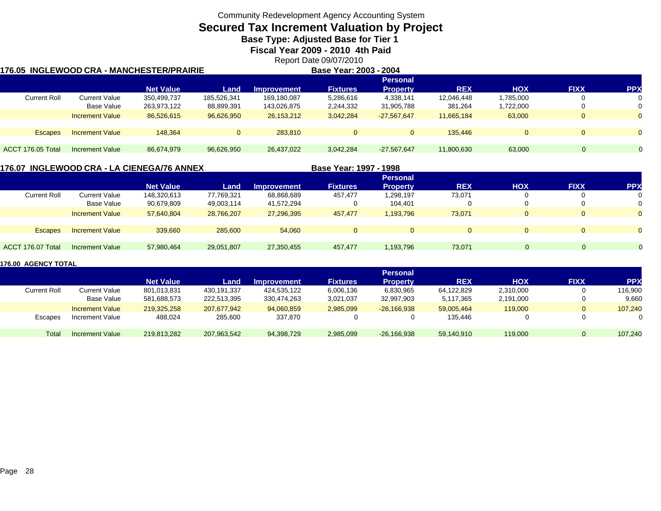# **Secured Tax Increment Valuation by Project**

**Base Type: Adjusted Base for Tier 1** 

**Fiscal Year 2009 - 2010 4th Paid**

Report Date 09/07/2010

|                   | 176.05 INGLEWOOD CRA - MANCHESTER/PRAIRIE |                  |              |                    | Base Year: 2003 - 2004 |                 |            |              |             |          |
|-------------------|-------------------------------------------|------------------|--------------|--------------------|------------------------|-----------------|------------|--------------|-------------|----------|
|                   |                                           |                  |              |                    |                        | <b>Personal</b> |            |              |             |          |
|                   |                                           | <b>Net Value</b> | Land         | <b>Improvement</b> | <b>Fixtures</b>        | <b>Property</b> | <b>REX</b> | <b>HOX</b>   | <b>FIXX</b> | (PP      |
| Current Roll      | <b>Current Value</b>                      | 350,499,737      | 185,526,341  | 169,180,087        | 5,286,616              | 4,338,141       | 12,046,448 | ,785,000     | 0           |          |
|                   | Base Value                                | 263,973,122      | 88,899,391   | 143,026,875        | 2,244,332              | 31,905,788      | 381,264    | ,722,000     | 0           | 0        |
|                   | <b>Increment Value</b>                    | 86,526,615       | 96,626,950   | 26,153,212         | 3,042,284              | $-27,567,647$   | 11.665.184 | 63,000       | $\Omega$    | $\Omega$ |
|                   |                                           |                  |              |                    |                        |                 |            |              |             |          |
| <b>Escapes</b>    | <b>Increment Value</b>                    | 148.364          | $\mathbf{0}$ | 283.810            | $\Omega$               | $\mathbf{0}$    | 135.446    | $\mathbf{0}$ | $\Omega$    | $\Omega$ |
|                   |                                           |                  |              |                    |                        |                 |            |              |             |          |
| ACCT 176.05 Total | Increment Value                           | 86,674,979       | 96,626,950   | 26,437,022         | 3,042,284              | $-27,567,647$   | 11,800,630 | 63,000       |             |          |
|                   |                                           |                  |              |                    |                        |                 |            |              |             |          |

#### **176.07 INGLEWOOD CRA - LA CIENEGA/76 ANNEX**

**Base Year: 1997 - 1998**

|                     |                        |                  |            |                    |                 | <b>Personal</b> |             |            |             |            |
|---------------------|------------------------|------------------|------------|--------------------|-----------------|-----------------|-------------|------------|-------------|------------|
|                     |                        | <b>Net Value</b> | Land       | <b>Improvement</b> | <b>Fixtures</b> | <b>Property</b> | <b>REX</b>  | <b>HOX</b> | <b>FIXX</b> | <b>PPX</b> |
| <b>Current Roll</b> | <b>Current Value</b>   | 148,320,613      | 77,769,321 | 68,868,689         | 457,477         | 1,298,197       | 73,071      |            | U           | 0          |
|                     | Base Value             | 90,679,809       | 49,003,114 | 41,572,294         | 0               | 104,401         | 0           |            |             | 0          |
|                     | <b>Increment Value</b> | 57.640.804       | 28,766,207 | 27,296,395         | 457,477         | 1,193,796       | 73,071      |            | $\Box$      | $\Omega$   |
|                     |                        |                  |            |                    |                 |                 |             |            |             |            |
| <b>Escapes</b>      | <b>Increment Value</b> | 339,660          | 285,600    | 54,060             | $\Omega$        |                 | $\mathbf 0$ |            | $\left($    | $\Omega$   |
|                     |                        |                  |            |                    |                 |                 |             |            |             |            |
| ACCT 176.07 Total   | <b>Increment Value</b> | 57,980,464       | 29,051,807 | 27,350,455         | 457,477         | 1,193,796       | 73,071      | $\Omega$   | 0           |            |

|                     |                        |                  |             |                    |                 | <b>Personal</b> |            |           |             |            |
|---------------------|------------------------|------------------|-------------|--------------------|-----------------|-----------------|------------|-----------|-------------|------------|
|                     |                        | <b>Net Value</b> | Land        | <b>Improvement</b> | <b>Fixtures</b> | Propertv        | <b>REX</b> | HOX       | <b>FIXX</b> | <b>PPX</b> |
| <b>Current Roll</b> | <b>Current Value</b>   | 801,013,831      | 430.191.337 | 424.535.122        | 6,006,136       | 6,830,965       | 64,122,829 | 2,310,000 |             | 116,900    |
|                     | Base Value             | 581,688,573      | 222,513,395 | 330.474.263        | 3,021,037       | 32,997,903      | 5,117,365  | 2,191,000 |             | 9.660      |
|                     | <b>Increment Value</b> | 219.325.258      | 207.677.942 | 94.060.859         | 2,985,099       | $-26.166.938$   | 59,005,464 | 119,000   |             | 107,240    |
| Escapes             | Increment Value        | 488,024          | 285,600     | 337,870            |                 |                 | 135,446    |           |             |            |
| Total               | <b>Increment Value</b> | 219.813.282      | 207,963,542 | 94,398,729         | 2,985,099       | $-26,166,938$   | 59.140.910 | 119,000   |             | 107,240    |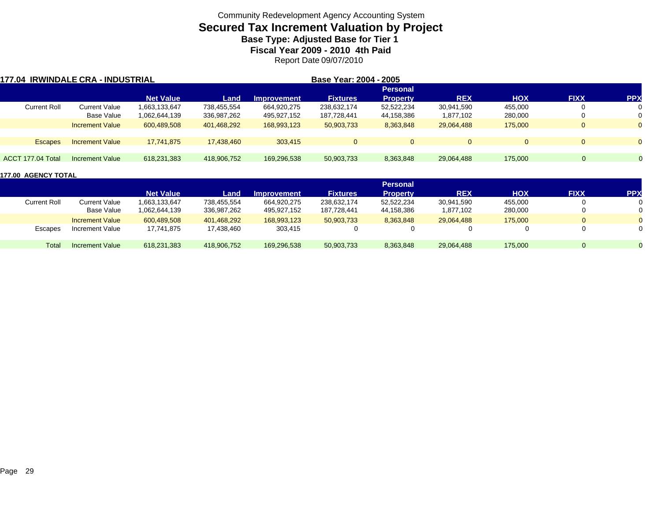## **Secured Tax Increment Valuation by Project Base Type: Adjusted Base for Tier 1**

**Fiscal Year 2009 - 2010 4th Paid**

Report Date 09/07/2010

| <b>177.04 IRWINDALE CRA - INDUSTRIAL</b> |                        |                  |             |                    | Base Year: 2004 - 2005 |                 |            |            |              |            |
|------------------------------------------|------------------------|------------------|-------------|--------------------|------------------------|-----------------|------------|------------|--------------|------------|
|                                          |                        |                  |             |                    |                        | <b>Personal</b> |            |            |              |            |
|                                          |                        | <b>Net Value</b> | Land        | <b>Improvement</b> | <b>Fixtures</b>        | <b>Property</b> | <b>REX</b> | <b>HOX</b> | <b>FIXX</b>  | <b>PPX</b> |
| <b>Current Roll</b>                      | <b>Current Value</b>   | 1,663,133,647    | 738,455,554 | 664,920,275        | 238,632,174            | 52,522,234      | 30,941,590 | 455,000    | $\mathbf{0}$ | 0          |
|                                          | Base Value             | 1,062,644,139    | 336,987,262 | 495,927,152        | 187,728,441            | 44,158,386      | 1,877,102  | 280,000    | 0            | 0          |
|                                          | <b>Increment Value</b> | 600.489.508      | 401,468,292 | 168,993,123        | 50,903,733             | 8,363,848       | 29.064.488 | 175,000    | $\Omega$     | $\Omega$   |
|                                          |                        |                  |             |                    |                        |                 |            |            |              |            |
| <b>Escapes</b>                           | <b>Increment Value</b> | 17.741.875       | 17,438,460  | 303.415            | $\Omega$               |                 | $\Omega$   |            | $\Omega$     | $\Omega$   |
|                                          |                        |                  |             |                    |                        |                 |            |            |              |            |
| ACCT 177.04 Total                        | Increment Value        | 618,231,383      | 418.906.752 | 169,296,538        | 50,903,733             | 8,363,848       | 29,064,488 | 175,000    | 0            | $\Omega$   |

|                     |                        |                  |             |                    |                 | <b>Personal</b> |            |            |              |            |
|---------------------|------------------------|------------------|-------------|--------------------|-----------------|-----------------|------------|------------|--------------|------------|
|                     |                        | <b>Net Value</b> | Land        | <b>Improvement</b> | <b>Fixtures</b> | <b>Property</b> | <b>REX</b> | <b>HOX</b> | <b>FIXX</b>  | <b>PPX</b> |
| <b>Current Roll</b> | Current Value          | 1,663,133,647    | 738,455,554 | 664,920,275        | 238,632,174     | 52,522,234      | 30,941,590 | 455,000    |              |            |
|                     | Base Value             | 1,062,644,139    | 336,987,262 | 495,927,152        | 187.728.441     | 44,158,386      | 1,877,102  | 280,000    |              |            |
|                     | <b>Increment Value</b> | 600.489.508      | 401.468.292 | 168.993.123        | 50,903,733      | 8,363,848       | 29.064.488 | 175,000    | $\mathbf{0}$ |            |
| Escapes             | Increment Value        | 17,741,875       | 17.438.460  | 303,415            |                 |                 |            |            |              |            |
| Total               | Increment Value        | 618,231,383      | 418.906.752 | 169.296.538        | 50,903,733      | 8,363,848       | 29,064,488 | 175,000    |              |            |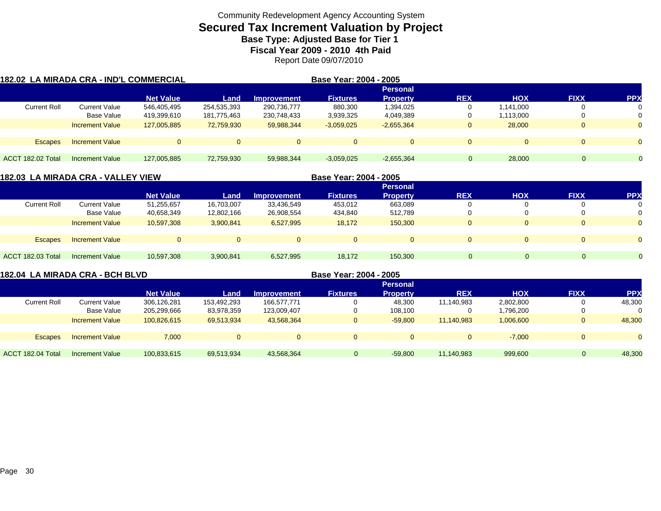# **Secured Tax Increment Valuation by Project**

**Base Type: Adjusted Base for Tier 1 Fiscal Year 2009 - 2010 4th Paid**

Report Date 09/07/2010

| 182.02 LA MIRADA CRA - IND'L COMMERCIAL |                        |                  |             |                    | Base Year: 2004 - 2005 |                 |             |            |              |            |
|-----------------------------------------|------------------------|------------------|-------------|--------------------|------------------------|-----------------|-------------|------------|--------------|------------|
|                                         |                        |                  |             |                    |                        | <b>Personal</b> |             |            |              |            |
|                                         |                        | <b>Net Value</b> | Land        | <b>Improvement</b> | <b>Fixtures</b>        | <b>Property</b> | <b>REX</b>  | <b>HOX</b> | <b>FIXX</b>  | <b>PPX</b> |
| <b>Current Roll</b>                     | <b>Current Value</b>   | 546,405,495      | 254,535,393 | 290,736,777        | 880,300                | 1,394,025       |             | 1,141,000  | 0            |            |
|                                         | Base Value             | 419,399,610      | 181,775,463 | 230,748,433        | 3,939,325              | 4,049,389       |             | 1,113,000  | 0            |            |
|                                         | <b>Increment Value</b> | 127,005,885      | 72,759,930  | 59,988,344         | $-3,059,025$           | $-2,655,364$    | υ           | 28,000     | $\mathbf{0}$ |            |
|                                         |                        |                  |             |                    |                        |                 |             |            |              |            |
| <b>Escapes</b>                          | <b>Increment Value</b> |                  | $\Omega$    | $\mathbf{0}$       | $\Omega$               | $\Omega$        | O           | 0          | $\mathbf{0}$ |            |
|                                         |                        |                  |             |                    |                        |                 |             |            |              |            |
| ACCT 182.02 Total                       | Increment Value        | 127.005.885      | 72,759,930  | 59,988,344         | $-3,059,025$           | $-2,655,364$    | $\mathbf 0$ | 28,000     |              |            |

|                     | 182.03 LA MIRADA CRA - VALLEY VIEW |                  |            | Base Year: 2004 - 2005 |                 |                 |              |            |             |            |
|---------------------|------------------------------------|------------------|------------|------------------------|-----------------|-----------------|--------------|------------|-------------|------------|
|                     |                                    |                  |            |                        |                 | <b>Personal</b> |              |            |             |            |
|                     |                                    | <b>Net Value</b> | Land       | <b>Improvement</b>     | <b>Fixtures</b> | <b>Property</b> | <b>REX</b>   | <b>HOX</b> | <b>FIXX</b> | <b>PPX</b> |
| <b>Current Roll</b> | <b>Current Value</b>               | 51,255,657       | 16,703,007 | 33,436,549             | 453,012         | 663,089         | υ            |            |             |            |
|                     | Base Value                         | 40,658,349       | 12,802,166 | 26,908,554             | 434,840         | 512,789         | υ            |            |             |            |
|                     | <b>Increment Value</b>             | 10,597,308       | 3,900,841  | 6,527,995              | 18,172          | 150,300         | $\mathbf{0}$ |            | $\Omega$    | $\Omega$   |
|                     |                                    |                  |            |                        |                 |                 |              |            |             |            |
| <b>Escapes</b>      | <b>Increment Value</b>             | $\Omega$         |            | $\Omega$               | $\Omega$        | $\Omega$        | $\mathbf{0}$ | $\Omega$   | $\Omega$    | $\Omega$   |
|                     |                                    |                  |            |                        |                 |                 |              |            |             |            |
| ACCT 182.03 Total   | Increment Value                    | 10,597,308       | 3,900,841  | 6,527,995              | 18,172          | 150,300         | $\Omega$     | $\Omega$   | $\Omega$    |            |
|                     |                                    |                  |            |                        |                 |                 |              |            |             |            |

| 182.04 LA MIRADA CRA - BCH BLVD |                        |                  |             |                    | Base Year: 2004 - 2005 |                 |            |            |             |            |
|---------------------------------|------------------------|------------------|-------------|--------------------|------------------------|-----------------|------------|------------|-------------|------------|
|                                 |                        |                  |             |                    |                        | <b>Personal</b> |            |            |             |            |
|                                 |                        | <b>Net Value</b> | Land        | <b>Improvement</b> | <b>Fixtures</b>        | <b>Property</b> | <b>REX</b> | <b>HOX</b> | <b>FIXX</b> | <b>PPX</b> |
| <b>Current Roll</b>             | Current Value          | 306,126,281      | 153,492,293 | 166,577,771        |                        | 48,300          | 11,140,983 | 2,802,800  |             | 48,300     |
|                                 | Base Value             | 205,299,666      | 83,978,359  | 123,009,407        |                        | 108.100         | U          | 1,796,200  |             | 0          |
|                                 | <b>Increment Value</b> | 100.826.615      | 69,513,934  | 43.568.364         |                        | $-59,800$       | 11.140.983 | 1,006,600  |             | 48,300     |
| <b>Escapes</b>                  | <b>Increment Value</b> | 7.000            |             |                    |                        | $\overline{0}$  | $\Omega$   | $-7.000$   |             |            |
| ACCT 182.04 Total               | Increment Value        | 100,833,615      | 69,513,934  | 43,568,364         | $\mathbf{0}$           | $-59.800$       | 11.140.983 | 999,600    | 0           | 48,300     |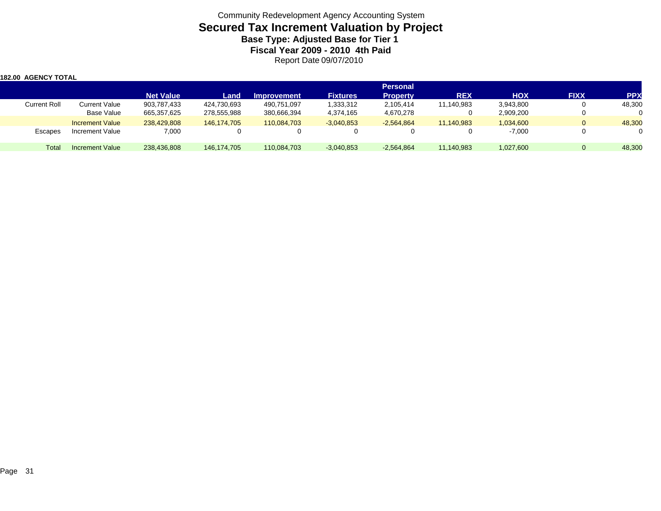| <b>182.00 AGENCY TOTAL</b> |                        |                  |               |                    |                 |                 |            |            |              |            |
|----------------------------|------------------------|------------------|---------------|--------------------|-----------------|-----------------|------------|------------|--------------|------------|
|                            |                        |                  |               |                    |                 | <b>Personal</b> |            |            |              |            |
|                            |                        | <b>Net Value</b> | Land          | <b>Improvement</b> | <b>Fixtures</b> | <b>Property</b> | <b>REX</b> | <b>HOX</b> | <b>FIXX</b>  | <b>PPX</b> |
| <b>Current Roll</b>        | Current Value          | 903,787,433      | 424,730,693   | 490,751,097        | 1,333,312       | 2,105,414       | 11,140,983 | 3,943,800  | 0            | 48,300     |
|                            | Base Value             | 665,357,625      | 278,555,988   | 380,666,394        | 4,374,165       | 4,670,278       |            | 2,909,200  | 0            |            |
|                            | <b>Increment Value</b> | 238,429,808      | 146.174.705   | 110.084.703        | $-3,040,853$    | $-2,564,864$    | 11.140.983 | 1,034,600  | $\mathbf{0}$ | 48,300     |
| Escapes                    | Increment Value        | 7,000            |               |                    |                 |                 |            | $-7,000$   | 0            |            |
| Total                      | <b>Increment Value</b> | 238,436,808      | 146, 174, 705 | 110,084,703        | $-3,040,853$    | $-2,564,864$    | 11,140,983 | 1,027,600  | $\Omega$     | 48,300     |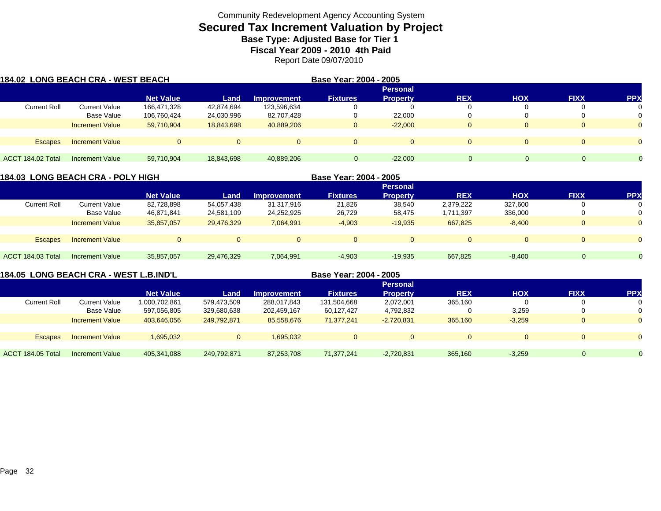## **Secured Tax Increment Valuation by Project Base Type: Adjusted Base for Tier 1**

**Fiscal Year 2009 - 2010 4th Paid**

Report Date 09/07/2010

| <b>184.02 LONG BEACH CRA - WEST BEACH</b> |                        |                  |            |                    | Base Year: 2004 - 2005 |                 |            |            |             |            |
|-------------------------------------------|------------------------|------------------|------------|--------------------|------------------------|-----------------|------------|------------|-------------|------------|
|                                           |                        |                  |            |                    |                        | <b>Personal</b> |            |            |             |            |
|                                           |                        | <b>Net Value</b> | Land       | <b>Improvement</b> | <b>Fixtures</b>        | <b>Property</b> | <b>REX</b> | <b>HOX</b> | <b>FIXX</b> | <b>PPX</b> |
| <b>Current Roll</b>                       | <b>Current Value</b>   | 166,471,328      | 42,874,694 | 123,596,634        |                        | 0               |            |            | 0           | 0          |
|                                           | Base Value             | 106,760,424      | 24,030,996 | 82,707,428         | 0                      | 22,000          |            |            | 0           | 0          |
|                                           | <b>Increment Value</b> | 59,710,904       | 18,843,698 | 40,889,206         | $\overline{0}$         | $-22.000$       | U          |            | $\Omega$    | $\Omega$   |
|                                           |                        |                  |            |                    |                        |                 |            |            |             |            |
| <b>Escapes</b>                            | <b>Increment Value</b> |                  |            | $\Omega$           | $\Omega$               | $\Omega$        | $\Omega$   |            | $\Omega$    | $\Omega$   |
|                                           |                        |                  |            |                    |                        |                 |            |            |             |            |
| ACCT 184.02 Total                         | Increment Value        | 59,710,904       | 18,843,698 | 40,889,206         | $\Omega$               | $-22.000$       | 0          |            |             |            |

|                     | 184.03  LONG BEACH CRA - POLY HIGH |                  |            |                    | Base Year: 2004 - 2005 |                 |            |            |             |            |
|---------------------|------------------------------------|------------------|------------|--------------------|------------------------|-----------------|------------|------------|-------------|------------|
|                     |                                    |                  |            |                    |                        | <b>Personal</b> |            |            |             |            |
|                     |                                    | <b>Net Value</b> | Land       | <b>Improvement</b> | <b>Fixtures</b>        | <b>Property</b> | <b>REX</b> | <b>HOX</b> | <b>FIXX</b> | <b>PPX</b> |
| <b>Current Roll</b> | <b>Current Value</b>               | 82,728,898       | 54.057.438 | 31,317,916         | 21,826                 | 38,540          | 2,379,222  | 327,600    | U           | 0          |
|                     | Base Value                         | 46,871,841       | 24,581,109 | 24,252,925         | 26,729                 | 58,475          | 1,711,397  | 336,000    | 0           | 0          |
|                     | <b>Increment Value</b>             | 35,857,057       | 29,476,329 | 7,064,991          | $-4,903$               | $-19,935$       | 667,825    | $-8,400$   | $\Omega$    | $\Omega$   |
|                     |                                    |                  |            |                    |                        |                 |            |            |             |            |
| <b>Escapes</b>      | <b>Increment Value</b>             |                  | $\Omega$   | $\Omega$           | $\Omega$               | $\Omega$        | $\Omega$   |            | $\Omega$    | $\Omega$   |
|                     |                                    |                  |            |                    |                        |                 |            |            |             |            |
| ACCT 184.03 Total   | Increment Value                    | 35,857,057       | 29,476,329 | 7,064,991          | $-4,903$               | $-19,935$       | 667.825    | $-8,400$   | $\Omega$    |            |
|                     |                                    |                  |            |                    |                        |                 |            |            |             |            |

**184.05 LONG BEACH CRA - WEST L.B.IND'L**

**Base Year: 2004 - 2005**

|                   |                        |                  |              |                    |                 | <b>Personal</b> |            |            |                |            |
|-------------------|------------------------|------------------|--------------|--------------------|-----------------|-----------------|------------|------------|----------------|------------|
|                   |                        | <b>Net Value</b> | Land         | <b>Improvement</b> | <b>Fixtures</b> | <b>Property</b> | <b>REX</b> | <b>HOX</b> | <b>FIXX</b>    | <b>PPX</b> |
| Current Roll      | <b>Current Value</b>   | 1,000,702,861    | 579,473,509  | 288,017,843        | 131,504,668     | 2,072,001       | 365,160    |            | 0              | 0          |
|                   | Base Value             | 597,056,805      | 329,680,638  | 202,459,167        | 60,127,427      | 4,792,832       |            | 3,259      | 0              | 0          |
|                   | <b>Increment Value</b> | 403,646,056      | 249,792,871  | 85,558,676         | 71,377,241      | $-2,720,831$    | 365,160    | $-3,259$   | $\overline{0}$ | $\Omega$   |
|                   |                        |                  |              |                    |                 |                 |            |            |                |            |
| <b>Escapes</b>    | <b>Increment Value</b> | 1,695,032        | $\mathbf{0}$ | 1,695,032          |                 |                 |            | $\Omega$   | $\Omega$       | $\Omega$   |
|                   |                        |                  |              |                    |                 |                 |            |            |                |            |
| ACCT 184.05 Total | Increment Value        | 405,341,088      | 249,792,871  | 87,253,708         | 71.377.241      | $-2,720,831$    | 365,160    | $-3,259$   |                |            |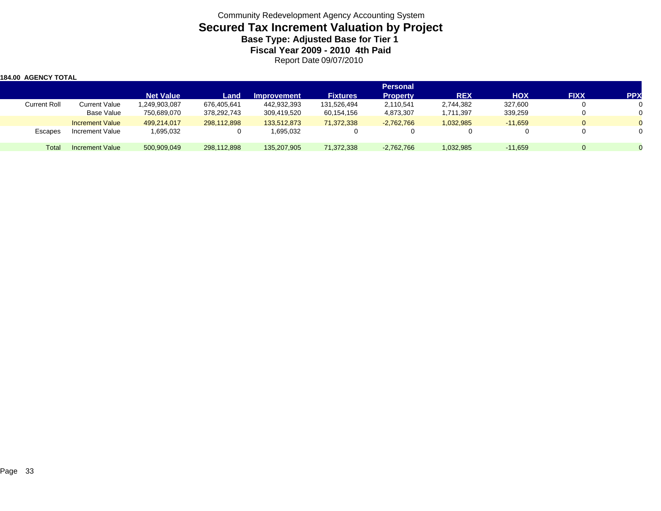| 1184.00  AGENCY TOTAL |                        |                  |             |                    |                 |                                    |            |            |             |            |
|-----------------------|------------------------|------------------|-------------|--------------------|-----------------|------------------------------------|------------|------------|-------------|------------|
|                       |                        | <b>Net Value</b> | Land        | <b>Improvement</b> | <b>Fixtures</b> | <b>Personal</b><br><b>Property</b> | <b>REX</b> | <b>HOX</b> | <b>FIXX</b> | <b>PPX</b> |
| <b>Current Roll</b>   | <b>Current Value</b>   | 1,249,903,087    | 676,405,641 | 442,932,393        | 131,526,494     | 2,110,541                          | 2,744,382  | 327,600    |             |            |
|                       | Base Value             | 750,689,070      | 378,292,743 | 309,419,520        | 60,154,156      | 4,873,307                          | 1,711,397  | 339,259    |             |            |
|                       | <b>Increment Value</b> | 499,214,017      | 298,112,898 | 133,512,873        | 71,372,338      | $-2,762,766$                       | 1,032,985  | $-11,659$  |             |            |
| Escapes               | Increment Value        | 1,695,032        |             | 1,695,032          |                 |                                    | 0          |            |             |            |
| Total                 | Increment Value        | 500,909,049      | 298,112,898 | 135,207,905        | 71,372,338      | $-2,762,766$                       | 1,032,985  | $-11.659$  |             |            |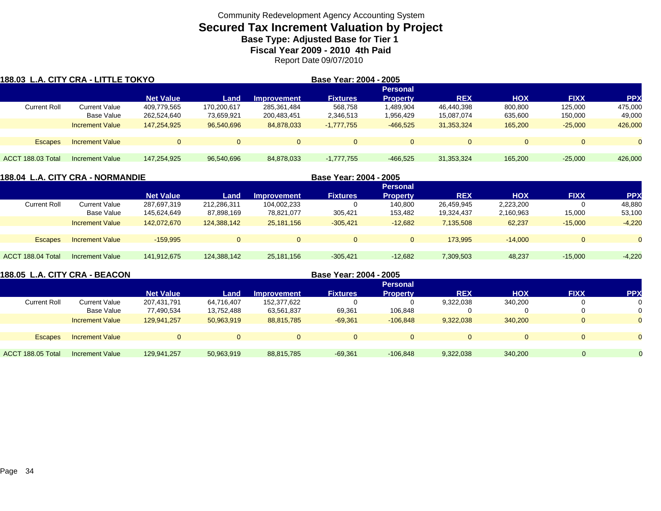## **Secured Tax Increment Valuation by Project Base Type: Adjusted Base for Tier 1**

**Fiscal Year 2009 - 2010 4th Paid**

Report Date 09/07/2010

| 188.03 L.A. CITY CRA - LITTLE TOKYO |                        |                  |             |                    | Base Year: 2004 - 2005 |                 |            |            |             |            |
|-------------------------------------|------------------------|------------------|-------------|--------------------|------------------------|-----------------|------------|------------|-------------|------------|
|                                     |                        |                  |             |                    |                        | <b>Personal</b> |            |            |             |            |
|                                     |                        | <b>Net Value</b> | Land        | <b>Improvement</b> | <b>Fixtures</b>        | <b>Property</b> | <b>REX</b> | <b>HOX</b> | <b>FIXX</b> | <b>PPX</b> |
| <b>Current Roll</b>                 | Current Value          | 409.779.565      | 170,200,617 | 285.361.484        | 568.758                | 1,489,904       | 46.440.398 | 800,800    | 125.000     | 475,000    |
|                                     | Base Value             | 262,524,640      | 73,659,921  | 200,483,451        | 2,346,513              | 1,956,429       | 15,087,074 | 635,600    | 150,000     | 49,000     |
|                                     | <b>Increment Value</b> | 147.254.925      | 96,540,696  | 84,878,033         | $-1,777,755$           | $-466,525$      | 31.353.324 | 165,200    | $-25,000$   | 426,000    |
|                                     |                        |                  |             |                    |                        |                 |            |            |             |            |
| <b>Escapes</b>                      | <b>Increment Value</b> |                  |             |                    | $\Omega$               | $\Omega$        | $\Omega$   | $\Omega$   |             |            |
|                                     |                        |                  |             |                    |                        |                 |            |            |             |            |
| ACCT 188.03 Total                   | <b>Increment Value</b> | 147.254.925      | 96,540,696  | 84,878,033         | $-1,777,755$           | $-466.525$      | 31,353,324 | 165.200    | $-25.000$   | 426,000    |

| 188.04 L.A. CITY CRA - NORMANDIE |                        |                  |                 |                    | Base Year: 2004 - 2005 |                 |            |            |             |                    |  |  |  |
|----------------------------------|------------------------|------------------|-----------------|--------------------|------------------------|-----------------|------------|------------|-------------|--------------------|--|--|--|
|                                  |                        |                  | <b>Personal</b> |                    |                        |                 |            |            |             |                    |  |  |  |
|                                  |                        | <b>Net Value</b> | Land            | <b>Improvement</b> | <b>Fixtures</b>        | <b>Property</b> | <b>REX</b> | <b>HOX</b> | <b>FIXX</b> | PP <sub>&gt;</sub> |  |  |  |
| <b>Current Roll</b>              | <b>Current Value</b>   | 287.697.319      | 212,286,311     | 104,002,233        |                        | 140.800         | 26,459,945 | 2,223,200  |             | 48,880             |  |  |  |
|                                  | Base Value             | 145,624,649      | 87,898,169      | 78,821,077         | 305,421                | 153,482         | 19,324,437 | 2,160,963  | 15,000      | 53,100             |  |  |  |
|                                  | <b>Increment Value</b> | 142.072.670      | 124,388,142     | 25.181.156         | $-305.421$             | $-12.682$       | 7,135,508  | 62,237     | $-15.000$   | $-4,220$           |  |  |  |
| <b>Escapes</b>                   | <b>Increment Value</b> | $-159.995$       | $\overline{0}$  | $\overline{0}$     | $\Omega$               |                 | 173.995    | $-14.000$  | $\Omega$    | $\Omega$           |  |  |  |
| ACCT 188.04 Total                | Increment Value        | 141,912,675      | 124,388,142     | 25,181,156         | $-305,421$             | $-12,682$       | 7,309,503  | 48,237     | $-15,000$   | $-4,220$           |  |  |  |

| 188.05 L.A. CITY CRA - BEACON |                        |                  |            |                    | Base Year: 2004 - 2005 |                 |            |            |             |            |
|-------------------------------|------------------------|------------------|------------|--------------------|------------------------|-----------------|------------|------------|-------------|------------|
|                               |                        |                  |            |                    |                        | <b>Personal</b> |            |            |             |            |
|                               |                        | <b>Net Value</b> | Land       | <b>Improvement</b> | <b>Fixtures</b>        | <b>Property</b> | <b>REX</b> | <b>HOX</b> | <b>FIXX</b> | <b>PPX</b> |
| <b>Current Roll</b>           | Current Value          | 207,431,791      | 64,716,407 | 152,377,622        |                        |                 | 9,322,038  | 340,200    |             |            |
|                               | Base Value             | 77,490,534       | 13,752,488 | 63,561,837         | 69,361                 | 106,848         | 0          | 0          |             |            |
|                               | <b>Increment Value</b> | 129.941.257      | 50,963,919 | 88,815,785         | $-69,361$              | $-106,848$      | 9,322,038  | 340,200    |             |            |
| <b>Escapes</b>                | <b>Increment Value</b> | $\Omega$         |            |                    |                        | $\Omega$        | $\Omega$   | $\Omega$   |             |            |
|                               |                        |                  |            |                    |                        |                 |            |            |             |            |
| ACCT 188.05 Total             | Increment Value        | 129,941,257      | 50,963,919 | 88,815,785         | $-69,361$              | $-106.848$      | 9,322,038  | 340,200    |             |            |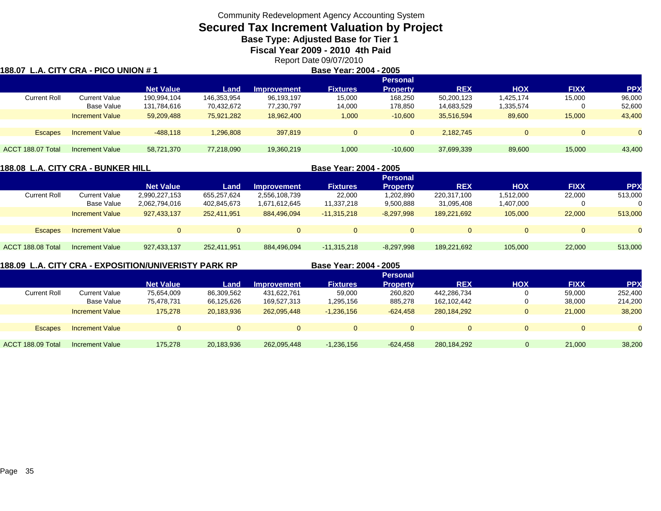# **Secured Tax Increment Valuation by Project**

**Base Type: Adjusted Base for Tier 1** 

**Fiscal Year 2009 - 2010 4th Paid**

Report Date 09/07/2010

| 188.07 L.A. CITY CRA - PICO UNION # 1 |                        |                  |             |                    | Base Year: 2004 - 2005 |                 |            |            |                |            |
|---------------------------------------|------------------------|------------------|-------------|--------------------|------------------------|-----------------|------------|------------|----------------|------------|
|                                       |                        |                  |             |                    |                        | <b>Personal</b> | <b>REX</b> |            |                |            |
|                                       |                        | <b>Net Value</b> | Land        | <b>Improvement</b> | <b>Fixtures</b>        | <b>Property</b> |            | <b>HOX</b> | <b>FIXX</b>    | <b>PPX</b> |
| <b>Current Roll</b>                   | <b>Current Value</b>   | 190,994,104      | 146,353,954 | 96,193,197         | 15,000                 | 168.250         | 50,200,123 | 1,425,174  | 15,000         | 96,000     |
|                                       | Base Value             | 131,784,616      | 70,432,672  | 77,230,797         | 14,000                 | 178,850         | 14,683,529 | 1,335,574  |                | 52,600     |
|                                       | <b>Increment Value</b> | 59,209,488       | 75,921,282  | 18,962,400         | 1,000                  | $-10,600$       | 35.516.594 | 89,600     | 15,000         | 43,400     |
| <b>Escapes</b>                        | <b>Increment Value</b> | $-488.118$       | 1,296,808   | 397.819            | $\mathbf{0}$           | $\overline{0}$  | 2.182.745  | $\Omega$   | $\overline{0}$ |            |
|                                       |                        |                  |             |                    |                        |                 |            |            |                |            |
| ACCT 188.07 Total                     | Increment Value        | 58,721,370       | 77,218,090  | 19,360,219         | 1,000                  | $-10,600$       | 37,699,339 | 89,600     | 15,000         | 43,400     |

#### **188.08 L.A. CITY CRA - BUNKER HILL**

**Base Year: 2004 - 2005**

|                     |                        |                  |             |                    |                 | Personal        |             |            |             |           |
|---------------------|------------------------|------------------|-------------|--------------------|-----------------|-----------------|-------------|------------|-------------|-----------|
|                     |                        | <b>Net Value</b> | Land        | <b>Improvement</b> | <b>Fixtures</b> | <b>Property</b> | <b>REX</b>  | <b>HOX</b> | <b>FIXX</b> | <b>PP</b> |
| <b>Current Roll</b> | <b>Current Value</b>   | 2,990,227,153    | 655.257.624 | 2,556,108,739      | 22,000          | 1,202,890       | 220,317,100 | 1,512,000  | 22,000      | 513,000   |
|                     | Base Value             | 2,062,794,016    | 402,845,673 | 1,671,612,645      | 11,337,218      | 9,500,888       | 31,095,408  | ,407,000   |             | 0         |
|                     | <b>Increment Value</b> | 927,433,137      | 252,411,951 | 884,496,094        | $-11,315,218$   | $-8,297,998$    | 189,221,692 | 105,000    | 22,000      | 513,000   |
|                     |                        |                  |             |                    |                 |                 |             |            |             |           |
| <b>Escapes</b>      | <b>Increment Value</b> |                  |             |                    | $\Omega$        | $\Omega$        | O           |            |             | $\Omega$  |
|                     |                        |                  |             |                    |                 |                 |             |            |             |           |
| ACCT 188.08 Total   | <b>Increment Value</b> | 927,433,137      | 252,411,951 | 884,496,094        | $-11,315,218$   | $-8,297,998$    | 189.221.692 | 105,000    | 22,000      | 513,000   |
|                     |                        |                  |             |                    |                 |                 |             |            |             |           |

#### **188.09 L.A. CITY CRA - EXPOSITION/UNIVERISTY PARK RP**

**Base Year: 2004 - 2005**

|                     |                        |                  |            |                    | ---- --- -- - - - |                 |               |            |             |            |  |
|---------------------|------------------------|------------------|------------|--------------------|-------------------|-----------------|---------------|------------|-------------|------------|--|
|                     |                        | <b>Personal</b>  |            |                    |                   |                 |               |            |             |            |  |
|                     |                        | <b>Net Value</b> | Land       | <b>Improvement</b> | <b>Fixtures</b>   | <b>Property</b> | <b>REX</b>    | <b>HOX</b> | <b>FIXX</b> | <b>PPX</b> |  |
| <b>Current Roll</b> | <b>Current Value</b>   | 75.654.009       | 86,309,562 | 431,622,761        | 59,000            | 260,820         | 442.286.734   |            | 59,000      | 252,400    |  |
|                     | Base Value             | 75,478,731       | 66,125,626 | 169,527,313        | 1,295,156         | 885,278         | 162,102,442   |            | 38,000      | 214,200    |  |
|                     | <b>Increment Value</b> | 175,278          | 20,183,936 | 262,095,448        | $-1,236,156$      | $-624.458$      | 280, 184, 292 |            | 21,000      | 38,200     |  |
|                     |                        |                  |            |                    |                   |                 |               |            |             |            |  |
| <b>Escapes</b>      | <b>Increment Value</b> |                  |            |                    | $\Omega$          |                 |               | $\Omega$   |             |            |  |
|                     |                        |                  |            |                    |                   |                 |               |            |             |            |  |
| ACCT 188.09 Total   | Increment Value        | 175.278          | 20,183,936 | 262.095.448        | $-1,236,156$      | $-624,458$      | 280,184,292   | $\Omega$   | 21,000      | 38,200     |  |
|                     |                        |                  |            |                    |                   |                 |               |            |             |            |  |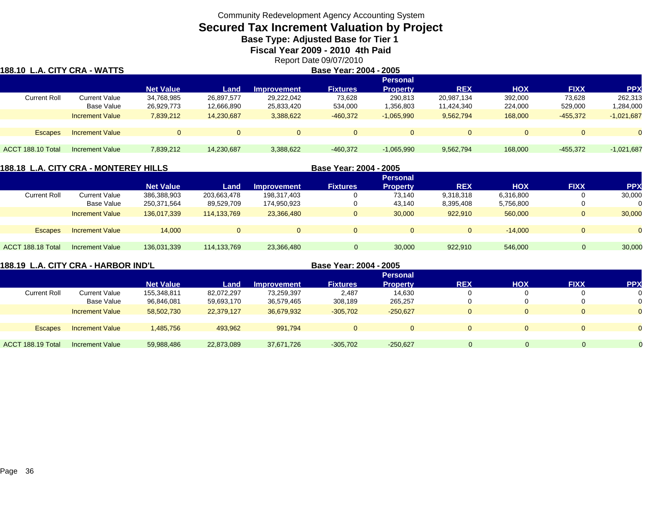## **Secured Tax Increment Valuation by Project**

**Base Type: Adjusted Base for Tier 1** 

**Fiscal Year 2009 - 2010 4th Paid**

Report Date 09/07/2010

| 188.10  L.A. CITY CRA - WATTS |                        |                  |            |                    | Base Year: 2004 - 2005 |                 |            |            |             |              |
|-------------------------------|------------------------|------------------|------------|--------------------|------------------------|-----------------|------------|------------|-------------|--------------|
|                               |                        |                  |            |                    |                        | <b>Personal</b> |            |            |             |              |
|                               |                        | <b>Net Value</b> | Land       | <b>Improvement</b> | <b>Fixtures</b>        | <b>Property</b> | <b>REX</b> | <b>HOX</b> | <b>FIXX</b> | <b>PPX</b>   |
| Current Roll                  | <b>Current Value</b>   | 34,768,985       | 26,897,577 | 29,222,042         | 73,628                 | 290,813         | 20,987,134 | 392,000    | 73,628      | 262,313      |
|                               | <b>Base Value</b>      | 26,929,773       | 12,666,890 | 25,833,420         | 534,000                | 1,356,803       | 11,424,340 | 224,000    | 529,000     | .284,000     |
|                               | <b>Increment Value</b> | 7,839,212        | 14,230,687 | 3,388,622          | $-460,372$             | $-1,065,990$    | 9,562,794  | 168,000    | $-455,372$  | $-1,021,687$ |
|                               |                        |                  |            |                    |                        |                 |            |            |             |              |
| <b>Escapes</b>                | <b>Increment Value</b> | $\overline{0}$   |            | $\Omega$           | $\Omega$               | $\mathbf{0}$    | $\Omega$   | $\Omega$   | 0           |              |
|                               |                        |                  |            |                    |                        |                 |            |            |             |              |
| ACCT 188.10 Total             | Increment Value        | 7,839,212        | 14,230,687 | 3,388,622          | $-460,372$             | $-1,065,990$    | 9,562,794  | 168,000    | $-455,372$  | $-1,021,687$ |
|                               |                        |                  |            |                    |                        |                 |            |            |             |              |

#### **188.18 L.A. CITY CRA - MONTEREY HILLS**

**Base Year: 2004 - 2005**

|                     |                        |                  |             |                    |                 | <b>Personal</b> |            |            |              |            |
|---------------------|------------------------|------------------|-------------|--------------------|-----------------|-----------------|------------|------------|--------------|------------|
|                     |                        | <b>Net Value</b> | Land        | <b>Improvement</b> | <b>Fixtures</b> | Property        | <b>REX</b> | <b>HOX</b> | <b>FIXX</b>  | <b>PPX</b> |
| <b>Current Roll</b> | Current Value          | 386,388,903      | 203,663,478 | 198,317,403        |                 | 73.140          | 9,318,318  | 6,316,800  |              | 30,000     |
|                     | Base Value             | 250,371,564      | 89,529,709  | 174,950,923        | 0               | 43,140          | 8,395,408  | 5,756,800  | 0            |            |
|                     | <b>Increment Value</b> | 136.017.339      | 114.133.769 | 23,366,480         | $\Omega$        | 30,000          | 922.910    | 560,000    | $\mathbf{0}$ | 30,000     |
|                     |                        |                  |             |                    |                 |                 |            |            |              |            |
| <b>Escapes</b>      | <b>Increment Value</b> | 14.000           |             | $\Omega$           | $\Omega$        |                 | $\Omega$   | $-14.000$  | $\Omega$     |            |
|                     |                        |                  |             |                    |                 |                 |            |            |              |            |
| ACCT 188.18 Total   | Increment Value        | 136,031,339      | 114,133,769 | 23,366,480         |                 | 30,000          | 922,910    | 546,000    | $\Omega$     | 30,000     |

**188.19 L.A. CITY CRA - HARBOR IND'L Base Year: 2004 - 2005 Personal Net Value Land Improvement Fixtures Property REX HOX FIXX PPX** Current Rolll Current Value 155,348,811 82,072,297 73,259,397 2,487 14,630 0 0 0 Base Value 96,846,081 59,693,170 36,579,465 308,189 265,257 0 0 0 Increment Value 58,502,730 22,379,127 36,679,932 -305,702 -250,627 0 0 0 Escapes Increment Value 1,485,756 493,962 991,794 0 0 0 0 0 0 ACCT 188.19 TotalI Increment Value 59,988,486 22,873,089 37,671,726 -305,702 -250,627 0 0 0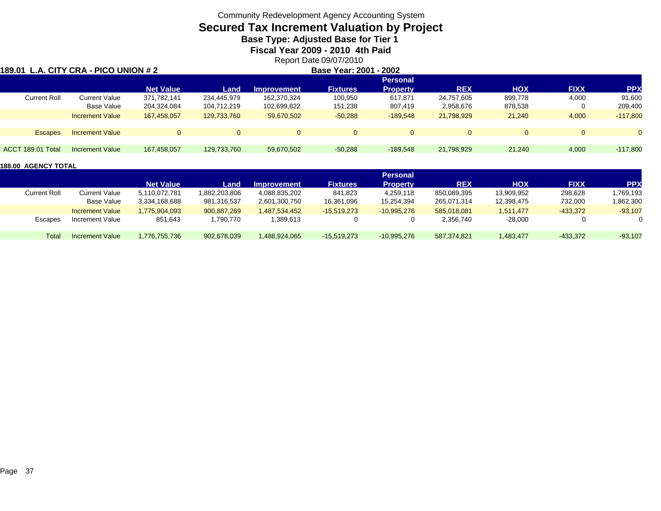## **Secured Tax Increment Valuation by Project**

**Base Type: Adjusted Base for Tier 1** 

**Fiscal Year 2009 - 2010 4th Paid**

Report Date 09/07/2010

| 189.01              | L.A. CITY CRA - PICO UNION # 2 |                  |             | Base Year: 2001 - 2002 |                 |                 |            |            |             |            |
|---------------------|--------------------------------|------------------|-------------|------------------------|-----------------|-----------------|------------|------------|-------------|------------|
|                     |                                |                  |             |                        |                 | <b>Personal</b> |            |            |             |            |
|                     |                                | <b>Net Value</b> | Land        | <b>Improvement</b>     | <b>Fixtures</b> | <b>Property</b> | <b>REX</b> | <b>HOX</b> | <b>FIXX</b> | <b>PPX</b> |
| <b>Current Roll</b> | <b>Current Value</b>           | 371,782,141      | 234.445.979 | 162,370,324            | 100,950         | 617.871         | 24,757,605 | 899,778    | 4,000       | 91,600     |
|                     | Base Value                     | 204,324,084      | 104,712,219 | 102,699,822            | 151,238         | 807.419         | 2,958,676  | 878,538    | 0           | 209,400    |
|                     | <b>Increment Value</b>         | 167.458.057      | 129,733,760 | 59,670,502             | $-50,288$       | $-189.548$      | 21,798,929 | 21,240     | 4,000       | $-117,800$ |
|                     |                                |                  |             |                        |                 |                 |            |            |             |            |
| <b>Escapes</b>      | <b>Increment Value</b>         | $\Omega$         | $\Omega$    | $\Omega$               | $\mathbf{0}$    | $\Omega$        |            | $\Omega$   | $\Omega$    |            |
|                     |                                |                  |             |                        |                 |                 |            |            |             |            |
| ACCT 189.01 Total   | Increment Value                | 167,458,057      | 129,733,760 | 59,670,502             | $-50,288$       | $-189.548$      | 21,798,929 | 21,240     | 4,000       | $-117,800$ |
|                     |                                |                  |             |                        |                 |                 |            |            |             |            |

|                     |                        |                  |               |                    |                 | Personal        |             |            |             |           |
|---------------------|------------------------|------------------|---------------|--------------------|-----------------|-----------------|-------------|------------|-------------|-----------|
|                     |                        | <b>Net Value</b> | Land          | <b>Improvement</b> | <b>Fixtures</b> | <b>Property</b> | <b>REX</b>  | нох        | <b>FIXX</b> | PP)       |
| <b>Current Roll</b> | <b>Current Value</b>   | 5,110,072,781    | 1,882,203,806 | 4,088,835,202      | 841.823         | 4.259.118       | 850,089,395 | 13,909,952 | 298,628     | 1,769,193 |
|                     | Base Value             | 3.334.168.688    | 981.316.537   | 2.601.300.750      | 16.361.096      | 15.254.394      | 265.071.314 | 12.398.475 | 732.000     | 1,862,300 |
|                     | <b>Increment Value</b> | 1.775.904.093    | 900,887,269   | .487.534.452       | $-15,519,273$   | $-10,995,276$   | 585.018.081 | 1.511.477  | $-433,372$  | $-93,107$ |
| Escapes             | Increment Value        | 851,643          | 1,790,770     | 1,389,613          |                 |                 | 2,356,740   | -28,000    |             |           |
| Total               | Increment Value        | 1.776.755.736    | 902,678,039   | 488,924,065        | $-15.519.273$   | $-10.995.276$   | 587.374.821 | 1.483.477  | $-433.372$  | $-93,107$ |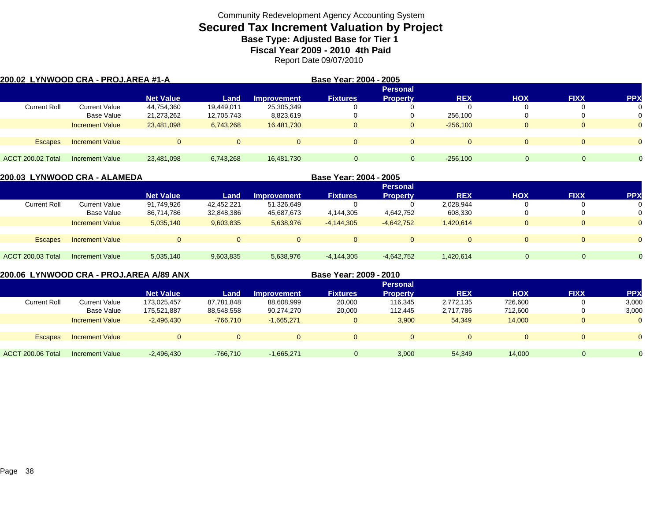## **Secured Tax Increment Valuation by Project Base Type: Adjusted Base for Tier 1**

**Fiscal Year 2009 - 2010 4th Paid**

Report Date 09/07/2010

|                     | 200.02 LYNWOOD CRA - PROJ.AREA #1-A |                  |            | Base Year: 2004 - 2005 |                 |                 |              |            |             |            |
|---------------------|-------------------------------------|------------------|------------|------------------------|-----------------|-----------------|--------------|------------|-------------|------------|
|                     |                                     |                  |            |                        |                 | <b>Personal</b> |              |            |             |            |
|                     |                                     | <b>Net Value</b> | Land       | <b>Improvement</b>     | <b>Fixtures</b> | <b>Property</b> | <b>REX</b>   | <b>HOX</b> | <b>FIXX</b> | <b>PPX</b> |
| <b>Current Roll</b> | Current Value                       | 44,754,360       | 19,449,011 | 25,305,349             |                 | $\Omega$        |              |            | $\Omega$    | 0          |
|                     | Base Value                          | 21,273,262       | 12,705,743 | 8,823,619              |                 | $\mathbf{0}$    | 256,100      |            | $\Omega$    | 0          |
|                     | <b>Increment Value</b>              | 23,481,098       | 6,743,268  | 16,481,730             | $\mathbf{0}$    | $\overline{0}$  | $-256,100$   |            | $\Omega$    | $\Omega$   |
|                     |                                     |                  |            |                        |                 |                 |              |            |             |            |
| <b>Escapes</b>      | <b>Increment Value</b>              | $\Omega$         |            |                        | $\mathbf{0}$    | $\Omega$        | $\mathbf{0}$ |            | $\Omega$    | $\Omega$   |
|                     |                                     |                  |            |                        |                 |                 |              |            |             |            |
| ACCT 200.02 Total   | <b>Increment Value</b>              | 23,481,098       | 6,743,268  | 16,481,730             | $\Omega$        |                 | $-256,100$   |            |             |            |

|                          | 200.03 LYNWOOD CRA - ALAMEDA |                  |            | Base Year: 2004 - 2005 |                 |                 |            |            |             |            |
|--------------------------|------------------------------|------------------|------------|------------------------|-----------------|-----------------|------------|------------|-------------|------------|
|                          |                              |                  |            |                        |                 | <b>Personal</b> |            |            |             |            |
|                          |                              | <b>Net Value</b> | Land       | Improvement            | <b>Fixtures</b> | <b>Property</b> | <b>REX</b> | <b>HOX</b> | <b>FIXX</b> | <b>PPX</b> |
| <b>Current Roll</b>      | <b>Current Value</b>         | 91,749,926       | 42,452,221 | 51,326,649             |                 |                 | 2,028,944  |            |             |            |
|                          | <b>Base Value</b>            | 86,714,786       | 32,848,386 | 45,687,673             | 4,144,305       | 4,642,752       | 608,330    |            |             |            |
|                          | <b>Increment Value</b>       | 5,035,140        | 9,603,835  | 5,638,976              | $-4,144,305$    | $-4,642,752$    | 1,420,614  |            |             |            |
|                          |                              |                  |            |                        |                 |                 |            |            |             |            |
| <b>Escapes</b>           | <b>Increment Value</b>       |                  |            | $\Omega$               | $\Omega$        | $\Omega$        | $\Omega$   |            |             | $\Omega$   |
|                          |                              |                  |            |                        |                 |                 |            |            |             |            |
| <b>ACCT 200.03 Total</b> | Increment Value              | 5,035,140        | 9,603,835  | 5,638,976              | -4,144,305      | $-4,642,752$    | 1,420,614  | $\Omega$   | $\Omega$    | $\Omega$   |
|                          |                              |                  |            |                        |                 |                 |            |            |             |            |

**200.06 LYNWOOD CRA - PROJ.AREA A/89 ANX**

**Base Year: 2009 - 2010**

|                     |                        |                  |            |                    |                 | <b>Personal</b> |            |            |             |                |
|---------------------|------------------------|------------------|------------|--------------------|-----------------|-----------------|------------|------------|-------------|----------------|
|                     |                        | <b>Net Value</b> | Land       | <b>Improvement</b> | <b>Fixtures</b> | <b>Property</b> | <b>REX</b> | <b>HOX</b> | <b>FIXX</b> | <b>PPX</b>     |
| <b>Current Roll</b> | Current Value          | 173,025,457      | 87.781.848 | 88,608,999         | 20,000          | 116,345         | 2,772,135  | 726.600    |             | 3,000          |
|                     | Base Value             | 175,521,887      | 88,548,558 | 90,274,270         | 20,000          | 112.445         | 2,717,786  | 712,600    |             | 3,000          |
|                     | <b>Increment Value</b> | $-2.496.430$     | $-766.710$ | $-1.665.271$       |                 | 3,900           | 54,349     | 14,000     |             | $\Omega$       |
|                     |                        |                  |            |                    |                 |                 |            |            |             |                |
| <b>Escapes</b>      | <b>Increment Value</b> | $\Omega$         |            | $\Omega$           | $\Omega$        |                 | $\Omega$   |            |             | $\Omega$       |
|                     |                        |                  |            |                    |                 |                 |            |            |             |                |
| ACCT 200.06 Total   | <b>Increment Value</b> | $-2,496,430$     | $-766.710$ | $-1.665.271$       |                 | 3,900           | 54,349     | 14,000     | 0           | $\overline{0}$ |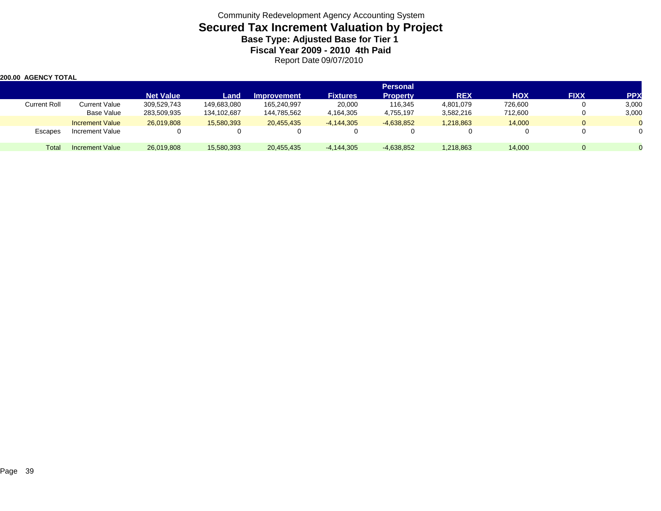| 200.00 AGENCY TOTAL |                        |                  |             |                    |                 |                 |            |            |             |            |
|---------------------|------------------------|------------------|-------------|--------------------|-----------------|-----------------|------------|------------|-------------|------------|
|                     |                        |                  |             |                    |                 | <b>Personal</b> |            |            |             |            |
|                     |                        | <b>Net Value</b> | Land        | <b>Improvement</b> | <b>Fixtures</b> | <b>Property</b> | <b>REX</b> | <b>HOX</b> | <b>FIXX</b> | <b>PPX</b> |
| <b>Current Roll</b> | Current Value          | 309,529,743      | 149,683,080 | 165,240,997        | 20,000          | 116,345         | 4,801,079  | 726,600    |             | 3,000      |
|                     | <b>Base Value</b>      | 283,509,935      | 134,102,687 | 144,785,562        | 4,164,305       | 4,755,197       | 3,582,216  | 712,600    |             | 3,000      |
|                     | <b>Increment Value</b> | 26.019.808       | 15,580,393  | 20,455,435         | $-4,144,305$    | $-4,638,852$    | 1,218,863  | 14,000     |             |            |
| Escapes             | Increment Value        |                  |             | 0                  |                 |                 | 0          |            |             |            |
| Total               | <b>Increment Value</b> | 26,019,808       | 15,580,393  | 20,455,435         | $-4,144,305$    | $-4,638,852$    | 1,218,863  | 14,000     |             |            |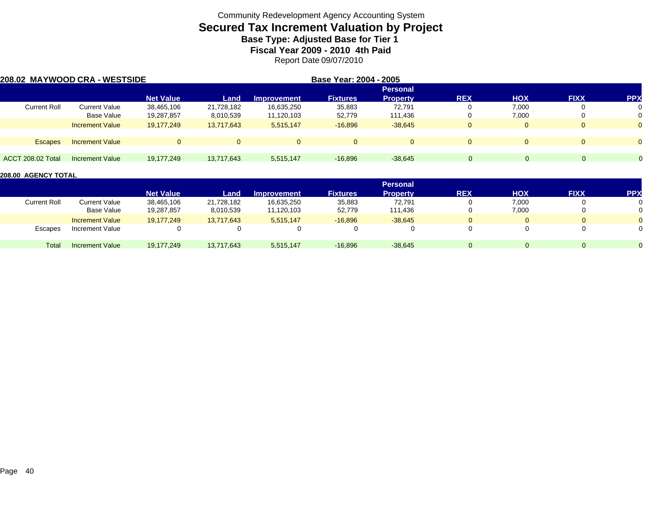## **Secured Tax Increment Valuation by Project Base Type: Adjusted Base for Tier 1**

**Fiscal Year 2009 - 2010 4th Paid**

Report Date 09/07/2010

|                     | 208.02 MAYWOOD CRA - WESTSIDE |                  |            |                    | Base Year: 2004 - 2005 |                 |            |            |             |                |
|---------------------|-------------------------------|------------------|------------|--------------------|------------------------|-----------------|------------|------------|-------------|----------------|
|                     |                               |                  |            |                    |                        | <b>Personal</b> |            |            |             |                |
|                     |                               | <b>Net Value</b> | Land       | <b>Improvement</b> | <b>Fixtures</b>        | <b>Property</b> | <b>REX</b> | <b>HOX</b> | <b>FIXX</b> | <b>PPX</b>     |
| <b>Current Roll</b> | <b>Current Value</b>          | 38,465,106       | 21,728,182 | 16,635,250         | 35,883                 | 72.791          |            | 7,000      | v           | 0              |
|                     | Base Value                    | 19,287,857       | 8,010,539  | 11,120,103         | 52,779                 | 111,436         |            | 7,000      | υ           | 0              |
|                     | <b>Increment Value</b>        | 19,177,249       | 13,717,643 | 5,515,147          | $-16,896$              | $-38,645$       |            |            | 0           | $\overline{0}$ |
| <b>Escapes</b>      | <b>Increment Value</b>        | $\Omega$         | $\Omega$   |                    | $\Omega$               | $\Omega$        |            |            | $\Omega$    | $\Omega$       |
| ACCT 208.02 Total   | Increment Value               | 19,177,249       | 13,717,643 | 5,515,147          | $-16,896$              | $-38,645$       | 0          |            | $\Omega$    |                |

|                     |                        |                  |            |                    |                 | <b>Personal</b> |            |       |             |            |
|---------------------|------------------------|------------------|------------|--------------------|-----------------|-----------------|------------|-------|-------------|------------|
|                     |                        | <b>Net Value</b> | Land       | <b>Improvement</b> | <b>Fixtures</b> | Property        | <b>REX</b> | HOX   | <b>FIXX</b> | <b>PPX</b> |
| <b>Current Roll</b> | Current Value          | 38,465,106       | 21,728,182 | 16,635,250         | 35,883          | 72,791          |            | 7,000 |             |            |
|                     | Base Value             | 19,287,857       | 8,010,539  | 11,120,103         | 52,779          | 111,436         |            | 7,000 |             |            |
|                     | <b>Increment Value</b> | 19,177,249       | 13,717,643 | 5,515,147          | $-16.896$       | $-38.645$       |            |       | $\Omega$    |            |
| Escapes             | Increment Value        |                  |            |                    |                 |                 |            |       |             |            |
| Total               | <b>Increment Value</b> | 19,177,249       | 13,717,643 | 5,515,147          | $-16,896$       | $-38,645$       |            |       | $\Omega$    |            |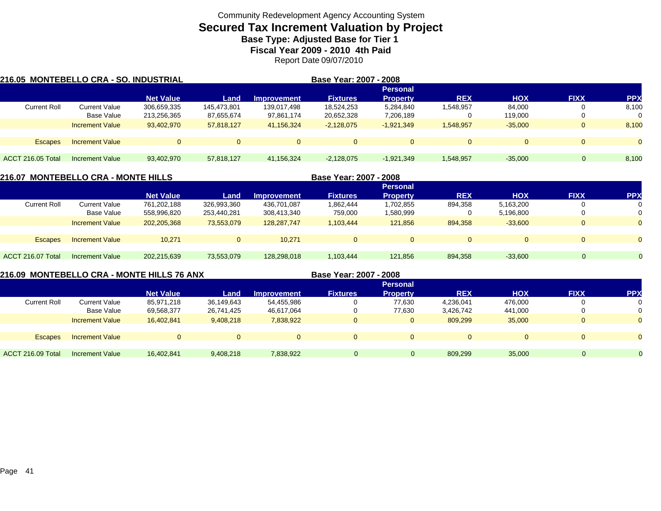# **Secured Tax Increment Valuation by Project**

**Base Type: Adjusted Base for Tier 1 Fiscal Year 2009 - 2010 4th Paid**

Report Date 09/07/2010

| 216.05 MONTEBELLO CRA - SO. INDUSTRIAL |                             |                            |                           |                           | Base Year: 2007 - 2008   |                                    |            |                   |             |            |
|----------------------------------------|-----------------------------|----------------------------|---------------------------|---------------------------|--------------------------|------------------------------------|------------|-------------------|-------------|------------|
|                                        |                             | <b>Net Value</b>           | Land                      | <b>Improvement</b>        | <b>Fixtures</b>          | <b>Personal</b><br><b>Property</b> | <b>REX</b> | <b>HOX</b>        | <b>FIXX</b> | <b>PPX</b> |
| <b>Current Roll</b>                    | Current Value<br>Base Value | 306,659,335<br>213,256,365 | 145.473.801<br>87,655,674 | 139,017,498<br>97,861,174 | 18,524,253<br>20,652,328 | 5,284,840<br>7,206,189             | 1,548,957  | 84,000<br>119,000 |             | 8,100<br>0 |
|                                        | <b>Increment Value</b>      | 93,402,970                 | 57,818,127                | 41,156,324                | $-2,128,075$             | $-1,921,349$                       | 1,548,957  | $-35,000$         |             | 8,100      |
| <b>Escapes</b>                         | <b>Increment Value</b>      | $\Omega$                   |                           | $\Omega$                  | $\Omega$                 | $\Omega$                           | $\Omega$   | $\Omega$          |             | $\Omega$   |
| ACCT 216.05 Total                      | Increment Value             | 93,402,970                 | 57.818.127                | 41,156,324                | $-2,128,075$             | $-1,921,349$                       | 1,548,957  | $-35.000$         | $\Omega$    | 8,100      |

| <b>216.07 MONTEBELLO CRA - MONTE HILLS</b> |                        |                  |             |                    | Base Year: 2007 - 2008 |                 |            |            |             |            |
|--------------------------------------------|------------------------|------------------|-------------|--------------------|------------------------|-----------------|------------|------------|-------------|------------|
|                                            |                        |                  |             |                    |                        | <b>Personal</b> |            |            |             |            |
|                                            |                        | <b>Net Value</b> | Land        | <b>Improvement</b> | <b>Fixtures</b>        | <b>Property</b> | <b>REX</b> | <b>HOX</b> | <b>FIXX</b> | <b>PPX</b> |
| <b>Current Roll</b>                        | <b>Current Value</b>   | 761,202,188      | 326,993,360 | 436,701,087        | 1,862,444              | 1,702,855       | 894,358    | 5,163,200  |             |            |
|                                            | Base Value             | 558,996,820      | 253,440,281 | 308,413,340        | 759,000                | 1,580,999       | 0          | 5,196,800  |             |            |
|                                            | <b>Increment Value</b> | 202,205,368      | 73,553,079  | 128,287,747        | 1,103,444              | 121,856         | 894,358    | $-33,600$  |             | $\Omega$   |
|                                            |                        |                  |             |                    |                        |                 |            |            |             |            |
| <b>Escapes</b>                             | <b>Increment Value</b> | 10.271           |             | 10.271             | $\Omega$               | $\Omega$        | $\Omega$   |            | 0           | $\Omega$   |
|                                            |                        |                  |             |                    |                        |                 |            |            |             |            |
| ACCT 216.07 Total                          | Increment Value        | 202,215,639      | 73,553,079  | 128.298.018        | 1,103,444              | 121,856         | 894,358    | $-33,600$  | $\Omega$    | $\Omega$   |
|                                            |                        |                  |             |                    |                        |                 |            |            |             |            |

**216.09 MONTEBELLO CRA - MONTE HILLS 76 ANX**

**Base Year: 2007 - 2008**

|                     |                        |                  |            |                    |                 | <b>Personal</b> |            |            |             |                |
|---------------------|------------------------|------------------|------------|--------------------|-----------------|-----------------|------------|------------|-------------|----------------|
|                     |                        | <b>Net Value</b> | Land       | <b>Improvement</b> | <b>Fixtures</b> | <b>Property</b> | <b>REX</b> | <b>HOX</b> | <b>FIXX</b> | <b>PPX</b>     |
| <b>Current Roll</b> | <b>Current Value</b>   | 85,971,218       | 36,149,643 | 54,455,986         | $\Omega$        | 77,630          | 4,236,041  | 476,000    |             | 0              |
|                     | Base Value             | 69,568,377       | 26,741,425 | 46,617,064         | 0               | 77,630          | 3,426,742  | 441,000    |             | $\Omega$       |
|                     | <b>Increment Value</b> | 16,402,841       | 9,408,218  | 7,838,922          |                 |                 | 809,299    | 35,000     |             | $\Omega$       |
|                     |                        |                  |            |                    |                 |                 |            |            |             |                |
| <b>Escapes</b>      | <b>Increment Value</b> | $\overline{0}$   |            | $\Omega$           | $\Omega$        |                 | $\Omega$   | $\Omega$   |             | $\Omega$       |
|                     |                        |                  |            |                    |                 |                 |            |            |             |                |
| ACCT 216.09 Total   | <b>Increment Value</b> | 16,402,841       | 9,408,218  | 7,838,922          | O.              | $\Omega$        | 809,299    | 35,000     | $\Omega$    | $\overline{0}$ |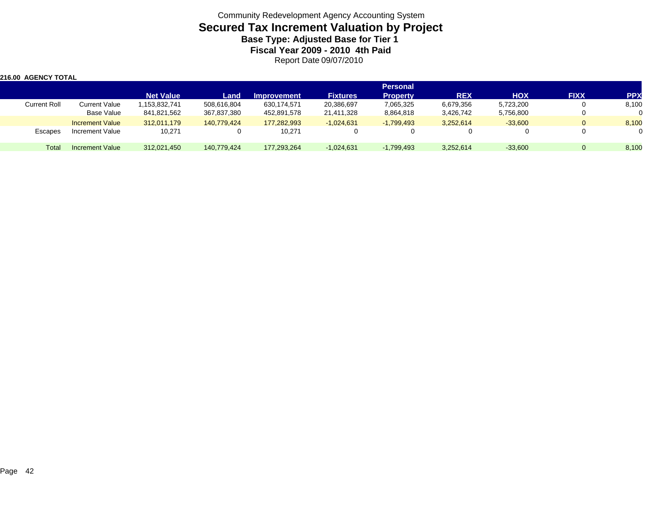| <b>216.00 AGENCY TOTAL</b> |                        |                  |             |                    |                 |                 |            |            |             |            |
|----------------------------|------------------------|------------------|-------------|--------------------|-----------------|-----------------|------------|------------|-------------|------------|
|                            |                        |                  |             |                    |                 | <b>Personal</b> |            |            |             |            |
|                            |                        | <b>Net Value</b> | Land        | <b>Improvement</b> | <b>Fixtures</b> | <b>Property</b> | <b>REX</b> | <b>HOX</b> | <b>FIXX</b> | <b>PPX</b> |
| <b>Current Roll</b>        | <b>Current Value</b>   | 1,153,832,741    | 508,616,804 | 630,174,571        | 20,386,697      | 7,065,325       | 6,679,356  | 5,723,200  |             | 8,100      |
|                            | Base Value             | 841,821,562      | 367,837,380 | 452,891,578        | 21,411,328      | 8,864,818       | 3,426,742  | 5,756,800  |             |            |
|                            | <b>Increment Value</b> | 312.011.179      | 140.779.424 | 177.282.993        | $-1,024,631$    | $-1,799,493$    | 3,252,614  | $-33.600$  | 0           | 8,100      |
| Escapes                    | Increment Value        | 10,271           |             | 10,271             |                 |                 | 0          |            |             | $\Omega$   |
| <b>Total</b>               | Increment Value        | 312,021,450      | 140.779.424 | 177.293.264        | $-1,024,631$    | $-1,799,493$    | 3,252,614  | $-33,600$  | 0           | 8,100      |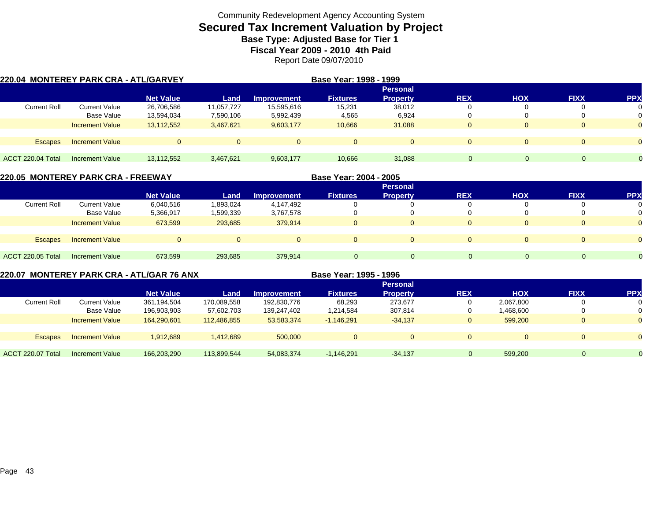## **Secured Tax Increment Valuation by Project Base Type: Adjusted Base for Tier 1**

**Fiscal Year 2009 - 2010 4th Paid**

Report Date 09/07/2010

| 220.04 MONTEREY PARK CRA - ATL/GARVEY |                        |                  |            |                    | Base Year: 1998 - 1999 |                 |              |            |                |            |
|---------------------------------------|------------------------|------------------|------------|--------------------|------------------------|-----------------|--------------|------------|----------------|------------|
|                                       |                        |                  |            |                    |                        | <b>Personal</b> |              |            |                |            |
|                                       |                        | <b>Net Value</b> | Land       | <b>Improvement</b> | <b>Fixtures</b>        | <b>Property</b> | <b>REX</b>   | <b>HOX</b> | <b>FIXX</b>    | <b>PPX</b> |
| <b>Current Roll</b>                   | <b>Current Value</b>   | 26,706,586       | 11,057,727 | 15,595,616         | 15,231                 | 38,012          |              |            | $\Omega$       | 0          |
|                                       | Base Value             | 13,594,034       | 7,590,106  | 5,992,439          | 4,565                  | 6,924           |              |            | $\Omega$       | 0          |
|                                       | <b>Increment Value</b> | 13,112,552       | 3,467,621  | 9,603,177          | 10,666                 | 31,088          | $\mathbf{0}$ |            | $\overline{0}$ | $\Omega$   |
|                                       |                        |                  |            |                    |                        |                 |              |            |                |            |
| <b>Escapes</b>                        | <b>Increment Value</b> | $\Omega$         |            |                    |                        | $\Omega$        | $\Omega$     |            | $\Omega$       | $\Omega$   |
|                                       |                        |                  |            |                    |                        |                 |              |            |                |            |
| ACCT 220.04 Total                     | Increment Value        | 13,112,552       | 3,467,621  | 9,603,177          | 10,666                 | 31,088          | $\mathbf{0}$ |            | $\Omega$       |            |

| 220.05 MONTEREY PARK CRA - FREEWAY |                        |                  |           |                    | Base Year: 2004 - 2005 |                 |            |            |             |                |
|------------------------------------|------------------------|------------------|-----------|--------------------|------------------------|-----------------|------------|------------|-------------|----------------|
|                                    |                        |                  |           |                    |                        | <b>Personal</b> |            |            |             |                |
|                                    |                        | <b>Net Value</b> | Land      | <b>Improvement</b> | <b>Fixtures</b>        | <b>Property</b> | <b>REX</b> | <b>HOX</b> | <b>FIXX</b> | <b>PP</b>      |
| <b>Current Roll</b>                | <b>Current Value</b>   | 6,040,516        | 1,893,024 | 4,147,492          |                        |                 | 0          |            | 0           | 0              |
|                                    | Base Value             | 5,366,917        | 1,599,339 | 3,767,578          |                        |                 | 0          | 0          | 0           | 0              |
|                                    | <b>Increment Value</b> | 673,599          | 293,685   | 379.914            | $\Omega$               | 0               | $\Omega$   | $\Omega$   | $\Omega$    | $\overline{0}$ |
|                                    |                        |                  |           |                    |                        |                 |            |            |             |                |
| <b>Escapes</b>                     | <b>Increment Value</b> | $\Omega$         |           |                    | $\Omega$               |                 |            | $\Omega$   | $\Omega$    |                |
|                                    |                        |                  |           |                    |                        |                 |            |            |             |                |
| <b>ACCT 220.05 Total</b>           | Increment Value        | 673.599          | 293.685   | 379.914            | $\Omega$               | $\Omega$        |            | $\Omega$   |             |                |

**220.07 MONTEREY PARK CRA - ATL/GAR 76 ANX**

**Base Year: 1995 - 1996**

|                          |                        |                  |             |                    |                 | <b>Personal</b> |            |            |              |            |
|--------------------------|------------------------|------------------|-------------|--------------------|-----------------|-----------------|------------|------------|--------------|------------|
|                          |                        | <b>Net Value</b> | Land        | <b>Improvement</b> | <b>Fixtures</b> | Propertv        | <b>REX</b> | <b>HOX</b> | <b>FIXX</b>  | <b>PPX</b> |
| <b>Current Roll</b>      | Current Value          | 361,194,504      | 170,089,558 | 192,830,776        | 68,293          | 273.677         | 0          | 2,067,800  | $\mathbf{0}$ |            |
|                          | Base Value             | 196,903,903      | 57,602,703  | 139,247,402        | 1,214,584       | 307,814         | 0          | 1,468,600  | 0            |            |
|                          | <b>Increment Value</b> | 164,290,601      | 112,486,855 | 53,583,374         | $-1.146.291$    | $-34,137$       | $\Omega$   | 599.200    | $\mathbf{0}$ |            |
|                          |                        |                  |             |                    |                 |                 |            |            |              |            |
| <b>Escapes</b>           | <b>Increment Value</b> | 1,912,689        | 1,412,689   | 500,000            |                 |                 | $\Omega$   | $\Omega$   | $\Omega$     |            |
|                          |                        |                  |             |                    |                 |                 |            |            |              |            |
| <b>ACCT 220.07 Total</b> | Increment Value        | 166,203,290      | 113.899.544 | 54,083,374         | $-1,146,291$    | $-34,137$       |            | 599.200    |              |            |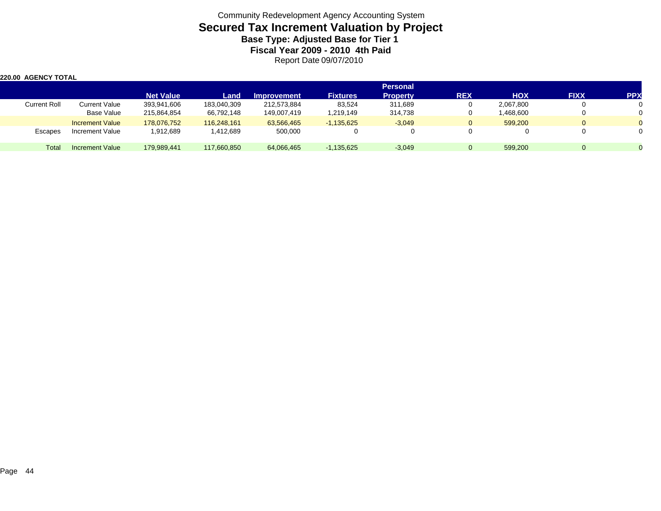| 220.00 AGENCY TOTAL |                        |                  |             |             |                 |                 |              |            |             |            |
|---------------------|------------------------|------------------|-------------|-------------|-----------------|-----------------|--------------|------------|-------------|------------|
|                     |                        |                  |             |             |                 | <b>Personal</b> |              |            |             |            |
|                     |                        | <b>Net Value</b> | Land        | Improvement | <b>Fixtures</b> | <b>Property</b> | <b>REX</b>   | <b>HOX</b> | <b>FIXX</b> | <b>PPX</b> |
| <b>Current Roll</b> | <b>Current Value</b>   | 393,941,606      | 183,040,309 | 212,573,884 | 83,524          | 311,689         | 0            | 2,067,800  |             |            |
|                     | Base Value             | 215,864,854      | 66,792,148  | 149,007,419 | 1,219,149       | 314,738         | 0            | 1,468,600  |             |            |
|                     | <b>Increment Value</b> | 178.076.752      | 116,248,161 | 63,566,465  | $-1,135,625$    | $-3,049$        | $\mathbf{0}$ | 599.200    |             |            |
| Escapes             | Increment Value        | 1,912,689        | 1,412,689   | 500,000     |                 | $\Omega$        | 0            |            |             |            |
| Total               | Increment Value        | 179,989,441      | 117,660,850 | 64,066,465  | $-1,135,625$    | $-3,049$        | $\Omega$     | 599.200    |             |            |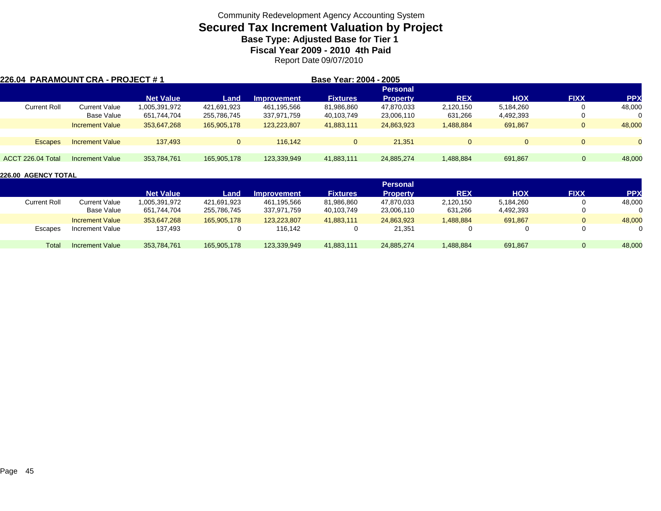## **Secured Tax Increment Valuation by Project Base Type: Adjusted Base for Tier 1**

**Fiscal Year 2009 - 2010 4th Paid**

Report Date 09/07/2010

| 226.04 PARAMOUNT CRA - PROJECT #1 |                        |                  |              |                    | Base Year: 2004 - 2005 |                 |              |              |             |           |
|-----------------------------------|------------------------|------------------|--------------|--------------------|------------------------|-----------------|--------------|--------------|-------------|-----------|
|                                   |                        |                  |              |                    |                        | <b>Personal</b> |              |              |             |           |
|                                   |                        | <b>Net Value</b> | Land         | <b>Improvement</b> | <b>Fixtures</b>        | <b>Property</b> | <b>REX</b>   | <b>HOX</b>   | <b>FIXX</b> | <b>PP</b> |
| <b>Current Roll</b>               | Current Value          | 1,005,391,972    | 421,691,923  | 461,195,566        | 81,986,860             | 47,870,033      | 2,120,150    | 5,184,260    |             | 48,000    |
|                                   | Base Value             | 651,744,704      | 255,786,745  | 337,971,759        | 40,103,749             | 23,006,110      | 631,266      | 4,492,393    |             | 0         |
|                                   | <b>Increment Value</b> | 353,647,268      | 165,905,178  | 123,223,807        | 41,883,111             | 24,863,923      | 1,488,884    | 691.867      |             | 48,000    |
|                                   |                        |                  |              |                    |                        |                 |              |              |             |           |
| <b>Escapes</b>                    | <b>Increment Value</b> | 137.493          | $\mathbf{0}$ | 116.142            | $\mathbf{0}$           | 21,351          | $\mathbf{0}$ | $\mathbf{0}$ |             | $\Omega$  |
|                                   |                        |                  |              |                    |                        |                 |              |              |             |           |
| ACCT 226.04 Total                 | Increment Value        | 353,784,761      | 165,905,178  | 123,339,949        | 41,883,111             | 24,885,274      | 1,488,884    | 691,867      | $\Omega$    | 48,000    |

|                     |                        |                  |             |                    |                 | <b>Personal</b> |            |            |              |            |
|---------------------|------------------------|------------------|-------------|--------------------|-----------------|-----------------|------------|------------|--------------|------------|
|                     |                        | <b>Net Value</b> | Land        | <b>Improvement</b> | <b>Fixtures</b> | Propertv        | <b>REX</b> | <b>HOX</b> | <b>FIXX</b>  | <b>PPX</b> |
| <b>Current Roll</b> | Current Value          | 1,005,391,972    | 421.691.923 | 461,195,566        | 81,986,860      | 47,870,033      | 2,120,150  | 5,184,260  |              | 48,000     |
|                     | Base Value             | 651,744,704      | 255,786,745 | 337,971,759        | 40,103,749      | 23,006,110      | 631,266    | 4,492,393  |              |            |
|                     | <b>Increment Value</b> | 353,647,268      | 165,905,178 | 123,223,807        | 41,883,111      | 24,863,923      | ,488,884   | 691,867    | $\mathbf{0}$ | 48,000     |
| Escapes             | Increment Value        | 137,493          |             | 116,142            |                 | 21,351          |            |            |              |            |
| Total               | Increment Value        | 353.784.761      | 165,905,178 | 123,339,949        | 41,883,111      | 24,885,274      | 1,488,884  | 691,867    |              | 48,000     |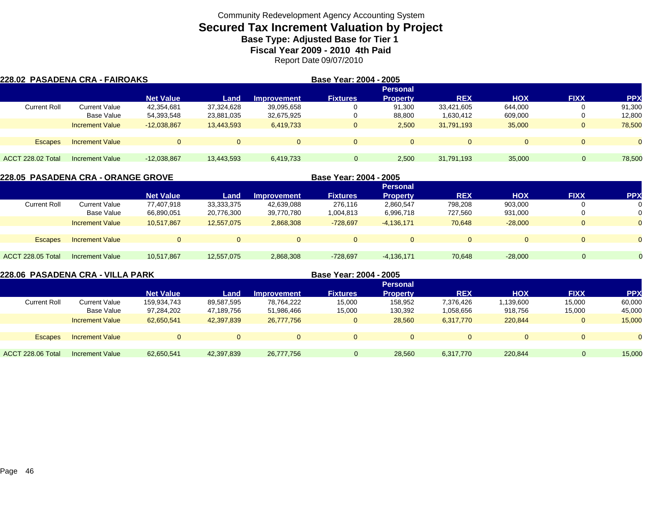## **Secured Tax Increment Valuation by Project Base Type: Adjusted Base for Tier 1**

**Fiscal Year 2009 - 2010 4th Paid**

Report Date 09/07/2010

| <b>228.02 PASADENA CRA - FAIROAKS</b> |                        |                  |            |                    | Base Year: 2004 - 2005 |                 |              |            |              |            |
|---------------------------------------|------------------------|------------------|------------|--------------------|------------------------|-----------------|--------------|------------|--------------|------------|
|                                       |                        |                  |            |                    |                        | <b>Personal</b> |              |            |              |            |
|                                       |                        | <b>Net Value</b> | Land       | <b>Improvement</b> | <b>Fixtures</b>        | <b>Property</b> | <b>REX</b>   | <b>HOX</b> | <b>FIXX</b>  | <b>PPX</b> |
| <b>Current Roll</b>                   | Current Value          | 42,354,681       | 37,324,628 | 39,095,658         | 0                      | 91,300          | 33,421,605   | 644,000    | 0            | 91,300     |
|                                       | Base Value             | 54,393,548       | 23,881,035 | 32,675,925         | 0                      | 88,800          | 1,630,412    | 609,000    | 0            | 12,800     |
|                                       | <b>Increment Value</b> | $-12,038,867$    | 13,443,593 | 6,419,733          | $\mathbf{0}$           | 2.500           | 31,791,193   | 35,000     | $\mathbf{0}$ | 78,500     |
|                                       |                        |                  |            |                    |                        |                 |              |            |              |            |
| <b>Escapes</b>                        | <b>Increment Value</b> | $\Omega$         |            | $\Omega$           | $\mathbf{0}$           | $\Omega$        | $\mathbf{0}$ |            | $\mathbf{0}$ | $\Omega$   |
|                                       |                        |                  |            |                    |                        |                 |              |            |              |            |
| ACCT 228.02 Total                     | Increment Value        | $-12,038,867$    | 13,443,593 | 6,419,733          |                        | 2,500           | 31,791,193   | 35,000     |              | 78,500     |

|                          | 228.05  PASADENA CRA - ORANGE GROVE |                  |            | Base Year: 2004 - 2005 |                 |                 |            |            |              |          |
|--------------------------|-------------------------------------|------------------|------------|------------------------|-----------------|-----------------|------------|------------|--------------|----------|
|                          |                                     |                  |            |                        |                 | <b>Personal</b> |            |            |              |          |
|                          |                                     | <b>Net Value</b> | Land       | <b>Improvement</b>     | <b>Fixtures</b> | <b>Property</b> | <b>REX</b> | <b>HOX</b> | <b>FIXX</b>  | (PP      |
| <b>Current Roll</b>      | <b>Current Value</b>                | 77.407.918       | 33,333,375 | 42,639,088             | 276.116         | 2,860,547       | 798,208    | 903,000    | 0            | 0        |
|                          | Base Value                          | 66,890,051       | 20,776,300 | 39,770,780             | 1,004,813       | 6,996,718       | 727.560    | 931,000    | 0            | $\Omega$ |
|                          | <b>Increment Value</b>              | 10.517.867       | 12,557,075 | 2,868,308              | $-728,697$      | $-4,136,171$    | 70,648     | $-28.000$  | $\mathbf{0}$ | $\Omega$ |
| <b>Escapes</b>           | <b>Increment Value</b>              | $\Omega$         |            |                        | $\Omega$        |                 | $\Omega$   | $\Omega$   | $\Omega$     |          |
| <b>ACCT 228.05 Total</b> | Increment Value                     | 10.517.867       | 12,557,075 | 2,868,308              | $-728,697$      | $-4,136,171$    | 70,648     | $-28.000$  | $\Omega$     |          |
|                          |                                     |                  |            |                        |                 |                 |            |            |              |          |

|                     | 228.06  PASADENA CRA - VILLA PARK |                  |            |                    | Base Year: 2004 - 2005 |                 |                |            |             |            |
|---------------------|-----------------------------------|------------------|------------|--------------------|------------------------|-----------------|----------------|------------|-------------|------------|
|                     |                                   |                  |            |                    |                        | <b>Personal</b> |                |            |             |            |
|                     |                                   | <b>Net Value</b> | Land       | <b>Improvement</b> | <b>Fixtures</b>        | <b>Property</b> | <b>REX</b>     | <b>HOX</b> | <b>FIXX</b> | <b>PPX</b> |
| <b>Current Roll</b> | <b>Current Value</b>              | 159,934,743      | 89,587,595 | 78,764,222         | 15,000                 | 158,952         | 7,376,426      | ,139,600   | 15,000      | 60,000     |
|                     | <b>Base Value</b>                 | 97,284,202       | 47,189,756 | 51,986,466         | 15,000                 | 130,392         | 1,058,656      | 918,756    | 15,000      | 45,000     |
|                     | <b>Increment Value</b>            | 62,650,541       | 42,397,839 | 26,777,756         | $\Omega$               | 28.560          | 6,317,770      | 220,844    | 0           | 15,000     |
|                     |                                   |                  |            |                    |                        |                 |                |            |             |            |
| <b>Escapes</b>      | <b>Increment Value</b>            | $\Omega$         | $\Omega$   | $\overline{0}$     | $\Omega$               |                 | $\overline{0}$ | $\Omega$   |             | $\Omega$   |
|                     |                                   |                  |            |                    |                        |                 |                |            |             |            |
| ACCT 228.06 Total   | <b>Increment Value</b>            | 62,650,541       | 42,397,839 | 26,777,756         |                        | 28,560          | 6,317,770      | 220,844    | 0           | 15,000     |
|                     |                                   |                  |            |                    |                        |                 |                |            |             |            |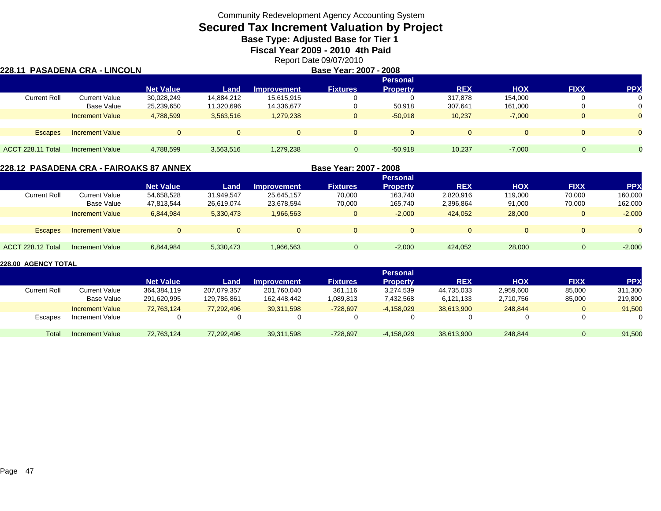# **Secured Tax Increment Valuation by Project**

**Base Type: Adjusted Base for Tier 1** 

**Fiscal Year 2009 - 2010 4th Paid**

Report Date 09/07/2010

|                     | 228.11  PASADENA CRA - LINCOLN |                  |            |                    | Base Year: 2007 - 2008 |                 |                |            |             |            |
|---------------------|--------------------------------|------------------|------------|--------------------|------------------------|-----------------|----------------|------------|-------------|------------|
|                     |                                |                  |            |                    |                        | <b>Personal</b> |                |            |             |            |
|                     |                                | <b>Net Value</b> | Land       | <b>Improvement</b> | <b>Fixtures</b>        | <b>Property</b> | <b>REX</b>     | <b>HOX</b> | <b>FIXX</b> | <b>PPX</b> |
| <b>Current Roll</b> | <b>Current Value</b>           | 30,028,249       | 14,884,212 | 15,615,915         |                        |                 | 317,878        | 154,000    | 0           | 0          |
|                     | <b>Base Value</b>              | 25,239,650       | 11,320,696 | 14,336,677         | $\Omega$               | 50,918          | 307,641        | 161.000    | 0           | 0          |
|                     | <b>Increment Value</b>         | 4,788,599        | 3,563,516  | 1,279,238          | $\Omega$               | $-50.918$       | 10,237         | $-7,000$   | $\Omega$    | $\Omega$   |
| <b>Escapes</b>      | <b>Increment Value</b>         |                  | $\Omega$   | $\mathbf{0}$       | $\Omega$               | $\Omega$        | $\overline{0}$ | $\Omega$   | $\Omega$    | $\Omega$   |
| ACCT 228.11 Total   | <b>Increment Value</b>         | 4,788,599        | 3,563,516  | 1,279,238          | $\Omega$               | $-50,918$       | 10,237         | $-7,000$   | $\Omega$    |            |

#### **228.12 PASADENA CRA - FAIROAKS 87 ANNEX**

**Base Year: 2007 - 2008**

|                     |                        |                  |            |                    |                 | Personal        |            |            |             |           |
|---------------------|------------------------|------------------|------------|--------------------|-----------------|-----------------|------------|------------|-------------|-----------|
|                     |                        | <b>Net Value</b> | Land       | <b>Improvement</b> | <b>Fixtures</b> | <b>Property</b> | <b>REX</b> | <b>HOX</b> | <b>FIXX</b> | <b>PP</b> |
| <b>Current Roll</b> | Current Value          | 54,658,528       | 31.949.547 | 25,645,157         | 70,000          | 163,740         | 2,820,916  | 119,000    | 70,000      | 160,000   |
|                     | Base Value             | 47,813,544       | 26,619,074 | 23,678,594         | 70,000          | 165,740         | 2,396,864  | 91,000     | 70,000      | 162,000   |
|                     | <b>Increment Value</b> | 6,844,984        | 5,330,473  | 1,966,563          |                 | $-2,000$        | 424,052    | 28,000     | $\Omega$    | $-2,000$  |
|                     |                        |                  |            |                    |                 |                 |            |            |             |           |
| <b>Escapes</b>      | <b>Increment Value</b> |                  | 0          | $\Omega$           | $\Omega$        | $\Omega$        |            | $\Omega$   | $\Omega$    |           |
|                     |                        |                  |            |                    |                 |                 |            |            |             |           |
| ACCT 228.12 Total   | Increment Value        | 6,844,984        | 5,330,473  | 1,966,563          | 0               | $-2,000$        | 424,052    | 28,000     |             | $-2,000$  |
|                     |                        |                  |            |                    |                 |                 |            |            |             |           |

|                     |                        |                  |             |                    |                 | <b>Personal</b> |            |            |             |                    |
|---------------------|------------------------|------------------|-------------|--------------------|-----------------|-----------------|------------|------------|-------------|--------------------|
|                     |                        | <b>Net Value</b> | Land        | <b>Improvement</b> | <b>Fixtures</b> | Property        | <b>REX</b> | <b>HOX</b> | <b>FIXX</b> | PP <sub>&gt;</sub> |
| <b>Current Roll</b> | <b>Current Value</b>   | 364,384,119      | 207,079,357 | 201,760,040        | 361.116         | 3,274,539       | 44,735,033 | 2,959,600  | 85,000      | 311,300            |
|                     | Base Value             | 291,620,995      | 129,786,861 | 162.448.442        | 1,089,813       | 7,432,568       | 6,121,133  | 2,710,756  | 85,000      | 219,800            |
|                     | <b>Increment Value</b> | 72.763.124       | 77,292,496  | 39.311.598         | $-728,697$      | $-4,158,029$    | 38.613.900 | 248.844    |             | 91,500             |
| Escapes             | Increment Value        |                  |             |                    | 0               |                 |            |            |             |                    |
| <b>Tota</b>         | <b>Increment Value</b> | 72.763.124       | 77,292,496  | 39,311,598         | $-728,697$      | $-4,158,029$    | 38,613,900 | 248,844    |             | 91,500             |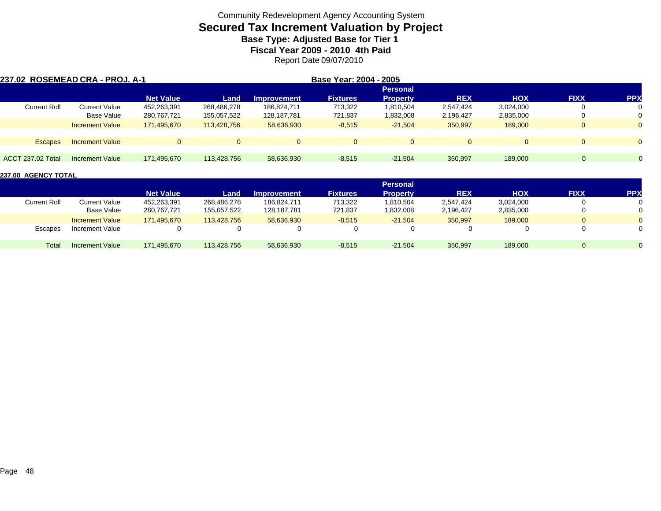## **Secured Tax Increment Valuation by Project Base Type: Adjusted Base for Tier 1**

**Fiscal Year 2009 - 2010 4th Paid**

Report Date 09/07/2010

| 237.02 ROSEMEAD CRA - PROJ. A-1 |                        |                  |             |                    | Base Year: 2004 - 2005 |                 |            |            |             |                |  |
|---------------------------------|------------------------|------------------|-------------|--------------------|------------------------|-----------------|------------|------------|-------------|----------------|--|
|                                 |                        |                  |             |                    |                        | <b>Personal</b> |            |            |             |                |  |
|                                 |                        | <b>Net Value</b> | Land        | <b>Improvement</b> | <b>Fixtures</b>        | <b>Property</b> | <b>REX</b> | <b>HOX</b> | <b>FIXX</b> | <b>PPX</b>     |  |
| <b>Current Roll</b>             | <b>Current Value</b>   | 452,263,391      | 268,486,278 | 186.824.711        | 713,322                | 1,810,504       | 2,547,424  | 3,024,000  | 0           | 0              |  |
|                                 | Base Value             | 280,767,721      | 155,057,522 | 128,187,781        | 721,837                | 1,832,008       | 2,196,427  | 2,835,000  | 0           | 0              |  |
|                                 | <b>Increment Value</b> | 171.495.670      | 113.428.756 | 58.636.930         | $-8,515$               | $-21.504$       | 350,997    | 189,000    | $\Omega$    | $\overline{0}$ |  |
| <b>Escapes</b>                  | <b>Increment Value</b> | $\Omega$         | $\Omega$    | $\Omega$           | $\Omega$               |                 | $\Omega$   |            | $\Omega$    | $\Omega$       |  |
| ACCT 237.02 Total               | <b>Increment Value</b> | 171.495.670      | 113.428.756 | 58.636.930         | $-8,515$               | $-21,504$       | 350,997    | 189,000    | $\Omega$    |                |  |

|                     |                        |                  |             |                    |                 | <b>Personal</b> |            |            |             |            |
|---------------------|------------------------|------------------|-------------|--------------------|-----------------|-----------------|------------|------------|-------------|------------|
|                     |                        | <b>Net Value</b> | Land        | <b>Improvement</b> | <b>Fixtures</b> | <b>Property</b> | <b>REX</b> | <b>HOX</b> | <b>FIXX</b> | <b>PPX</b> |
| <b>Current Roll</b> | <b>Current Value</b>   | 452,263,391      | 268,486,278 | 186,824,711        | 713,322         | 1,810,504       | 2,547,424  | 3,024,000  |             |            |
|                     | Base Value             | 280,767,721      | 155.057.522 | 128,187,781        | 721,837         | 1,832,008       | 2,196,427  | 2,835,000  |             |            |
|                     | <b>Increment Value</b> | 171,495,670      | 113,428,756 | 58,636,930         | $-8,515$        | $-21,504$       | 350,997    | 189,000    |             |            |
| Escapes             | Increment Value        |                  |             | $\overline{0}$     |                 |                 |            |            |             |            |
| Total               | Increment Value        | 171.495.670      | 113.428.756 | 58,636,930         | $-8,515$        | $-21,504$       | 350,997    | 189,000    |             |            |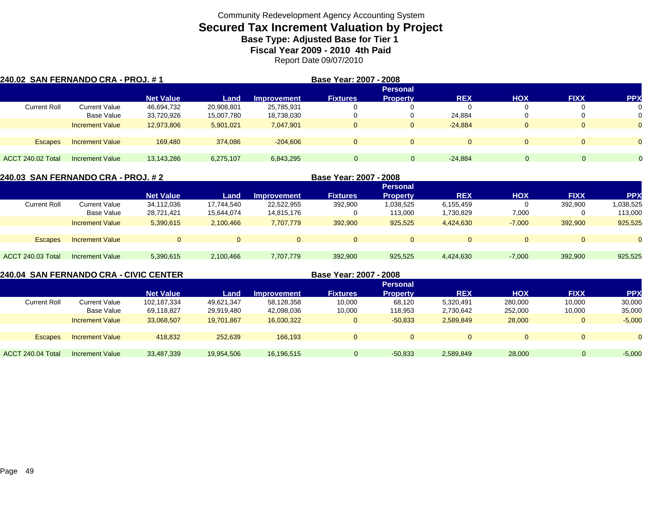## **Secured Tax Increment Valuation by Project Base Type: Adjusted Base for Tier 1**

**Fiscal Year 2009 - 2010 4th Paid**

Report Date 09/07/2010

| 240.02 SAN FERNANDO CRA - PROJ. # 1 |                        |                  |            |                    | Base Year: 2007 - 2008 |                 |              |                |             |            |
|-------------------------------------|------------------------|------------------|------------|--------------------|------------------------|-----------------|--------------|----------------|-------------|------------|
|                                     |                        |                  |            |                    |                        | <b>Personal</b> |              |                |             |            |
|                                     |                        | <b>Net Value</b> | Land       | <b>Improvement</b> | <b>Fixtures</b>        | <b>Property</b> | <b>REX</b>   | <b>HOX</b>     | <b>FIXX</b> | <b>PPX</b> |
| <b>Current Roll</b>                 | <b>Current Value</b>   | 46,694,732       | 20,908,801 | 25,785,931         |                        |                 | 0            |                |             |            |
|                                     | Base Value             | 33,720,926       | 15,007,780 | 18,738,030         |                        |                 | 24,884       |                |             |            |
|                                     | <b>Increment Value</b> | 12,973,806       | 5,901,021  | 7,047,901          | 0                      | 0               | $-24.884$    | 0              |             | $\Omega$   |
|                                     |                        |                  |            |                    |                        |                 |              |                |             |            |
| <b>Escapes</b>                      | <b>Increment Value</b> | 169.480          | 374.086    | $-204.606$         | $\Omega$               | $\Omega$        | $\mathbf{0}$ | $\overline{0}$ | 0           |            |
|                                     |                        |                  |            |                    |                        |                 |              |                |             |            |
| ACCT 240.02 Total                   | <b>Increment Value</b> | 13,143,286       | 6,275,107  | 6,843,295          | $\Omega$               |                 | $-24.884$    |                | $\Omega$    |            |

|                          | 240.03 SAN FERNANDO CRA - PROJ. # 2 |                  |            | Base Year: 2007 - 2008 |                 |                 |            |            |             |            |
|--------------------------|-------------------------------------|------------------|------------|------------------------|-----------------|-----------------|------------|------------|-------------|------------|
|                          |                                     |                  |            |                        |                 | <b>Personal</b> |            |            |             |            |
|                          |                                     | <b>Net Value</b> | Land       | <b>Improvement</b>     | <b>Fixtures</b> | <b>Property</b> | <b>REX</b> | <b>HOX</b> | <b>FIXX</b> | <b>PPX</b> |
| <b>Current Roll</b>      | <b>Current Value</b>                | 34,112,036       | 17.744.540 | 22,522,955             | 392,900         | 1,038,525       | 6,155,459  |            | 392,900     | 1,038,525  |
|                          | Base Value                          | 28.721.421       | 15,644,074 | 14,815,176             |                 | 113.000         | 1,730,829  | 7,000      |             | 113,000    |
|                          | <b>Increment Value</b>              | 5.390.615        | 2,100,466  | 7.707.779              | 392,900         | 925,525         | 4.424.630  | $-7,000$   | 392,900     | 925,525    |
| <b>Escapes</b>           | <b>Increment Value</b>              | $\overline{0}$   |            |                        | $\Omega$        |                 | $\Omega$   | $\Omega$   |             | $\Omega$   |
| <b>ACCT 240.03 Total</b> | Increment Value                     | 5,390,615        | 2,100,466  | 7,707,779              | 392,900         | 925.525         | 4,424,630  | $-7,000$   | 392,900     | 925,525    |

**240.04 SAN FERNANDO CRA - CIVIC CENTER**

**Base Year: 2007 - 2008**

|                     |                        | <b>Personal</b>  |            |                    |                 |                 |            |            |              |          |  |
|---------------------|------------------------|------------------|------------|--------------------|-----------------|-----------------|------------|------------|--------------|----------|--|
|                     |                        | <b>Net Value</b> | Land       | <b>Improvement</b> | <b>Fixtures</b> | <b>Property</b> | <b>REX</b> | <b>HOX</b> | <b>FIXX</b>  | PP)      |  |
| <b>Current Roll</b> | Current Value          | 102,187,334      | 49,621,347 | 58,128,358         | 10,000          | 68,120          | 5,320,491  | 280,000    | 10,000       | 30,000   |  |
|                     | Base Value             | 69,118,827       | 29,919,480 | 42,098,036         | 10,000          | 118,953         | 2,730,642  | 252,000    | 10,000       | 35,000   |  |
|                     | <b>Increment Value</b> | 33,068,507       | 19.701.867 | 16,030,322         | $\mathbf{0}$    | $-50,833$       | 2,589,849  | 28,000     | $\mathbf{0}$ | $-5,000$ |  |
|                     |                        |                  |            |                    |                 |                 |            |            |              |          |  |
| <b>Escapes</b>      | <b>Increment Value</b> | 418,832          | 252,639    | 166.193            | $\Omega$        | $\mathbf{0}$    |            | $\Omega$   |              | $\Omega$ |  |
|                     |                        |                  |            |                    |                 |                 |            |            |              |          |  |
| ACCT 240.04 Total   | Increment Value        | 33,487,339       | 19,954,506 | 16,196,515         |                 | $-50,833$       | 2,589,849  | 28,000     |              | $-5,000$ |  |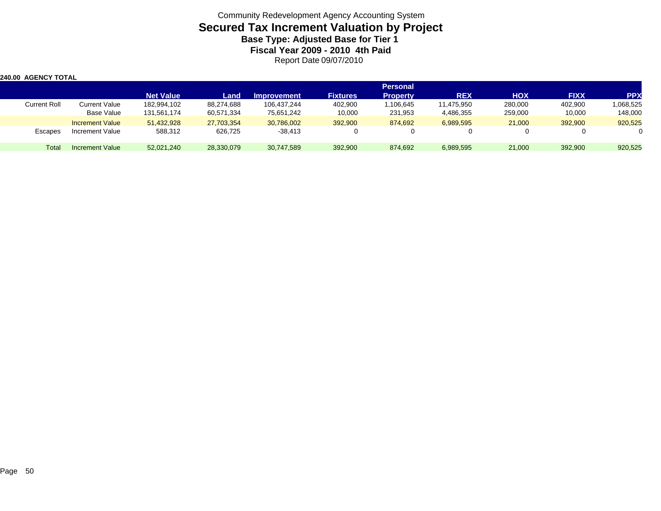| <b>240.00 AGENCY TOTAL</b> |                        |                  |            |                    |                 |                 |            |            |             |            |
|----------------------------|------------------------|------------------|------------|--------------------|-----------------|-----------------|------------|------------|-------------|------------|
|                            |                        |                  |            |                    |                 | <b>Personal</b> |            |            |             |            |
|                            |                        | <b>Net Value</b> | Land       | <b>Improvement</b> | <b>Fixtures</b> | <b>Property</b> | <b>REX</b> | <b>HOX</b> | <b>FIXX</b> | <b>PPX</b> |
| <b>Current Roll</b>        | <b>Current Value</b>   | 182,994,102      | 88,274,688 | 106,437,244        | 402,900         | 1,106,645       | 11,475,950 | 280,000    | 402,900     | 1,068,525  |
|                            | Base Value             | 131,561,174      | 60,571,334 | 75,651,242         | 10,000          | 231,953         | 4,486,355  | 259,000    | 10,000      | 148,000    |
|                            | <b>Increment Value</b> | 51.432.928       | 27,703,354 | 30,786,002         | 392,900         | 874.692         | 6,989,595  | 21,000     | 392.900     | 920,525    |
| Escapes                    | Increment Value        | 588,312          | 626,725    | $-38,413$          |                 |                 | 0          |            |             |            |
| Total                      | Increment Value        | 52,021,240       | 28,330,079 | 30,747,589         | 392,900         | 874,692         | 6,989,595  | 21,000     | 392,900     | 920,525    |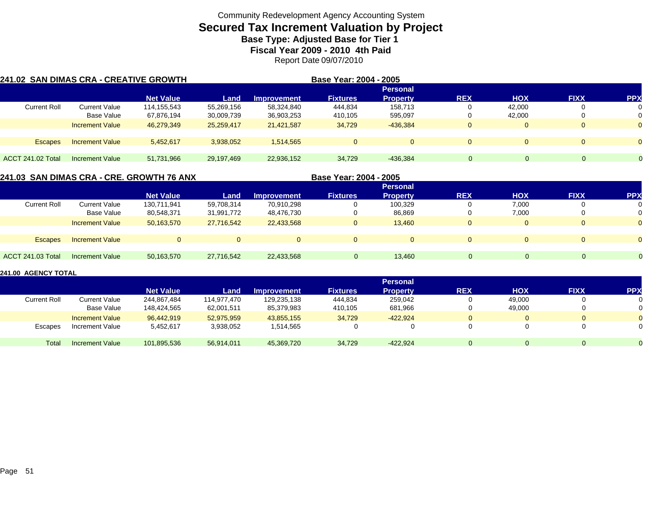### **Secured Tax Increment Valuation by Project Base Type: Adjusted Base for Tier 1**

**Fiscal Year 2009 - 2010 4th Paid**

Report Date 09/07/2010

| 241.02  SAN DIMAS CRA - CREATIVE GROWTH |                        |                  |            | Base Year: 2004 - 2005 |                 |                 |              |                |              |            |
|-----------------------------------------|------------------------|------------------|------------|------------------------|-----------------|-----------------|--------------|----------------|--------------|------------|
|                                         |                        |                  |            |                        |                 | <b>Personal</b> |              |                |              |            |
|                                         |                        | <b>Net Value</b> | Land       | <b>Improvement</b>     | <b>Fixtures</b> | <b>Property</b> | <b>REX</b>   | <b>HOX</b>     | <b>FIXX</b>  | <b>PPX</b> |
| <b>Current Roll</b>                     | <b>Current Value</b>   | 114,155,543      | 55,269,156 | 58,324,840             | 444,834         | 158.713         |              | 42.000         | $\mathbf 0$  | 0          |
|                                         | Base Value             | 67,876,194       | 30,009,739 | 36,903,253             | 410,105         | 595,097         |              | 42.000         | 0            | 0          |
|                                         | <b>Increment Value</b> | 46,279,349       | 25,259,417 | 21.421.587             | 34,729          | $-436.384$      | $\mathbf{0}$ | $\Omega$       | $\mathbf{0}$ | $\Omega$   |
|                                         |                        |                  |            |                        |                 |                 |              |                |              |            |
| <b>Escapes</b>                          | <b>Increment Value</b> | 5,452,617        | 3,938,052  | 1,514,565              | $\overline{0}$  | $\mathbf{0}$    | $\mathbf{0}$ | $\overline{0}$ | $\mathbf{0}$ | $\Omega$   |
|                                         |                        |                  |            |                        |                 |                 |              |                |              |            |
| <b>ACCT 241.02 Total</b>                | <b>Increment Value</b> | 51,731,966       | 29,197,469 | 22,936,152             | 34.729          | $-436.384$      | 0            |                | 0.           |            |

**241.03 SAN DIMAS CRA - CRE. GROWTH 76 ANX Base Year: 2004 - 2005 Personal Net Value Land Improvement Fixtures Property REX HOX FIXX PPX** Current Rolll Current Value 130,711,941 59,708,314 70,910,298 0 100,329 0 7,000 0 0 Base Value 80,548,371 31,991,772 48,476,730 0 86,869 0 7,000 0 0 Increment Value 50,163,570 27,716,542 22,433,568 0 13,460 0 0 0 Escapes Increment Value 0 0 0 0 0 0 0 0 0 ACCT 241.03 Totall Increment Value 50,163,570 27,716,542 22,433,568 0 13,460 0 0 0 0

|                     |                        | <b>Personal</b>  |             |                    |                 |                 |            |            |             |            |  |
|---------------------|------------------------|------------------|-------------|--------------------|-----------------|-----------------|------------|------------|-------------|------------|--|
|                     |                        | <b>Net Value</b> | Land        | <b>Improvement</b> | <b>Fixtures</b> | <b>Property</b> | <b>REX</b> | <b>HOX</b> | <b>FIXX</b> | <b>PPX</b> |  |
| <b>Current Roll</b> | <b>Current Value</b>   | 244.867.484      | 114.977.470 | 129,235,138        | 444,834         | 259,042         |            | 49,000     |             |            |  |
|                     | Base Value             | 148.424.565      | 62,001,511  | 85,379,983         | 410.105         | 681.966         |            | 49.000     |             |            |  |
|                     | <b>Increment Value</b> | 96.442.919       | 52.975.959  | 43.855.155         | 34.729          | $-422.924$      | 0          |            |             |            |  |
| Escapes             | Increment Value        | 5,452,617        | 3,938,052   | 1,514,565          |                 |                 |            |            |             |            |  |
| Total               | <b>Increment Value</b> | 101,895,536      | 56,914,011  | 45,369,720         | 34,729          | $-422,924$      | O          |            |             |            |  |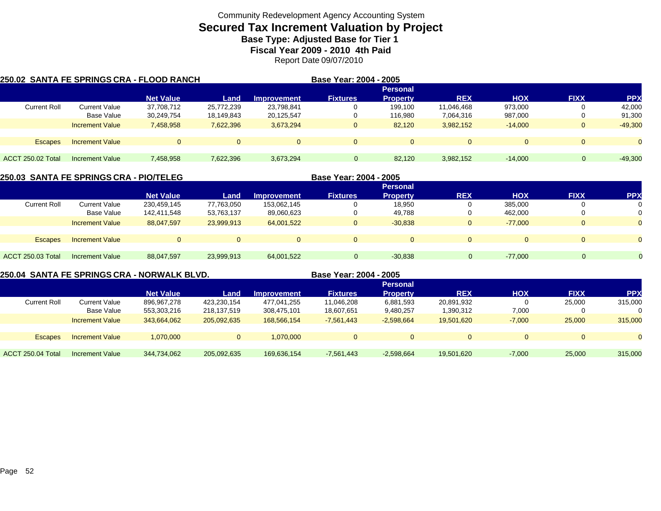## **Secured Tax Increment Valuation by Project Base Type: Adjusted Base for Tier 1**

**Fiscal Year 2009 - 2010 4th Paid**

Report Date 09/07/2010

|                          |                        | 250.02  SANTA FE SPRINGS CRA - FLOOD RANCH |            |                    | Base Year: 2004 - 2005 |                 |              |            |              |            |
|--------------------------|------------------------|--------------------------------------------|------------|--------------------|------------------------|-----------------|--------------|------------|--------------|------------|
|                          |                        |                                            |            |                    |                        | <b>Personal</b> |              |            |              |            |
|                          |                        | <b>Net Value</b>                           | Land       | <b>Improvement</b> | <b>Fixtures</b>        | <b>Property</b> | <b>REX</b>   | <b>HOX</b> | <b>FIXX</b>  | <b>PPX</b> |
| <b>Current Roll</b>      | <b>Current Value</b>   | 37,708,712                                 | 25,772,239 | 23,798,841         |                        | 199.100         | 11,046,468   | 973.000    |              | 42,000     |
|                          | Base Value             | 30,249,754                                 | 18,149,843 | 20,125,547         |                        | 116.980         | 7,064,316    | 987,000    |              | 91,300     |
|                          | <b>Increment Value</b> | 7,458,958                                  | 7,622,396  | 3,673,294          | $\mathbf{0}$           | 82.120          | 3,982,152    | $-14.000$  | $\mathbf{0}$ | $-49,300$  |
| <b>Escapes</b>           | <b>Increment Value</b> | $\Omega$                                   |            | $\Omega$           | $\Omega$               | $\Omega$        | $\mathbf{0}$ |            | $\Omega$     | $\Omega$   |
|                          |                        |                                            |            |                    |                        |                 |              |            |              |            |
| <b>ACCT 250.02 Total</b> | Increment Value        | 7,458,958                                  | 7,622,396  | 3,673,294          |                        | 82.120          | 3,982,152    | $-14.000$  | 0            | $-49,300$  |

| 250.03  SANTA FE SPRINGS CRA - PIO/TELEG |                        |                  |            | Base Year: 2004 - 2005 |                 |                 |            |            |                |            |
|------------------------------------------|------------------------|------------------|------------|------------------------|-----------------|-----------------|------------|------------|----------------|------------|
|                                          |                        |                  |            |                        |                 |                 |            |            |                |            |
|                                          |                        | <b>Net Value</b> | Land       | <b>Improvement</b>     | <b>Fixtures</b> | <b>Property</b> | <b>REX</b> | <b>HOX</b> | <b>FIXX</b>    | <b>PPX</b> |
| <b>Current Roll</b>                      | <b>Current Value</b>   | 230,459,145      | 77,763,050 | 153,062,145            |                 | 18,950          | 0          | 385,000    |                |            |
|                                          | Base Value             | 142,411,548      | 53,763,137 | 89,060,623             | 0               | 49,788          | 0          | 462,000    |                |            |
|                                          | <b>Increment Value</b> | 88.047.597       | 23,999,913 | 64,001,522             | $\mathbf{0}$    | $-30.838$       | $\Omega$   | $-77.000$  | $\overline{0}$ |            |
|                                          |                        |                  |            |                        |                 |                 |            |            |                |            |
| <b>Escapes</b>                           | <b>Increment Value</b> | $\Omega$         | $\Omega$   | $\Omega$               | $\Omega$        |                 | $\Omega$   | $\Omega$   | $\overline{0}$ |            |
| <b>ACCT 250.03 Total</b>                 | <b>Increment Value</b> | 88.047.597       | 23,999,913 | 64.001.522             |                 | $-30.838$       |            | $-77.000$  |                |            |

**250.04 SANTA FE SPRINGS CRA - NORWALK BLVD. Base Year: 2004 - 2005**

|                        | <b>Personal</b>  |             |                    |                 |              |            |          |             |            |  |
|------------------------|------------------|-------------|--------------------|-----------------|--------------|------------|----------|-------------|------------|--|
|                        | <b>Net Value</b> | Land        | <b>Improvement</b> | <b>Fixtures</b> | Propertv     | <b>REX</b> | HOX      | <b>FIXX</b> | <b>PPX</b> |  |
| Current Value          | 896,967,278      | 423,230,154 | 477,041,255        | 11,046,208      | 6,881,593    | 20,891,932 |          | 25,000      | 315,000    |  |
| Base Value             | 553,303,216      | 218,137,519 | 308,475,101        | 18,607,651      | 9,480,257    | 1,390,312  | 7,000    | 0           |            |  |
| <b>Increment Value</b> | 343,664,062      | 205,092,635 | 168.566.154        | $-7,561,443$    | $-2,598,664$ | 19.501.620 | $-7,000$ | 25,000      | 315,000    |  |
|                        |                  |             |                    |                 |              |            |          |             |            |  |
| <b>Increment Value</b> | 1,070,000        |             | 1.070.000          | $\Omega$        |              | 0          |          | $\Omega$    |            |  |
|                        |                  |             |                    |                 |              |            |          |             |            |  |
| <b>Increment Value</b> | 344,734,062      | 205,092,635 | 169,636,154        | $-7,561,443$    | $-2,598,664$ | 19,501,620 | $-7,000$ | 25,000      | 315,000    |  |
|                        |                  |             |                    |                 |              |            |          |             |            |  |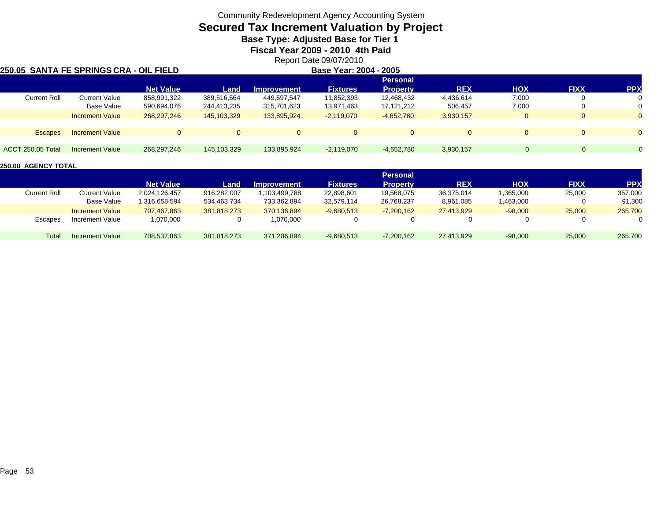## **Secured Tax Increment Valuation by Project**

**Base Type: Adjusted Base for Tier 1** 

**Fiscal Year 2009 - 2010 4th Paid**

Report Date 09/07/2010

#### **250.05 SANTA FE SPRINGS CRA - OIL FIELD**

| D | Base Year: 2004 - 2005 |
|---|------------------------|
|   |                        |

|                          |                        |                  |             |              |                 | <b>Personal</b> |              |            |             |            |
|--------------------------|------------------------|------------------|-------------|--------------|-----------------|-----------------|--------------|------------|-------------|------------|
|                          |                        | <b>Net Value</b> | Land        | Improvement  | <b>Fixtures</b> | <b>Property</b> | <b>REX</b>   | <b>HOX</b> | <b>FIXX</b> | <b>PPX</b> |
| <b>Current Roll</b>      | <b>Current Value</b>   | 858,991,322      | 389.516.564 | 449,597,547  | 11,852,393      | 12,468,432      | 4,436,614    | 7,000      |             |            |
|                          | Base Value             | 590,694,076      | 244,413,235 | 315,701,623  | 13,971,463      | 17,121,212      | 506,457      | 7,000      |             |            |
|                          | <b>Increment Value</b> | 268, 297, 246    | 145,103,329 | 133,895,924  | $-2,119,070$    | $-4,652,780$    | 3,930,157    |            |             |            |
| <b>Escapes</b>           | <b>Increment Value</b> | $\Omega$         |             | $\mathbf{0}$ | $\Omega$        |                 | $\mathbf{0}$ |            |             |            |
| <b>ACCT 250.05 Total</b> | <b>Increment Value</b> | 268, 297, 246    | 145,103,329 | 133,895,924  | $-2,119,070$    | $-4,652,780$    | 3,930,157    |            |             |            |

|                     |                        | <b>Personal</b>  |             |                    |                 |                 |            |           |             |            |  |
|---------------------|------------------------|------------------|-------------|--------------------|-----------------|-----------------|------------|-----------|-------------|------------|--|
|                     |                        | <b>Net Value</b> | Land.       | <b>Improvement</b> | <b>Fixtures</b> | <b>Property</b> | <b>REX</b> | HOX       | <b>FIXX</b> | <b>PPX</b> |  |
| <b>Current Roll</b> | Current Value          | 2.024.126.457    | 916,282,007 | .103.499.788       | 22,898,601      | 19,568,075      | 36.375.014 | 1,365,000 | 25,000      | 357,000    |  |
|                     | Base Value             | .316.658.594     | 534,463,734 | 733,362,894        | 32,579,114      | 26,768,237      | 8,961,085  | 1,463,000 |             | 91,300     |  |
|                     | <b>Increment Value</b> | 707.467.863      | 381.818.273 | 370.136.894        | $-9,680,513$    | $-7.200.162$    | 27.413.929 | $-98,000$ | 25,000      | 265,700    |  |
| Escapes             | Increment Value        | 1,070,000        |             | 1,070,000          |                 |                 |            |           |             |            |  |
| Total               | <b>Increment Value</b> | 708,537,863      | 381,818,273 | 371,206,894        | $-9,680,513$    | $-7,200,162$    | 27,413,929 | $-98,000$ | 25,000      | 265,700    |  |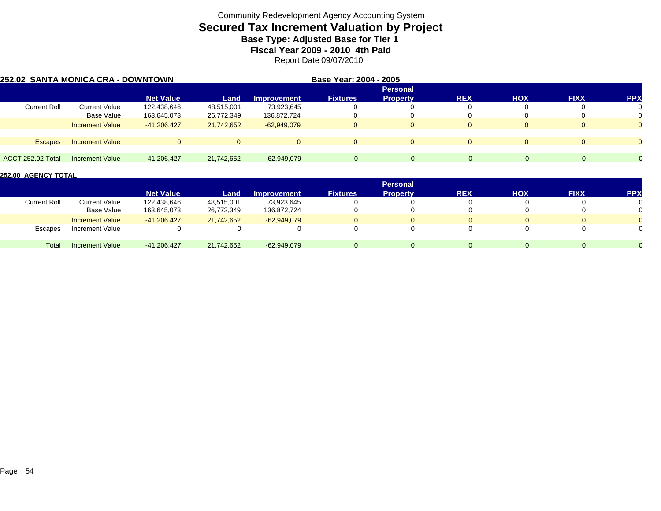## **Secured Tax Increment Valuation by Project Base Type: Adjusted Base for Tier 1**

**Fiscal Year 2009 - 2010 4th Paid**

Report Date 09/07/2010

| 252.02 SANTA MONICA CRA - DOWNTOWN |                        |                  |            | Base Year: 2004 - 2005 |                 |                 |            |            |             |           |
|------------------------------------|------------------------|------------------|------------|------------------------|-----------------|-----------------|------------|------------|-------------|-----------|
|                                    |                        |                  |            |                        |                 | <b>Personal</b> |            |            |             |           |
|                                    |                        | <b>Net Value</b> | Land       | <b>Improvement</b>     | <b>Fixtures</b> | <b>Property</b> | <b>REX</b> | <b>HOX</b> | <b>FIXX</b> | <b>PP</b> |
| <b>Current Roll</b>                | <b>Current Value</b>   | 122,438,646      | 48,515,001 | 73,923,645             |                 |                 |            |            |             | 0         |
|                                    | Base Value             | 163,645,073      | 26,772,349 | 136,872,724            |                 |                 |            |            |             | 0         |
|                                    | <b>Increment Value</b> | $-41.206.427$    | 21,742,652 | $-62.949.079$          | 0               | $\Omega$        | 0          | $\Omega$   |             | $\Omega$  |
|                                    |                        |                  |            |                        |                 |                 |            |            |             |           |
| <b>Escapes</b>                     | <b>Increment Value</b> | $\Omega$         |            | $\Omega$               | $\Omega$        | $\Omega$        | $\Omega$   | $\Omega$   |             | $\Omega$  |
| ACCT 252.02 Total                  | Increment Value        | $-41,206,427$    | 21,742,652 | $-62,949,079$          | $\Omega$        |                 | $\Omega$   | $\Omega$   | $\Omega$    | $\Omega$  |

|                     |                        | <b>Personal</b>  |            |                    |                 |                 |            |     |             |            |  |
|---------------------|------------------------|------------------|------------|--------------------|-----------------|-----------------|------------|-----|-------------|------------|--|
|                     |                        | <b>Net Value</b> | Land       | <b>Improvement</b> | <b>Fixtures</b> | <b>Property</b> | <b>REX</b> | HOX | <b>FIXX</b> | <b>PPX</b> |  |
| <b>Current Roll</b> | Current Value          | 122,438,646      | 48,515,001 | 73.923.645         |                 |                 |            |     |             |            |  |
|                     | <b>Base Value</b>      | 163,645,073      | 26,772,349 | 136,872,724        |                 |                 |            |     |             |            |  |
|                     | <b>Increment Value</b> | $-41.206.427$    | 21,742,652 | $-62.949.079$      |                 |                 |            |     |             |            |  |
| Escapes             | Increment Value        |                  |            |                    |                 |                 |            |     |             |            |  |
| Total               | <b>Increment Value</b> | $-41,206,427$    | 21,742,652 | $-62,949,079$      |                 |                 |            | 0   | $\Omega$    |            |  |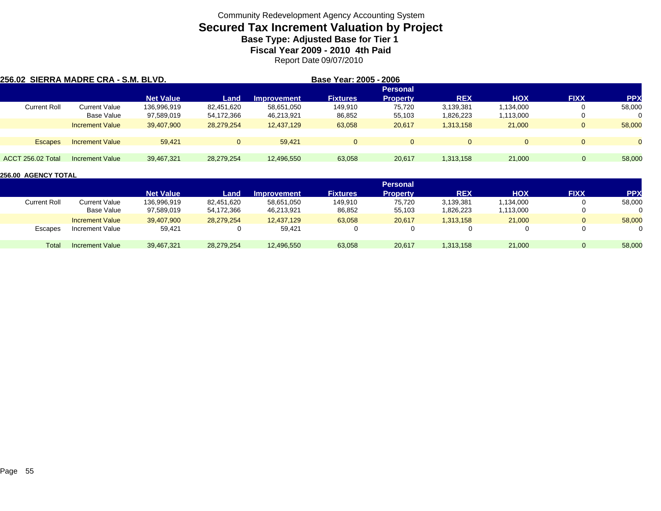## **Secured Tax Increment Valuation by Project Base Type: Adjusted Base for Tier 1**

**Fiscal Year 2009 - 2010 4th Paid**

Report Date 09/07/2010

| 256.02 SIERRA MADRE CRA - S.M. BLVD. |                        |                  |            |                    | Base Year: 2005 - 2006 |                 |            |            |                |            |
|--------------------------------------|------------------------|------------------|------------|--------------------|------------------------|-----------------|------------|------------|----------------|------------|
|                                      |                        |                  |            |                    |                        | <b>Personal</b> |            |            |                |            |
|                                      |                        | <b>Net Value</b> | Land       | <b>Improvement</b> | <b>Fixtures</b>        | <b>Property</b> | <b>REX</b> | <b>HOX</b> | <b>FIXX</b>    | <b>PPX</b> |
| <b>Current Roll</b>                  | <b>Current Value</b>   | 136,996,919      | 82.451.620 | 58,651,050         | 149.910                | 75.720          | 3,139,381  | 1,134,000  | U              | 58,000     |
|                                      | Base Value             | 97,589,019       | 54,172,366 | 46,213,921         | 86,852                 | 55,103          | 826,223.   | 1,113,000  | 0              | $\Omega$   |
|                                      | <b>Increment Value</b> | 39.407.900       | 28,279,254 | 12.437.129         | 63,058                 | 20,617          | 1,313,158  | 21,000     | $\Omega$       | 58,000     |
| <b>Escapes</b>                       | <b>Increment Value</b> | 59.421           |            | 59.421             | $\mathbf{0}$           |                 | $\Omega$   |            | $\Omega$       | $\Omega$   |
|                                      |                        |                  |            |                    |                        |                 |            |            |                |            |
| ACCT 256.02 Total                    | Increment Value        | 39,467,321       | 28,279,254 | 12,496,550         | 63,058                 | 20,617          | 1,313,158  | 21,000     | $\overline{0}$ | 58,000     |

|                     |                        |                  |            |                    |                 | <b>Personal</b> |            |           |             |            |
|---------------------|------------------------|------------------|------------|--------------------|-----------------|-----------------|------------|-----------|-------------|------------|
|                     |                        | <b>Net Value</b> | Land       | <b>Improvement</b> | <b>Fixtures</b> | Propertv        | <b>REX</b> | HOX       | <b>FIXX</b> | <b>PPX</b> |
| <b>Current Roll</b> | Current Value          | 136,996,919      | 82,451,620 | 58,651,050         | 149,910         | 75,720          | 3,139,381  | 1,134,000 |             | 58,000     |
|                     | Base Value             | 97,589,019       | 54,172,366 | 46,213,921         | 86,852          | 55,103          | 826,223.   | 1,113,000 |             |            |
|                     | <b>Increment Value</b> | 39,407,900       | 28,279,254 | 12.437.129         | 63,058          | 20,617          | 1,313,158  | 21,000    |             | 58,000     |
| Escapes             | Increment Value        | 59,421           |            | 59,421             |                 |                 |            |           |             |            |
| Total               | Increment Value        | 39,467,321       | 28,279,254 | 12,496,550         | 63,058          | 20,617          | 1,313,158  | 21,000    |             | 58,000     |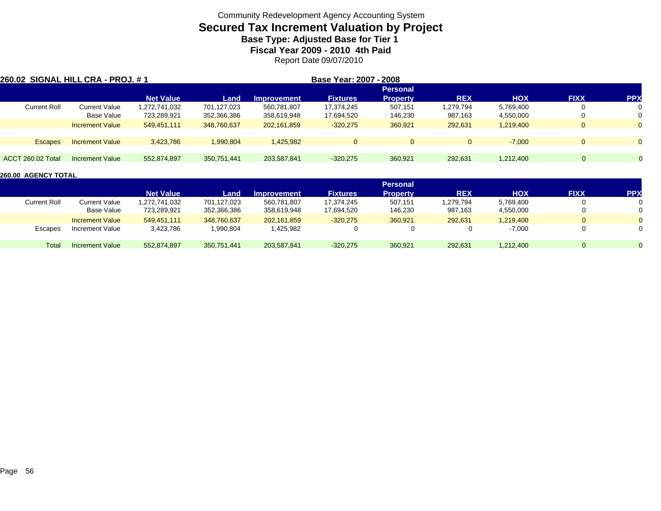## **Secured Tax Increment Valuation by Project Base Type: Adjusted Base for Tier 1**

**Fiscal Year 2009 - 2010 4th Paid**

Report Date 09/07/2010

| 260.02 SIGNAL HILL CRA - PROJ. # 1 |                        |                  |             |                    | Base Year: 2007 - 2008 |                 |              |            |             |                |
|------------------------------------|------------------------|------------------|-------------|--------------------|------------------------|-----------------|--------------|------------|-------------|----------------|
|                                    |                        |                  |             |                    |                        | <b>Personal</b> |              |            |             |                |
|                                    |                        | <b>Net Value</b> | Land        | <b>Improvement</b> | <b>Fixtures</b>        | <b>Property</b> | <b>REX</b>   | <b>HOX</b> | <b>FIXX</b> | <b>PPX</b>     |
| <b>Current Roll</b>                | <b>Current Value</b>   | 1,272,741,032    | 701,127,023 | 560,781,807        | 17,374,245             | 507.151         | 1,279,794    | 5,769,400  |             | 0              |
|                                    | <b>Base Value</b>      | 723,289,921      | 352,366,386 | 358,619,948        | 17,694,520             | 146,230         | 987,163      | 4,550,000  |             | 0              |
|                                    | <b>Increment Value</b> | 549,451,111      | 348,760,637 | 202,161,859        | $-320,275$             | 360.921         | 292,631      | 1.219.400  |             | $\Omega$       |
|                                    |                        |                  |             |                    |                        |                 |              |            |             |                |
| <b>Escapes</b>                     | <b>Increment Value</b> | 3,423,786        | 1.990.804   | 1.425.982          | $\overline{0}$         | $\Omega$        | $\mathbf{0}$ | $-7.000$   |             | $\Omega$       |
|                                    |                        |                  |             |                    |                        |                 |              |            |             |                |
| ACCT 260.02 Total                  | Increment Value        | 552,874,897      | 350,751,441 | 203.587.841        | $-320,275$             | 360,921         | 292,631      | 1,212,400  | $\Omega$    | $\overline{0}$ |

|                     |                        |                  |             |                    |                 | <b>Personal</b> |            |            |             |            |
|---------------------|------------------------|------------------|-------------|--------------------|-----------------|-----------------|------------|------------|-------------|------------|
|                     |                        | <b>Net Value</b> | Land        | <b>Improvement</b> | <b>Fixtures</b> | Property        | <b>REX</b> | <b>HOX</b> | <b>FIXX</b> | <b>PPX</b> |
| <b>Current Roll</b> | Current Value          | 1,272,741,032    | 701,127,023 | 560,781,807        | 17,374,245      | 507,151         | 1,279,794  | 5,769,400  |             |            |
|                     | Base Value             | 723,289,921      | 352,366,386 | 358,619,948        | 17,694,520      | 146,230         | 987,163    | 4,550,000  |             |            |
|                     | <b>Increment Value</b> | 549.451.111      | 348,760,637 | 202.161.859        | $-320,275$      | 360,921         | 292,631    | 1,219,400  | $\Omega$    |            |
| Escapes             | Increment Value        | 3,423,786        | 1,990,804   | 425,982.           |                 |                 |            | $-7,000$   |             |            |
| Total               | Increment Value        | 552,874,897      | 350,751,441 | 203,587,841        | $-320,275$      | 360,921         | 292,631    | 1,212,400  |             |            |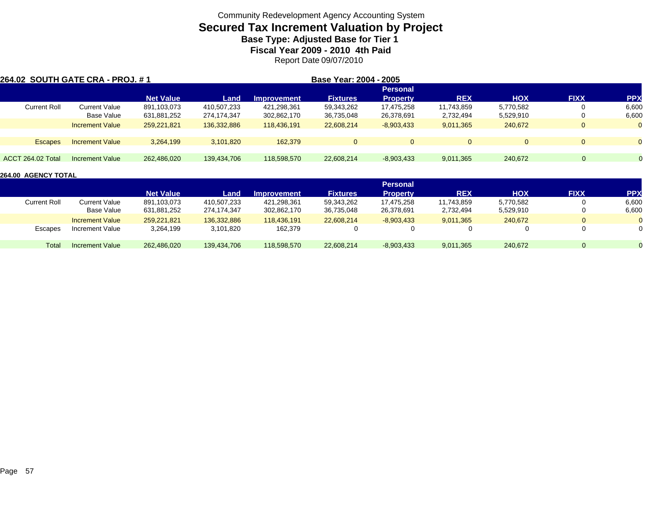## **Secured Tax Increment Valuation by Project Base Type: Adjusted Base for Tier 1 Fiscal Year 2009 - 2010 4th Paid**

Report Date 09/07/2010

| 264.02 SOUTH GATE CRA - PROJ. # 1 |                        |                  |             |                    | Base Year: 2004 - 2005 |                 |            |            |              |           |
|-----------------------------------|------------------------|------------------|-------------|--------------------|------------------------|-----------------|------------|------------|--------------|-----------|
|                                   |                        | <b>Net Value</b> |             |                    |                        | <b>Personal</b> | <b>REX</b> | <b>HOX</b> | <b>FIXX</b>  | <b>PP</b> |
|                                   |                        |                  | Land        | <b>Improvement</b> | <b>Fixtures</b>        | <b>Property</b> |            |            |              |           |
| <b>Current Roll</b>               | <b>Current Value</b>   | 891,103,073      | 410,507,233 | 421,298,361        | 59,343,262             | 17,475,258      | 11,743,859 | 5,770,582  |              | 6,600     |
|                                   | Base Value             | 631,881,252      | 274,174,347 | 302,862,170        | 36,735,048             | 26,378,691      | 2,732,494  | 5,529,910  |              | 6,600     |
|                                   | <b>Increment Value</b> | 259.221.821      | 136,332,886 | 118.436.191        | 22,608,214             | $-8,903,433$    | 9,011,365  | 240.672    | $\mathbf{0}$ | $\Omega$  |
|                                   |                        |                  |             |                    |                        |                 |            |            |              |           |
| <b>Escapes</b>                    | <b>Increment Value</b> | 3,264,199        | 3,101,820   | 162,379            | $\mathbf{0}$           |                 | $\Omega$   | $\Omega$   | $\Omega$     | $\Omega$  |
|                                   |                        |                  |             |                    |                        |                 |            |            |              |           |
| <b>ACCT 264.02 Total</b>          | Increment Value        | 262.486.020      | 139.434.706 | 118,598,570        | 22,608,214             | $-8,903,433$    | 9,011,365  | 240.672    | $\Omega$     |           |

|                     |                        |                  |             |                    |                 | <b>Personal</b> |            |            |             |            |
|---------------------|------------------------|------------------|-------------|--------------------|-----------------|-----------------|------------|------------|-------------|------------|
|                     |                        | <b>Net Value</b> | Land        | <b>Improvement</b> | <b>Fixtures</b> | <b>Property</b> | <b>REX</b> | <b>HOX</b> | <b>FIXX</b> | <b>PPX</b> |
| <b>Current Roll</b> | Current Value          | 891,103,073      | 410,507,233 | 421,298,361        | 59,343,262      | 17,475,258      | 11,743,859 | 5,770,582  |             | 6,600      |
|                     | Base Value             | 631,881,252      | 274,174,347 | 302,862,170        | 36,735,048      | 26,378,691      | 2,732,494  | 5,529,910  |             | 6,600      |
|                     | <b>Increment Value</b> | 259.221.821      | 136.332.886 | 118.436.191        | 22.608.214      | $-8,903,433$    | 9.011.365  | 240.672    | $\Omega$    |            |
| Escapes             | Increment Value        | 3,264,199        | 3,101,820   | 162,379            |                 |                 |            |            |             | 0          |
| Total               | Increment Value        | 262,486,020      | 139,434,706 | 118,598,570        | 22,608,214      | $-8,903,433$    | 9,011,365  | 240,672    | $\Omega$    |            |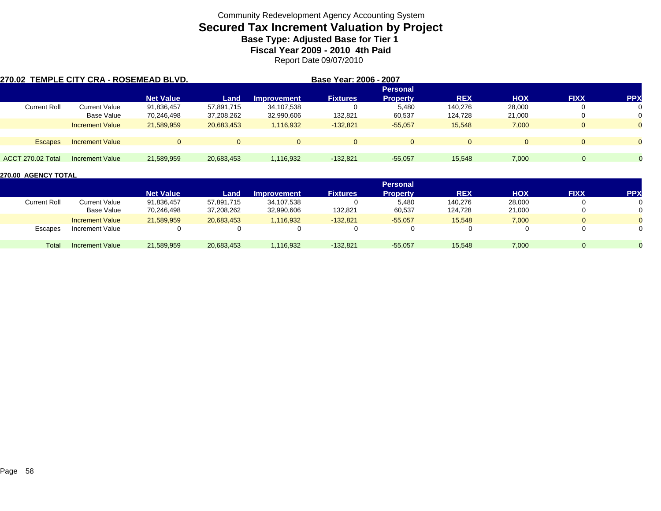# **Secured Tax Increment Valuation by Project**

**Base Type: Adjusted Base for Tier 1 Fiscal Year 2009 - 2010 4th Paid**

Report Date 09/07/2010

| 270.02 TEMPLE CITY CRA - ROSEMEAD BLVD. |                        |                  |            |                    | Base Year: 2006 - 2007 |                 |            |            |             |                |
|-----------------------------------------|------------------------|------------------|------------|--------------------|------------------------|-----------------|------------|------------|-------------|----------------|
|                                         |                        |                  |            |                    |                        | <b>Personal</b> |            |            |             |                |
|                                         |                        | <b>Net Value</b> | Land       | <b>Improvement</b> | <b>Fixtures</b>        | <b>Property</b> | <b>REX</b> | <b>HOX</b> | <b>FIXX</b> | <b>PP</b>      |
| <b>Current Roll</b>                     | Current Value          | 91,836,457       | 57,891,715 | 34,107,538         |                        | 5,480           | 140.276    | 28,000     |             | 0              |
|                                         | Base Value             | 70,246,498       | 37,208,262 | 32,990,606         | 132,821                | 60,537          | 124,728    | 21,000     |             | 0              |
|                                         | <b>Increment Value</b> | 21,589,959       | 20,683,453 | 1,116,932          | $-132,821$             | $-55,057$       | 15,548     | 7,000      |             | $\overline{0}$ |
| <b>Escapes</b>                          | <b>Increment Value</b> | $\Omega$         | $\Omega$   | $\Omega$           | $\Omega$               | $\Omega$        | $\Omega$   | $\Omega$   |             | $\Omega$       |
|                                         |                        |                  |            |                    |                        |                 |            |            |             |                |
| ACCT 270.02 Total                       | Increment Value        | 21.589.959       | 20,683,453 | 1,116,932          | $-132,821$             | $-55,057$       | 15,548     | 7,000      | $\Omega$    | $\overline{0}$ |

|                     |                        |                  |            |                    |                 | <b>Personal</b> |            |            |             |           |
|---------------------|------------------------|------------------|------------|--------------------|-----------------|-----------------|------------|------------|-------------|-----------|
|                     |                        | <b>Net Value</b> | Land       | <b>Improvement</b> | <b>Fixtures</b> | Propertv        | <b>REX</b> | <b>HOX</b> | <b>FIXX</b> | <b>PP</b> |
| <b>Current Roll</b> | <b>Current Value</b>   | 91,836,457       | 57,891,715 | 34,107,538         |                 | 5,480           | 140,276    | 28,000     |             |           |
|                     | Base Value             | 70,246,498       | 37,208,262 | 32,990,606         | 132,821         | 60,537          | 124.728    | 21,000     |             |           |
|                     | <b>Increment Value</b> | 21,589,959       | 20,683,453 | 1,116,932          | $-132,821$      | $-55,057$       | 15,548     | 7,000      |             |           |
| Escapes             | Increment Value        |                  |            | $\Omega$           |                 |                 |            |            |             |           |
| Total               | Increment Value        | 21,589,959       | 20,683,453 | 1,116,932          | $-132,821$      | $-55,057$       | 15,548     | 7,000      |             |           |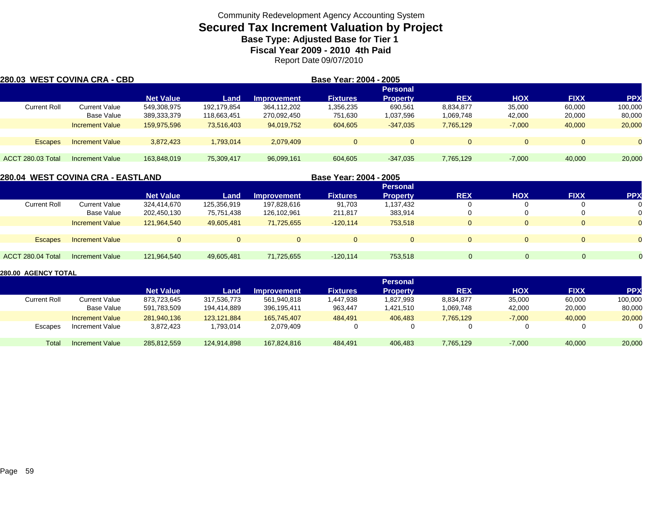## **Secured Tax Increment Valuation by Project Base Type: Adjusted Base for Tier 1**

**Fiscal Year 2009 - 2010 4th Paid**

Report Date 09/07/2010

| 280.03 WEST COVINA CRA - CBD |                        |                  |             |                    | Base Year: 2004 - 2005 |                 |             |            |             |            |
|------------------------------|------------------------|------------------|-------------|--------------------|------------------------|-----------------|-------------|------------|-------------|------------|
|                              |                        |                  |             |                    |                        | <b>Personal</b> |             |            |             |            |
|                              |                        | <b>Net Value</b> | Land        | <b>Improvement</b> | <b>Fixtures</b>        | <b>Property</b> | <b>REX</b>  | <b>HOX</b> | <b>FIXX</b> | <b>PPX</b> |
| <b>Current Roll</b>          | Current Value          | 549,308,975      | 192,179,854 | 364,112,202        | .356,235               | 690,561         | 8,834,877   | 35,000     | 60,000      | 100,000    |
|                              | Base Value             | 389,333,379      | 118,663,451 | 270,092,450        | 751,630                | 1,037,596       | 1,069,748   | 42,000     | 20,000      | 80,000     |
|                              | <b>Increment Value</b> | 159,975,596      | 73,516,403  | 94,019,752         | 604,605                | $-347.035$      | 7,765,129   | $-7,000$   | 40,000      | 20,000     |
|                              |                        |                  |             |                    |                        |                 |             |            |             |            |
| <b>Escapes</b>               | <b>Increment Value</b> | 3,872,423        | 1,793,014   | 2,079,409          | $\overline{0}$         |                 | $\mathbf 0$ | $\Omega$   |             | $\Omega$   |
| <b>ACCT 280.03 Total</b>     | <b>Increment Value</b> | 163.848.019      | 75.309.417  | 96,099,161         | 604.605                | $-347.035$      | 7,765,129   | $-7.000$   | 40,000      | 20,000     |

|                     | 280.04  WEST COVINA CRA - EASTLAND |                  |             |                    | Base Year: 2004 - 2005 |                 |            |            |             |                |
|---------------------|------------------------------------|------------------|-------------|--------------------|------------------------|-----------------|------------|------------|-------------|----------------|
|                     |                                    |                  |             |                    |                        | <b>Personal</b> |            |            |             |                |
|                     |                                    | <b>Net Value</b> | Land        | <b>Improvement</b> | <b>Fixtures</b>        | <b>Property</b> | <b>REX</b> | <b>HOX</b> | <b>FIXX</b> | <b>PP</b>      |
| <b>Current Roll</b> | <b>Current Value</b>               | 324,414,670      | 125,356,919 | 197,828,616        | 91,703                 | 1,137,432       | 0          |            | $\Omega$    | 0              |
|                     | Base Value                         | 202,450,130      | 75,751,438  | 126,102,961        | 211,817                | 383,914         |            |            | 0           | $\Omega$       |
|                     | <b>Increment Value</b>             | 121,964,540      | 49,605,481  | 71,725,655         | $-120,114$             | 753,518         | $\Omega$   | $\Omega$   | $\Omega$    | $\Omega$       |
|                     |                                    |                  |             |                    |                        |                 |            |            |             |                |
| <b>Escapes</b>      | <b>Increment Value</b>             | $\overline{0}$   |             |                    | $\Omega$               | $\Omega$        | $\Omega$   | $\Omega$   | $\Omega$    | $\overline{0}$ |
|                     |                                    |                  |             |                    |                        |                 |            |            |             |                |
| ACCT 280.04 Total   | Increment Value                    | 121.964.540      | 49.605.481  | 71.725.655         | $-120.114$             | 753.518         |            | $\Omega$   | $\Omega$    |                |
|                     |                                    |                  |             |                    |                        |                 |            |            |             |                |

|              |                        |                  |             |                    |                 | <b>Personal</b> |            |            |             |            |
|--------------|------------------------|------------------|-------------|--------------------|-----------------|-----------------|------------|------------|-------------|------------|
|              |                        | <b>Net Value</b> | Land        | <b>Improvement</b> | <b>Fixtures</b> | <b>Property</b> | <b>REX</b> | <b>HOX</b> | <b>FIXX</b> | <b>PPX</b> |
| Current Roll | <b>Current Value</b>   | 873,723,645      | 317,536,773 | 561,940,818        | 1,447,938       | 1,827,993       | 8,834,877  | 35,000     | 60,000      | 100,000    |
|              | Base Value             | 591,783,509      | 194.414.889 | 396,195,411        | 963,447         | 1,421,510       | 1,069,748  | 42,000     | 20,000      | 80,000     |
|              | <b>Increment Value</b> | 281,940,136      | 123.121.884 | 165.745.407        | 484.491         | 406.483         | 7.765.129  | $-7,000$   | 40,000      | 20,000     |
| Escapes      | Increment Value        | 3,872,423        | .793.014    | 2,079,409          |                 |                 |            |            |             |            |
| Total        | Increment Value        | 285,812,559      | 124,914,898 | 167,824,816        | 484,491         | 406.483         | 7,765,129  | $-7,000$   | 40,000      | 20,000     |